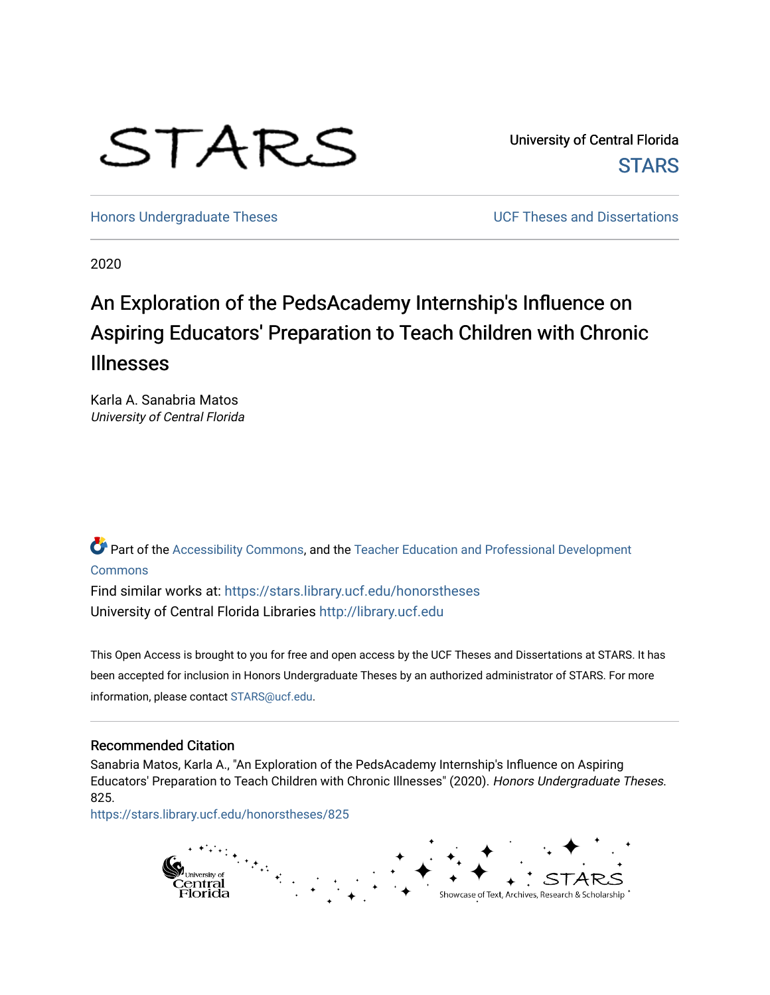# STARS

University of Central Florida **STARS** 

[Honors Undergraduate Theses](https://stars.library.ucf.edu/honorstheses) **No. 2018** UCF Theses and Dissertations

2020

# An Exploration of the PedsAcademy Internship's Influence on Aspiring Educators' Preparation to Teach Children with Chronic Illnesses

Karla A. Sanabria Matos University of Central Florida

Part of the [Accessibility Commons,](http://network.bepress.com/hgg/discipline/1318?utm_source=stars.library.ucf.edu%2Fhonorstheses%2F825&utm_medium=PDF&utm_campaign=PDFCoverPages) and the [Teacher Education and Professional Development](http://network.bepress.com/hgg/discipline/803?utm_source=stars.library.ucf.edu%2Fhonorstheses%2F825&utm_medium=PDF&utm_campaign=PDFCoverPages)  **[Commons](http://network.bepress.com/hgg/discipline/803?utm_source=stars.library.ucf.edu%2Fhonorstheses%2F825&utm_medium=PDF&utm_campaign=PDFCoverPages)** 

Find similar works at: <https://stars.library.ucf.edu/honorstheses> University of Central Florida Libraries [http://library.ucf.edu](http://library.ucf.edu/) 

This Open Access is brought to you for free and open access by the UCF Theses and Dissertations at STARS. It has been accepted for inclusion in Honors Undergraduate Theses by an authorized administrator of STARS. For more information, please contact [STARS@ucf.edu.](mailto:STARS@ucf.edu)

#### Recommended Citation

Sanabria Matos, Karla A., "An Exploration of the PedsAcademy Internship's Influence on Aspiring Educators' Preparation to Teach Children with Chronic Illnesses" (2020). Honors Undergraduate Theses. 825.

[https://stars.library.ucf.edu/honorstheses/825](https://stars.library.ucf.edu/honorstheses/825?utm_source=stars.library.ucf.edu%2Fhonorstheses%2F825&utm_medium=PDF&utm_campaign=PDFCoverPages) 

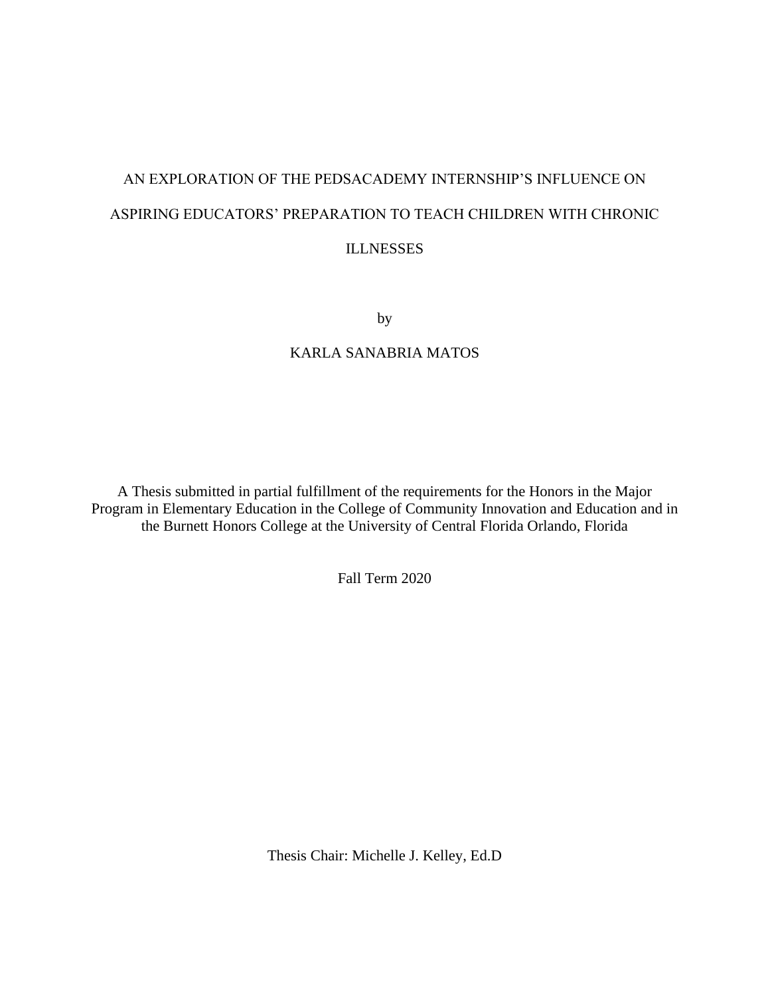# AN EXPLORATION OF THE PEDSACADEMY INTERNSHIP'S INFLUENCE ON ASPIRING EDUCATORS' PREPARATION TO TEACH CHILDREN WITH CHRONIC ILLNESSES

by

# KARLA SANABRIA MATOS

A Thesis submitted in partial fulfillment of the requirements for the Honors in the Major Program in Elementary Education in the College of Community Innovation and Education and in the Burnett Honors College at the University of Central Florida Orlando, Florida

Fall Term 2020

Thesis Chair: Michelle J. Kelley, Ed.D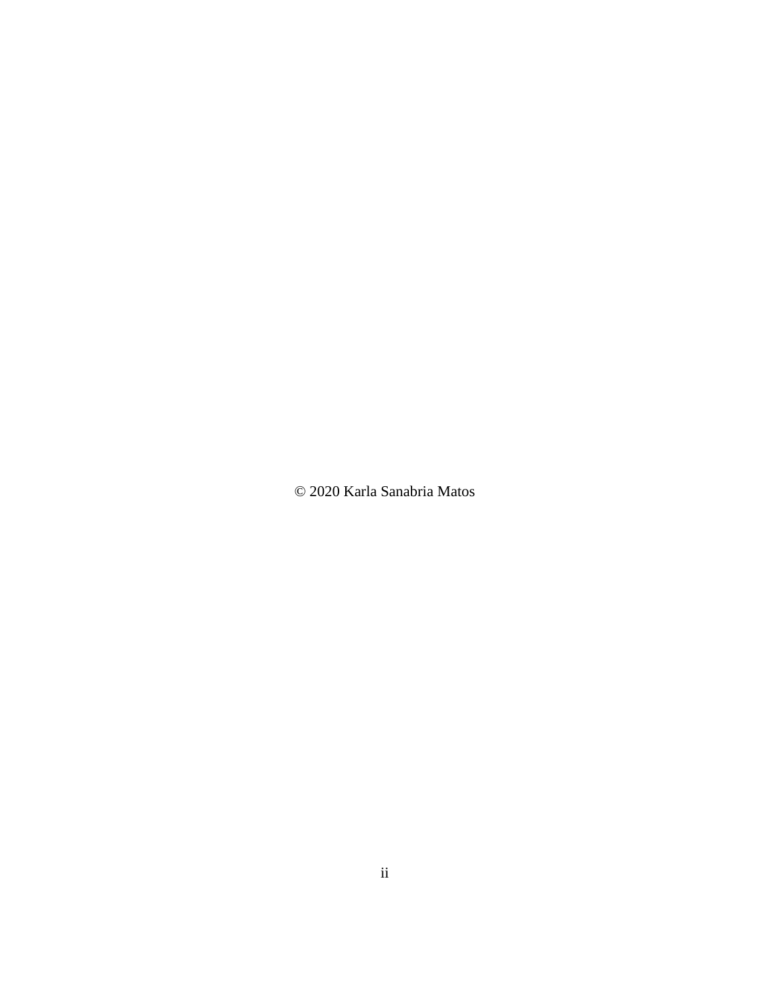© 2020 Karla Sanabria Matos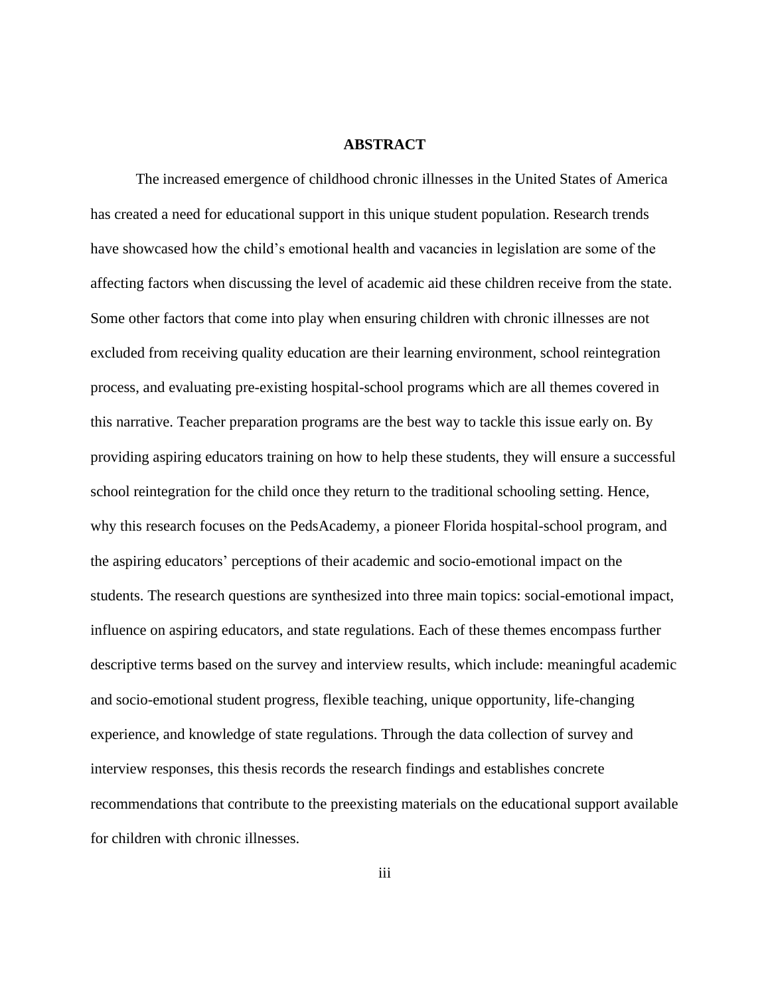#### **ABSTRACT**

The increased emergence of childhood chronic illnesses in the United States of America has created a need for educational support in this unique student population. Research trends have showcased how the child's emotional health and vacancies in legislation are some of the affecting factors when discussing the level of academic aid these children receive from the state. Some other factors that come into play when ensuring children with chronic illnesses are not excluded from receiving quality education are their learning environment, school reintegration process, and evaluating pre-existing hospital-school programs which are all themes covered in this narrative. Teacher preparation programs are the best way to tackle this issue early on. By providing aspiring educators training on how to help these students, they will ensure a successful school reintegration for the child once they return to the traditional schooling setting. Hence, why this research focuses on the PedsAcademy, a pioneer Florida hospital-school program, and the aspiring educators' perceptions of their academic and socio-emotional impact on the students. The research questions are synthesized into three main topics: social-emotional impact, influence on aspiring educators, and state regulations. Each of these themes encompass further descriptive terms based on the survey and interview results, which include: meaningful academic and socio-emotional student progress, flexible teaching, unique opportunity, life-changing experience, and knowledge of state regulations. Through the data collection of survey and interview responses, this thesis records the research findings and establishes concrete recommendations that contribute to the preexisting materials on the educational support available for children with chronic illnesses.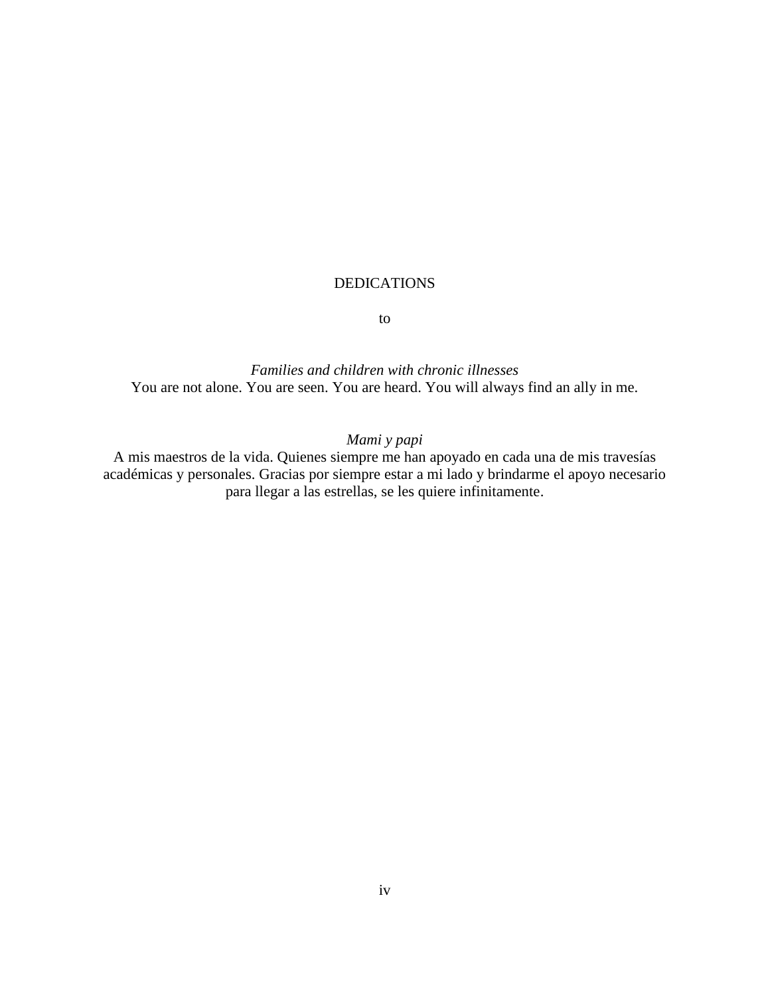#### DEDICATIONS

to

*Families and children with chronic illnesses* You are not alone. You are seen. You are heard. You will always find an ally in me.

# *Mami y papi*

A mis maestros de la vida. Quienes siempre me han apoyado en cada una de mis travesías académicas y personales. Gracias por siempre estar a mi lado y brindarme el apoyo necesario para llegar a las estrellas, se les quiere infinitamente.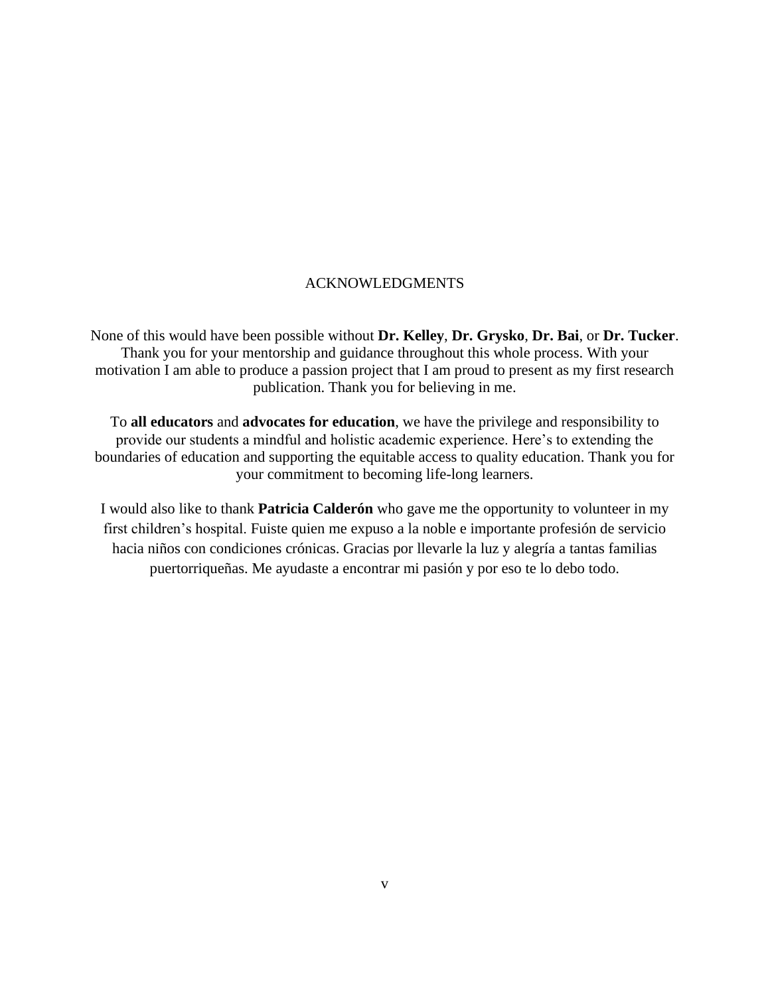#### ACKNOWLEDGMENTS

None of this would have been possible without **Dr. Kelley**, **Dr. Grysko**, **Dr. Bai**, or **Dr. Tucker**. Thank you for your mentorship and guidance throughout this whole process. With your motivation I am able to produce a passion project that I am proud to present as my first research publication. Thank you for believing in me.

To **all educators** and **advocates for education**, we have the privilege and responsibility to provide our students a mindful and holistic academic experience. Here's to extending the boundaries of education and supporting the equitable access to quality education. Thank you for your commitment to becoming life-long learners.

I would also like to thank **Patricia Calderón** who gave me the opportunity to volunteer in my first children's hospital. Fuiste quien me expuso a la noble e importante profesión de servicio hacia niños con condiciones crónicas. Gracias por llevarle la luz y alegría a tantas familias puertorriqueñas. Me ayudaste a encontrar mi pasión y por eso te lo debo todo.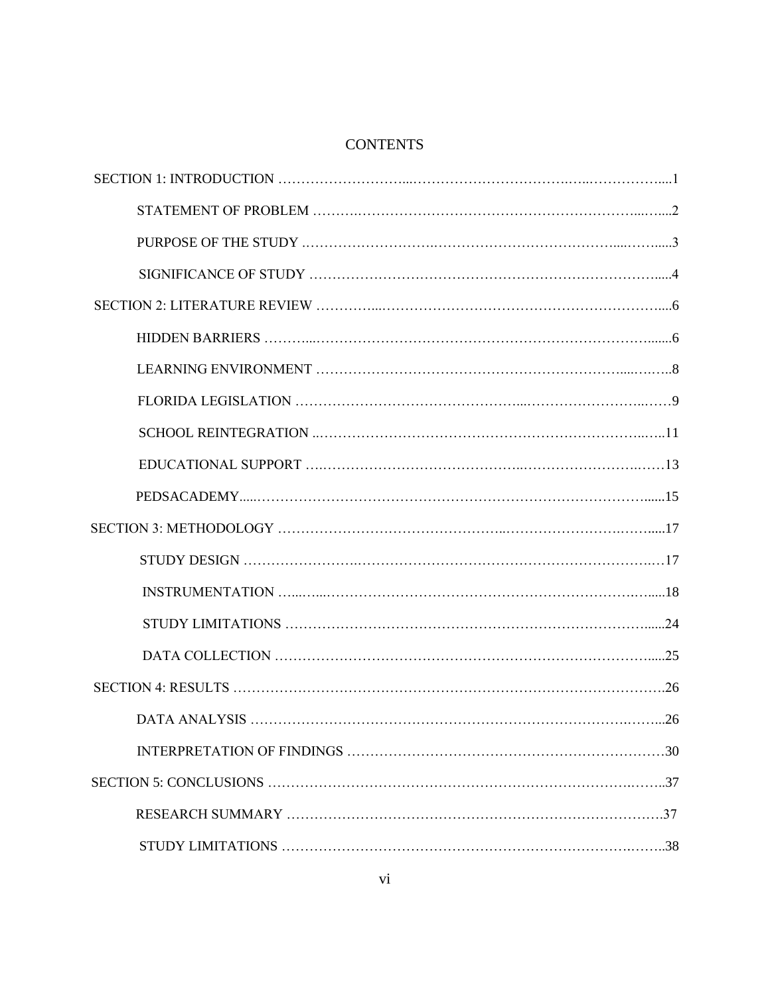## **CONTENTS**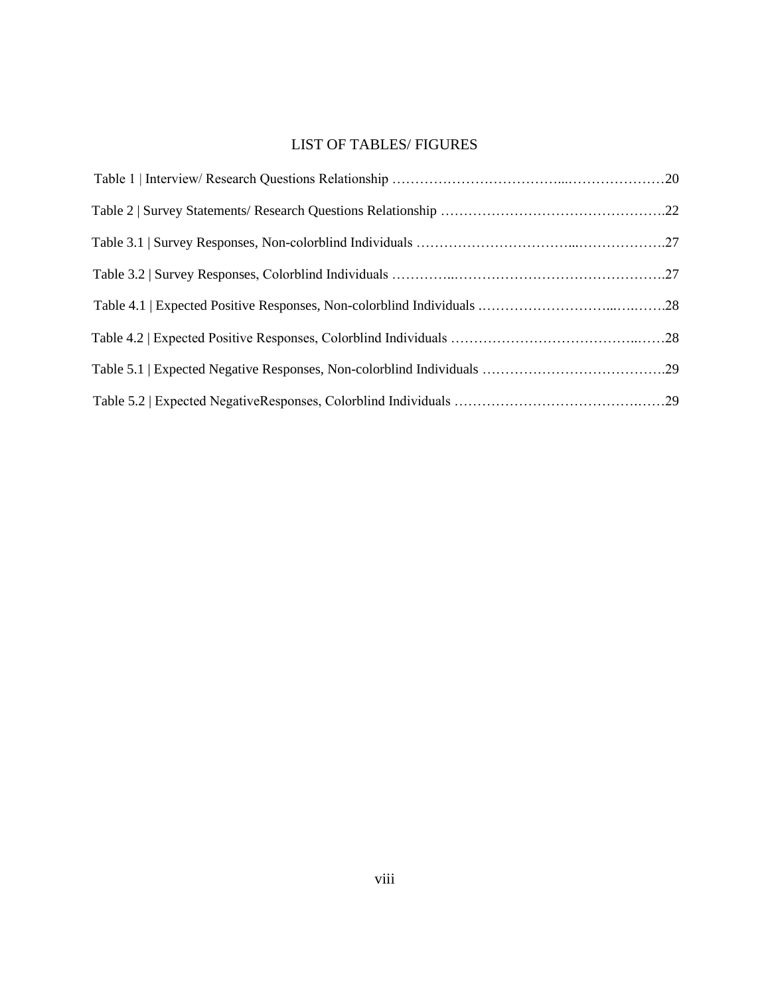# LIST OF TABLES/ FIGURES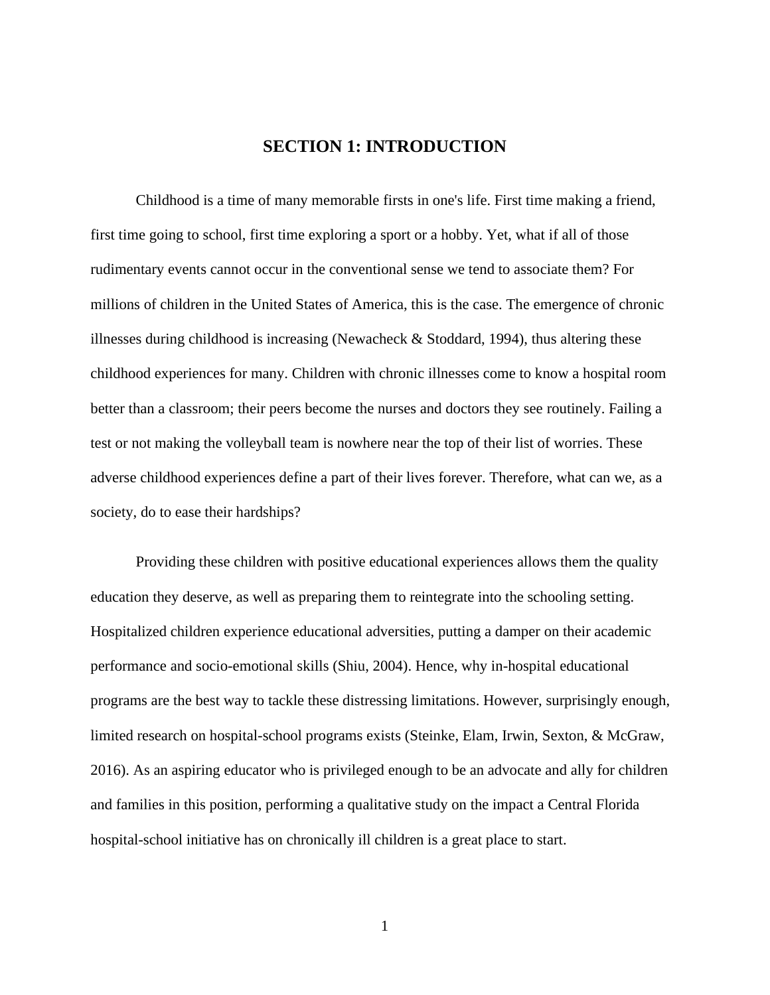# **SECTION 1: INTRODUCTION**

Childhood is a time of many memorable firsts in one's life. First time making a friend, first time going to school, first time exploring a sport or a hobby. Yet, what if all of those rudimentary events cannot occur in the conventional sense we tend to associate them? For millions of children in the United States of America, this is the case. The emergence of chronic illnesses during childhood is increasing (Newacheck & Stoddard, 1994), thus altering these childhood experiences for many. Children with chronic illnesses come to know a hospital room better than a classroom; their peers become the nurses and doctors they see routinely. Failing a test or not making the volleyball team is nowhere near the top of their list of worries. These adverse childhood experiences define a part of their lives forever. Therefore, what can we, as a society, do to ease their hardships?

Providing these children with positive educational experiences allows them the quality education they deserve, as well as preparing them to reintegrate into the schooling setting. Hospitalized children experience educational adversities, putting a damper on their academic performance and socio-emotional skills (Shiu, 2004). Hence, why in-hospital educational programs are the best way to tackle these distressing limitations. However, surprisingly enough, limited research on hospital-school programs exists (Steinke, Elam, Irwin, Sexton, & McGraw, 2016). As an aspiring educator who is privileged enough to be an advocate and ally for children and families in this position, performing a qualitative study on the impact a Central Florida hospital-school initiative has on chronically ill children is a great place to start.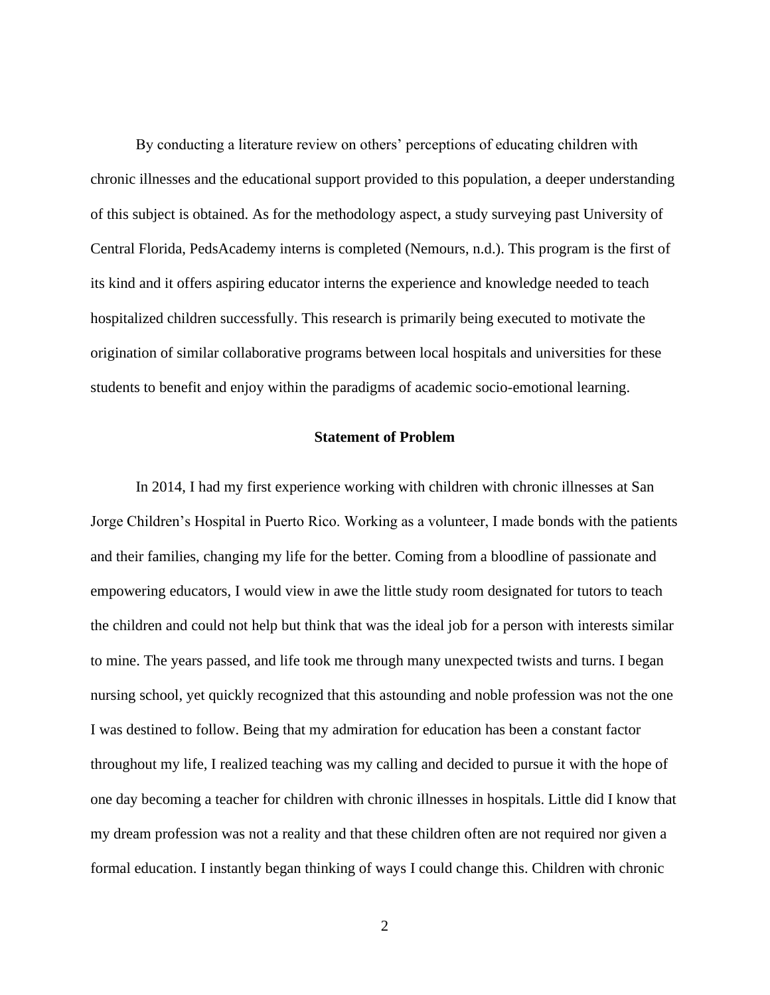By conducting a literature review on others' perceptions of educating children with chronic illnesses and the educational support provided to this population, a deeper understanding of this subject is obtained. As for the methodology aspect, a study surveying past University of Central Florida, PedsAcademy interns is completed (Nemours, n.d.). This program is the first of its kind and it offers aspiring educator interns the experience and knowledge needed to teach hospitalized children successfully. This research is primarily being executed to motivate the origination of similar collaborative programs between local hospitals and universities for these students to benefit and enjoy within the paradigms of academic socio-emotional learning.

#### **Statement of Problem**

In 2014, I had my first experience working with children with chronic illnesses at San Jorge Children's Hospital in Puerto Rico. Working as a volunteer, I made bonds with the patients and their families, changing my life for the better. Coming from a bloodline of passionate and empowering educators, I would view in awe the little study room designated for tutors to teach the children and could not help but think that was the ideal job for a person with interests similar to mine. The years passed, and life took me through many unexpected twists and turns. I began nursing school, yet quickly recognized that this astounding and noble profession was not the one I was destined to follow. Being that my admiration for education has been a constant factor throughout my life, I realized teaching was my calling and decided to pursue it with the hope of one day becoming a teacher for children with chronic illnesses in hospitals. Little did I know that my dream profession was not a reality and that these children often are not required nor given a formal education. I instantly began thinking of ways I could change this. Children with chronic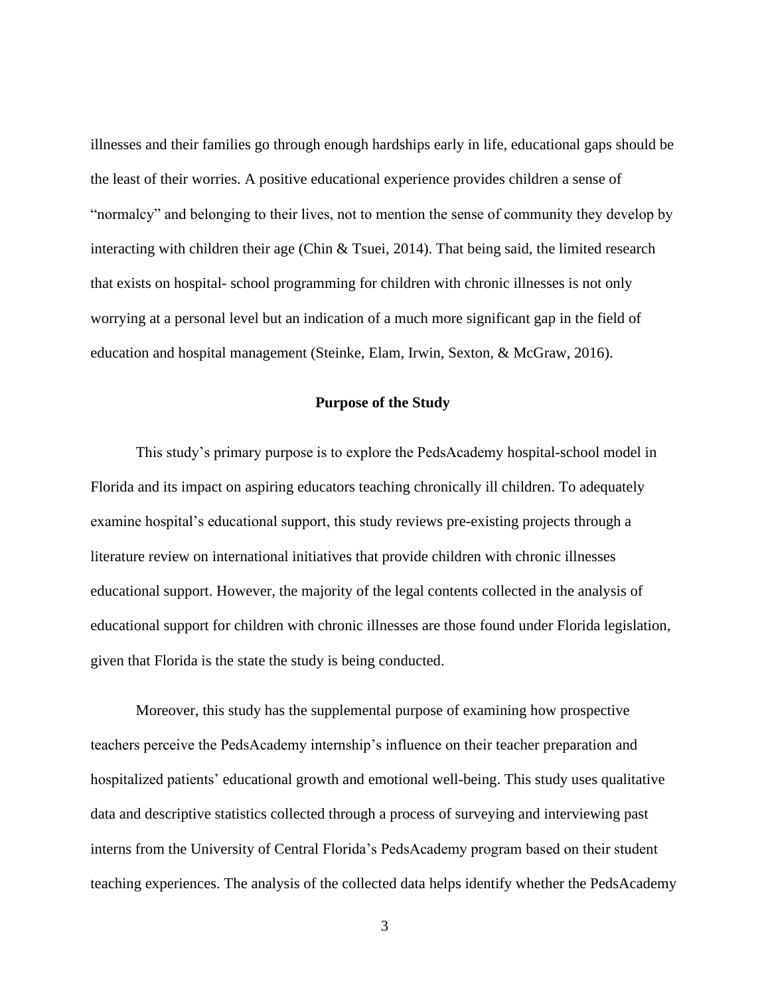illnesses and their families go through enough hardships early in life, educational gaps should be the least of their worries. A positive educational experience provides children a sense of "normalcy" and belonging to their lives, not to mention the sense of community they develop by interacting with children their age (Chin & Tsuei, 2014). That being said, the limited research that exists on hospital- school programming for children with chronic illnesses is not only worrying at a personal level but an indication of a much more significant gap in the field of education and hospital management (Steinke, Elam, Irwin, Sexton, & McGraw, 2016).

#### **Purpose of the Study**

This study's primary purpose is to explore the PedsAcademy hospital-school model in Florida and its impact on aspiring educators teaching chronically ill children. To adequately examine hospital's educational support, this study reviews pre-existing projects through a literature review on international initiatives that provide children with chronic illnesses educational support. However, the majority of the legal contents collected in the analysis of educational support for children with chronic illnesses are those found under Florida legislation, given that Florida is the state the study is being conducted.

Moreover, this study has the supplemental purpose of examining how prospective teachers perceive the PedsAcademy internship's influence on their teacher preparation and hospitalized patients' educational growth and emotional well-being. This study uses qualitative data and descriptive statistics collected through a process of surveying and interviewing past interns from the University of Central Florida's PedsAcademy program based on their student teaching experiences. The analysis of the collected data helps identify whether the PedsAcademy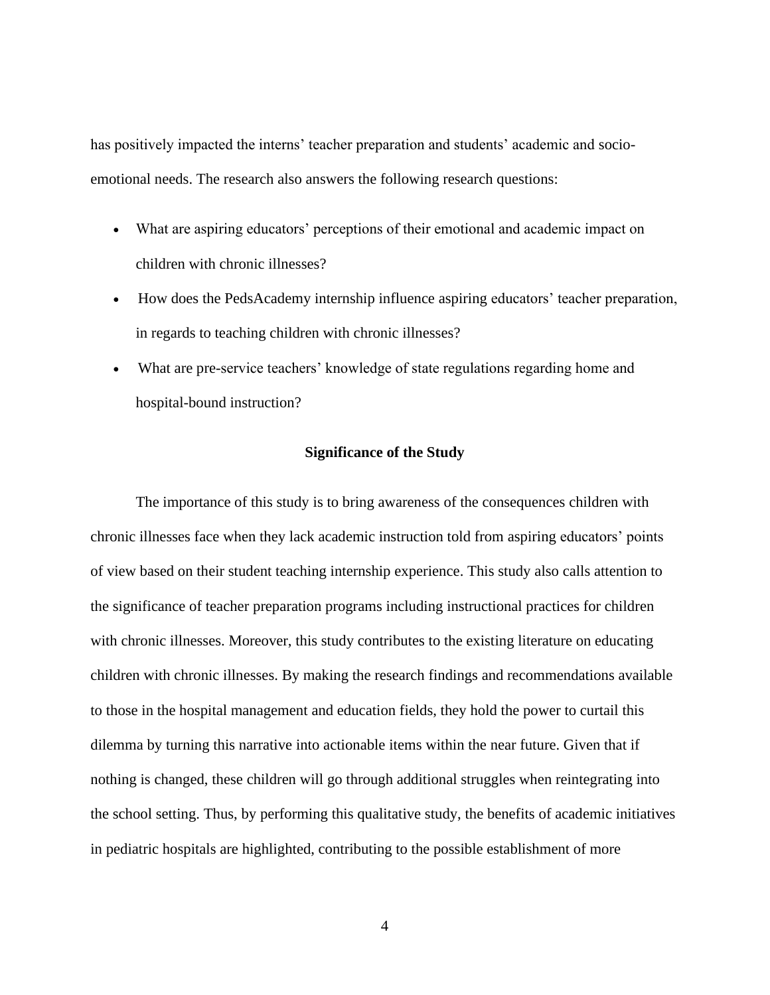has positively impacted the interns' teacher preparation and students' academic and socioemotional needs. The research also answers the following research questions:

- What are aspiring educators' perceptions of their emotional and academic impact on children with chronic illnesses?
- How does the PedsAcademy internship influence aspiring educators' teacher preparation, in regards to teaching children with chronic illnesses?
- What are pre-service teachers' knowledge of state regulations regarding home and hospital-bound instruction?

#### **Significance of the Study**

The importance of this study is to bring awareness of the consequences children with chronic illnesses face when they lack academic instruction told from aspiring educators' points of view based on their student teaching internship experience. This study also calls attention to the significance of teacher preparation programs including instructional practices for children with chronic illnesses. Moreover, this study contributes to the existing literature on educating children with chronic illnesses. By making the research findings and recommendations available to those in the hospital management and education fields, they hold the power to curtail this dilemma by turning this narrative into actionable items within the near future. Given that if nothing is changed, these children will go through additional struggles when reintegrating into the school setting. Thus, by performing this qualitative study, the benefits of academic initiatives in pediatric hospitals are highlighted, contributing to the possible establishment of more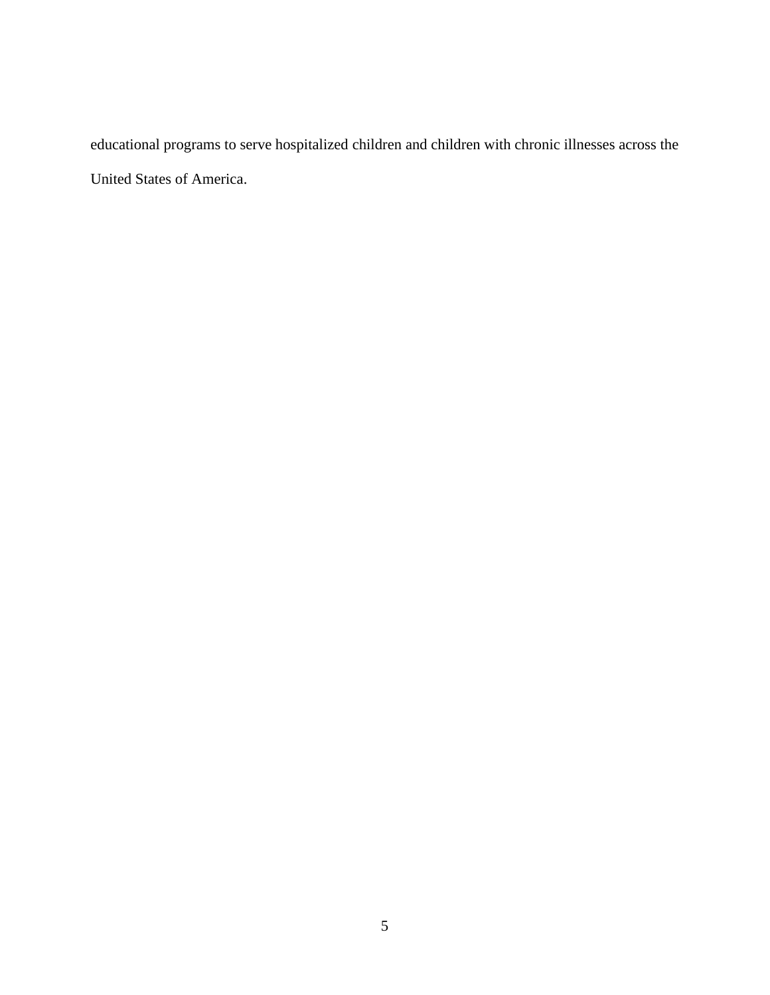educational programs to serve hospitalized children and children with chronic illnesses across the United States of America.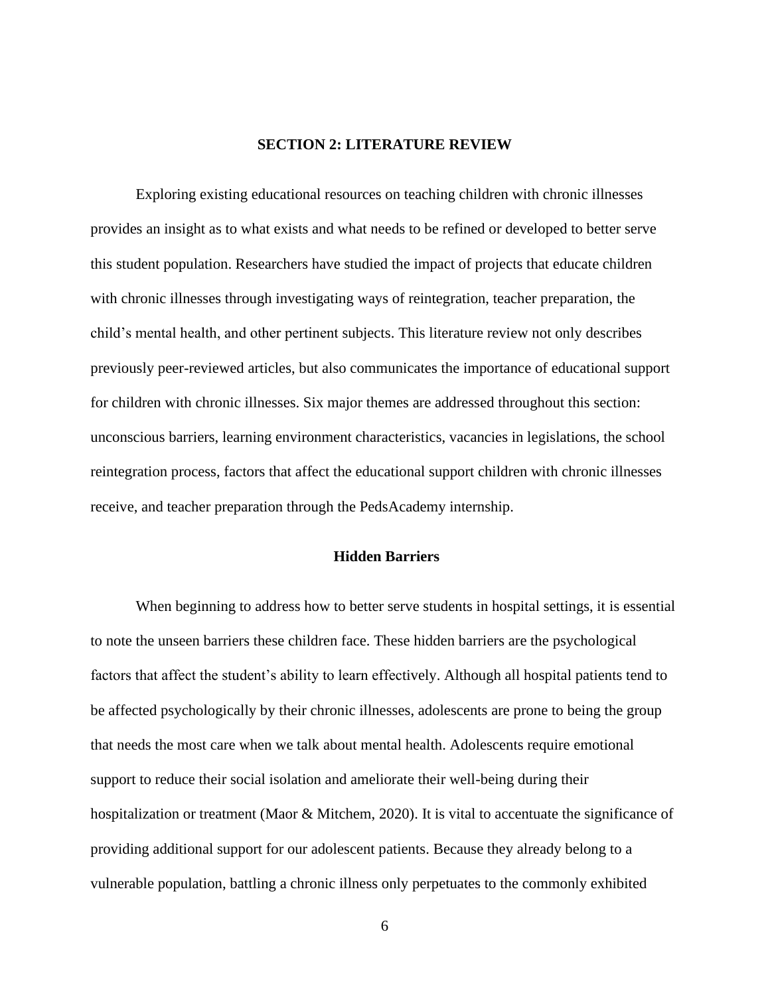#### **SECTION 2: LITERATURE REVIEW**

Exploring existing educational resources on teaching children with chronic illnesses provides an insight as to what exists and what needs to be refined or developed to better serve this student population. Researchers have studied the impact of projects that educate children with chronic illnesses through investigating ways of reintegration, teacher preparation, the child's mental health, and other pertinent subjects. This literature review not only describes previously peer-reviewed articles, but also communicates the importance of educational support for children with chronic illnesses. Six major themes are addressed throughout this section: unconscious barriers, learning environment characteristics, vacancies in legislations, the school reintegration process, factors that affect the educational support children with chronic illnesses receive, and teacher preparation through the PedsAcademy internship.

#### **Hidden Barriers**

When beginning to address how to better serve students in hospital settings, it is essential to note the unseen barriers these children face. These hidden barriers are the psychological factors that affect the student's ability to learn effectively. Although all hospital patients tend to be affected psychologically by their chronic illnesses, adolescents are prone to being the group that needs the most care when we talk about mental health. Adolescents require emotional support to reduce their social isolation and ameliorate their well-being during their hospitalization or treatment (Maor & Mitchem, 2020). It is vital to accentuate the significance of providing additional support for our adolescent patients. Because they already belong to a vulnerable population, battling a chronic illness only perpetuates to the commonly exhibited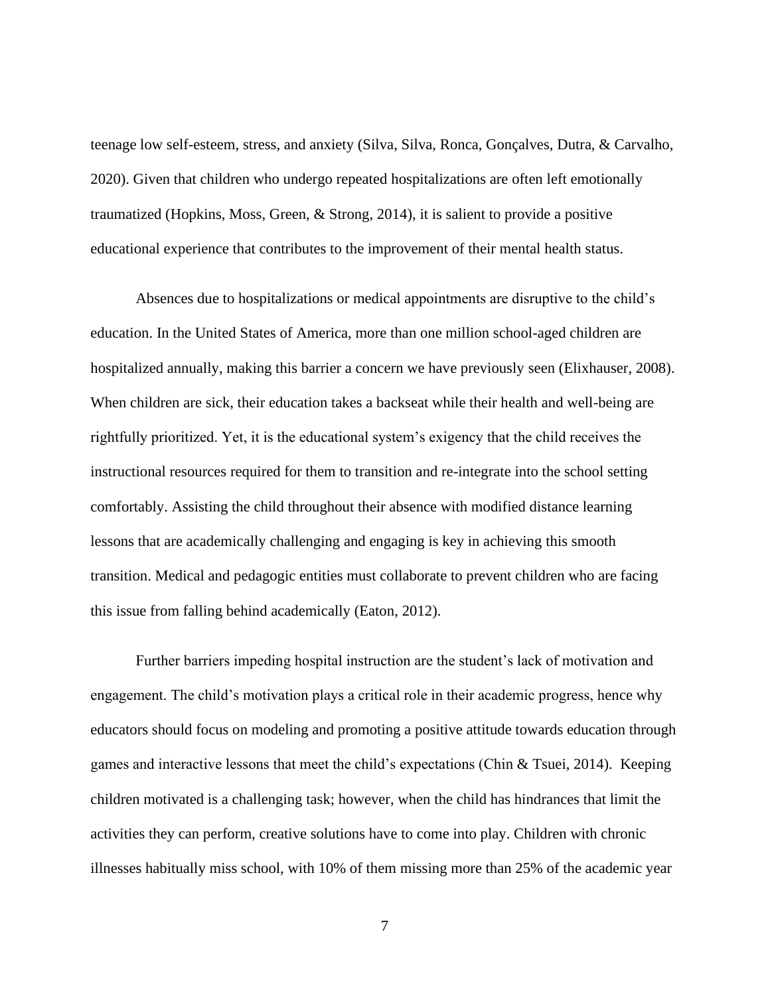teenage low self-esteem, stress, and anxiety (Silva, Silva, Ronca, Gonçalves, Dutra, & Carvalho, 2020). Given that children who undergo repeated hospitalizations are often left emotionally traumatized (Hopkins, Moss, Green, & Strong, 2014), it is salient to provide a positive educational experience that contributes to the improvement of their mental health status.

 Absences due to hospitalizations or medical appointments are disruptive to the child's education. In the United States of America, more than one million school-aged children are hospitalized annually, making this barrier a concern we have previously seen (Elixhauser, 2008). When children are sick, their education takes a backseat while their health and well-being are rightfully prioritized. Yet, it is the educational system's exigency that the child receives the instructional resources required for them to transition and re-integrate into the school setting comfortably. Assisting the child throughout their absence with modified distance learning lessons that are academically challenging and engaging is key in achieving this smooth transition. Medical and pedagogic entities must collaborate to prevent children who are facing this issue from falling behind academically (Eaton, 2012).

Further barriers impeding hospital instruction are the student's lack of motivation and engagement. The child's motivation plays a critical role in their academic progress, hence why educators should focus on modeling and promoting a positive attitude towards education through games and interactive lessons that meet the child's expectations (Chin & Tsuei, 2014). Keeping children motivated is a challenging task; however, when the child has hindrances that limit the activities they can perform, creative solutions have to come into play. Children with chronic illnesses habitually miss school, with 10% of them missing more than 25% of the academic year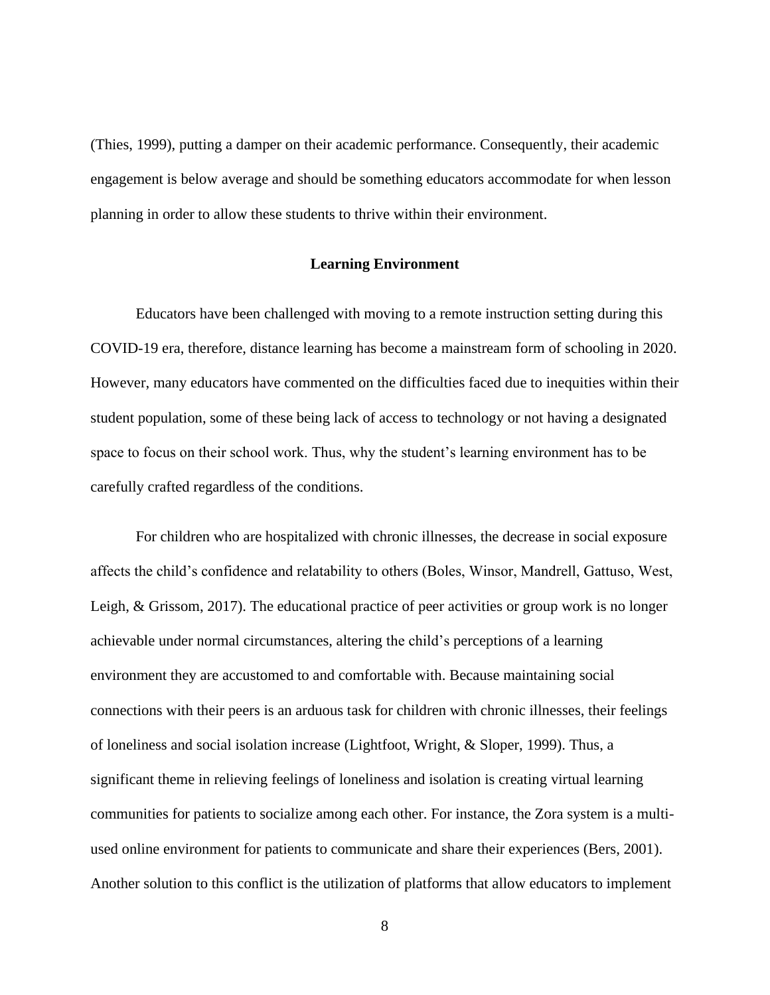(Thies, 1999), putting a damper on their academic performance. Consequently, their academic engagement is below average and should be something educators accommodate for when lesson planning in order to allow these students to thrive within their environment.

#### **Learning Environment**

Educators have been challenged with moving to a remote instruction setting during this COVID-19 era, therefore, distance learning has become a mainstream form of schooling in 2020. However, many educators have commented on the difficulties faced due to inequities within their student population, some of these being lack of access to technology or not having a designated space to focus on their school work. Thus, why the student's learning environment has to be carefully crafted regardless of the conditions.

For children who are hospitalized with chronic illnesses, the decrease in social exposure affects the child's confidence and relatability to others (Boles, Winsor, Mandrell, Gattuso, West, Leigh, & Grissom, 2017). The educational practice of peer activities or group work is no longer achievable under normal circumstances, altering the child's perceptions of a learning environment they are accustomed to and comfortable with. Because maintaining social connections with their peers is an arduous task for children with chronic illnesses, their feelings of loneliness and social isolation increase (Lightfoot, Wright, & Sloper, 1999). Thus, a significant theme in relieving feelings of loneliness and isolation is creating virtual learning communities for patients to socialize among each other. For instance, the Zora system is a multiused online environment for patients to communicate and share their experiences (Bers, 2001). Another solution to this conflict is the utilization of platforms that allow educators to implement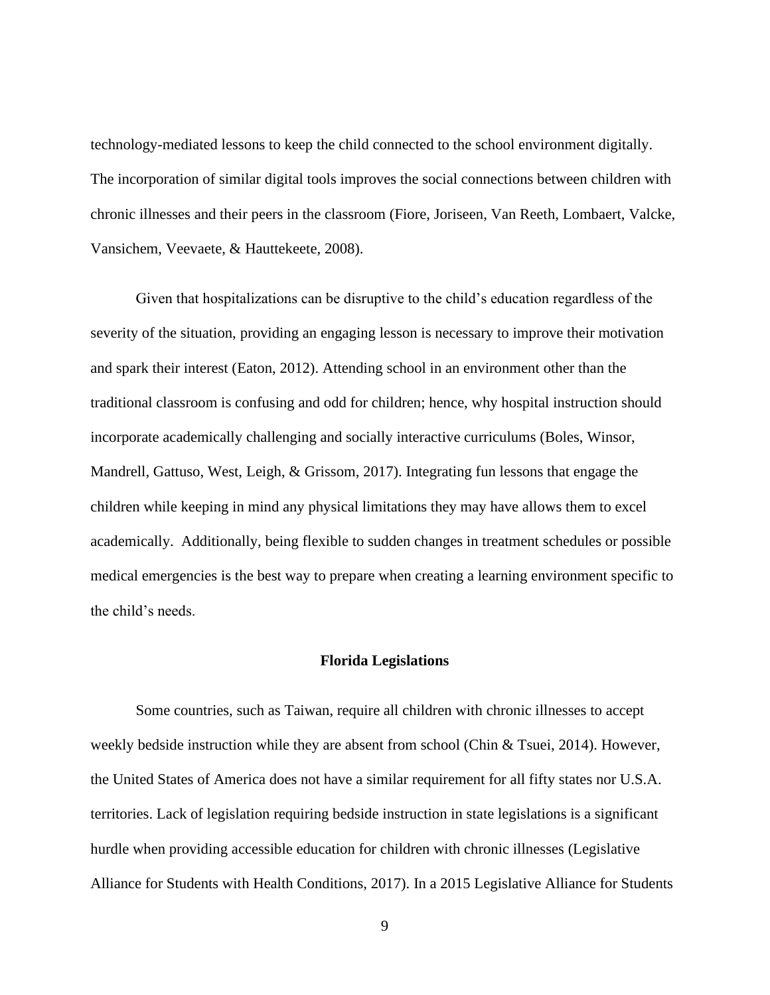technology-mediated lessons to keep the child connected to the school environment digitally. The incorporation of similar digital tools improves the social connections between children with chronic illnesses and their peers in the classroom (Fiore, Joriseen, Van Reeth, Lombaert, Valcke, Vansichem, Veevaete, & Hauttekeete, 2008).

Given that hospitalizations can be disruptive to the child's education regardless of the severity of the situation, providing an engaging lesson is necessary to improve their motivation and spark their interest (Eaton, 2012). Attending school in an environment other than the traditional classroom is confusing and odd for children; hence, why hospital instruction should incorporate academically challenging and socially interactive curriculums (Boles, Winsor, Mandrell, Gattuso, West, Leigh, & Grissom, 2017). Integrating fun lessons that engage the children while keeping in mind any physical limitations they may have allows them to excel academically. Additionally, being flexible to sudden changes in treatment schedules or possible medical emergencies is the best way to prepare when creating a learning environment specific to the child's needs.

#### **Florida Legislations**

Some countries, such as Taiwan, require all children with chronic illnesses to accept weekly bedside instruction while they are absent from school (Chin & Tsuei, 2014). However, the United States of America does not have a similar requirement for all fifty states nor U.S.A. territories. Lack of legislation requiring bedside instruction in state legislations is a significant hurdle when providing accessible education for children with chronic illnesses (Legislative Alliance for Students with Health Conditions, 2017). In a 2015 Legislative Alliance for Students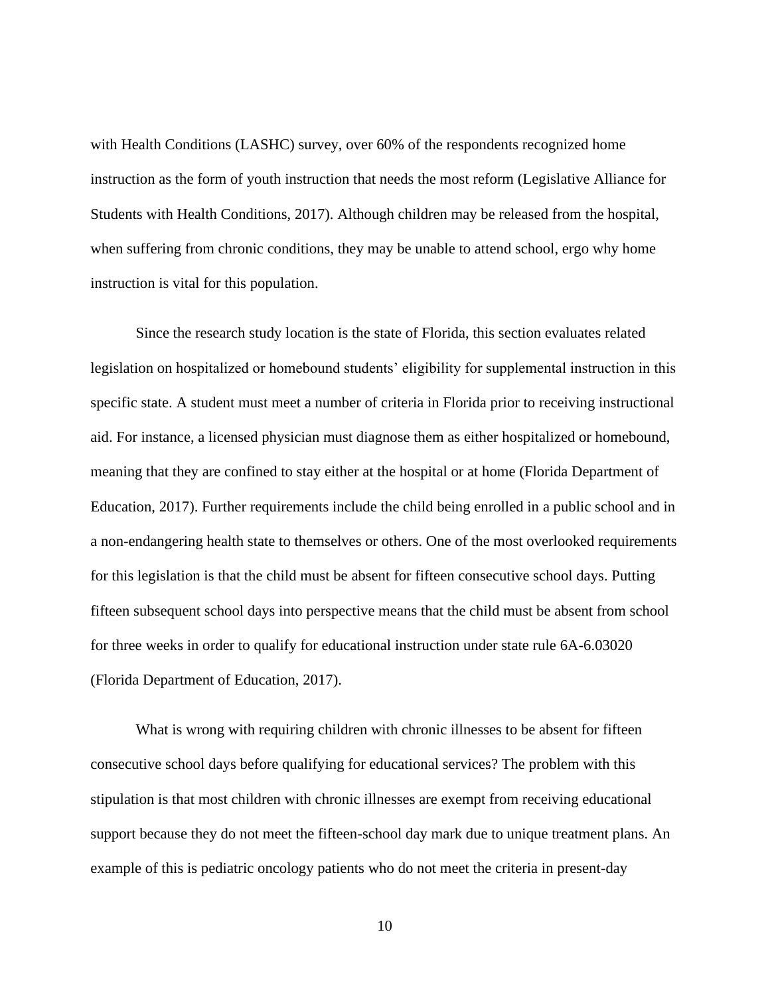with Health Conditions (LASHC) survey, over 60% of the respondents recognized home instruction as the form of youth instruction that needs the most reform (Legislative Alliance for Students with Health Conditions, 2017). Although children may be released from the hospital, when suffering from chronic conditions, they may be unable to attend school, ergo why home instruction is vital for this population.

Since the research study location is the state of Florida, this section evaluates related legislation on hospitalized or homebound students' eligibility for supplemental instruction in this specific state. A student must meet a number of criteria in Florida prior to receiving instructional aid. For instance, a licensed physician must diagnose them as either hospitalized or homebound, meaning that they are confined to stay either at the hospital or at home (Florida Department of Education, 2017). Further requirements include the child being enrolled in a public school and in a non-endangering health state to themselves or others. One of the most overlooked requirements for this legislation is that the child must be absent for fifteen consecutive school days. Putting fifteen subsequent school days into perspective means that the child must be absent from school for three weeks in order to qualify for educational instruction under state rule 6A-6.03020 (Florida Department of Education, 2017).

What is wrong with requiring children with chronic illnesses to be absent for fifteen consecutive school days before qualifying for educational services? The problem with this stipulation is that most children with chronic illnesses are exempt from receiving educational support because they do not meet the fifteen-school day mark due to unique treatment plans. An example of this is pediatric oncology patients who do not meet the criteria in present-day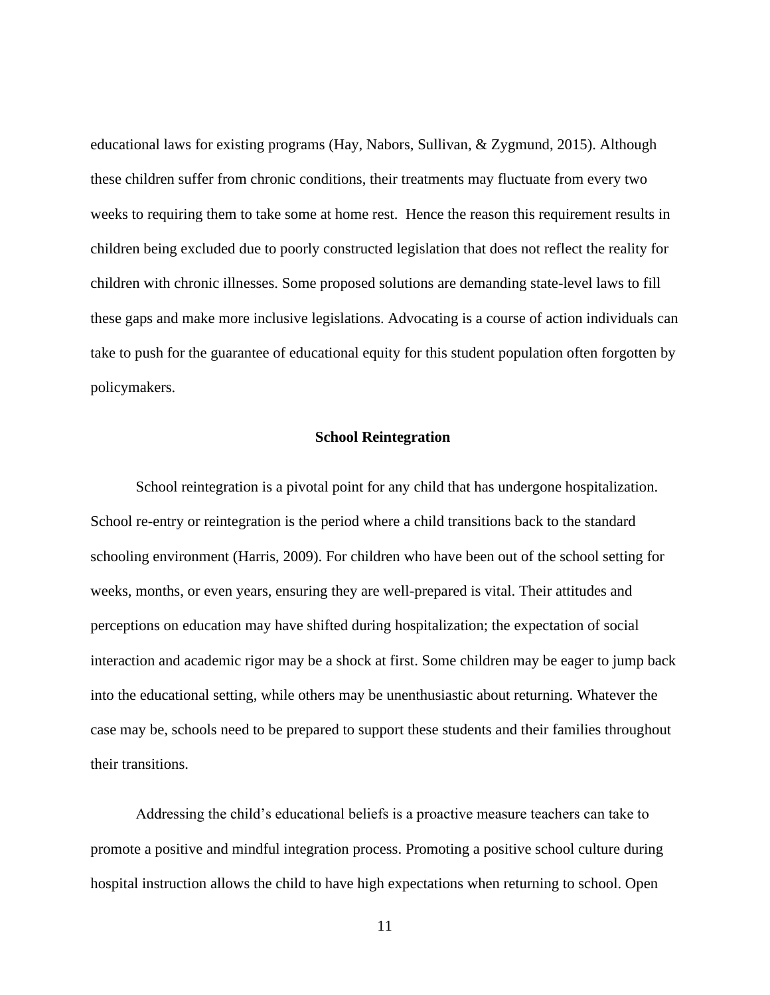educational laws for existing programs (Hay, Nabors, Sullivan, & Zygmund, 2015). Although these children suffer from chronic conditions, their treatments may fluctuate from every two weeks to requiring them to take some at home rest. Hence the reason this requirement results in children being excluded due to poorly constructed legislation that does not reflect the reality for children with chronic illnesses. Some proposed solutions are demanding state-level laws to fill these gaps and make more inclusive legislations. Advocating is a course of action individuals can take to push for the guarantee of educational equity for this student population often forgotten by policymakers.

#### **School Reintegration**

School reintegration is a pivotal point for any child that has undergone hospitalization. School re-entry or reintegration is the period where a child transitions back to the standard schooling environment (Harris, 2009). For children who have been out of the school setting for weeks, months, or even years, ensuring they are well-prepared is vital. Their attitudes and perceptions on education may have shifted during hospitalization; the expectation of social interaction and academic rigor may be a shock at first. Some children may be eager to jump back into the educational setting, while others may be unenthusiastic about returning. Whatever the case may be, schools need to be prepared to support these students and their families throughout their transitions.

Addressing the child's educational beliefs is a proactive measure teachers can take to promote a positive and mindful integration process. Promoting a positive school culture during hospital instruction allows the child to have high expectations when returning to school. Open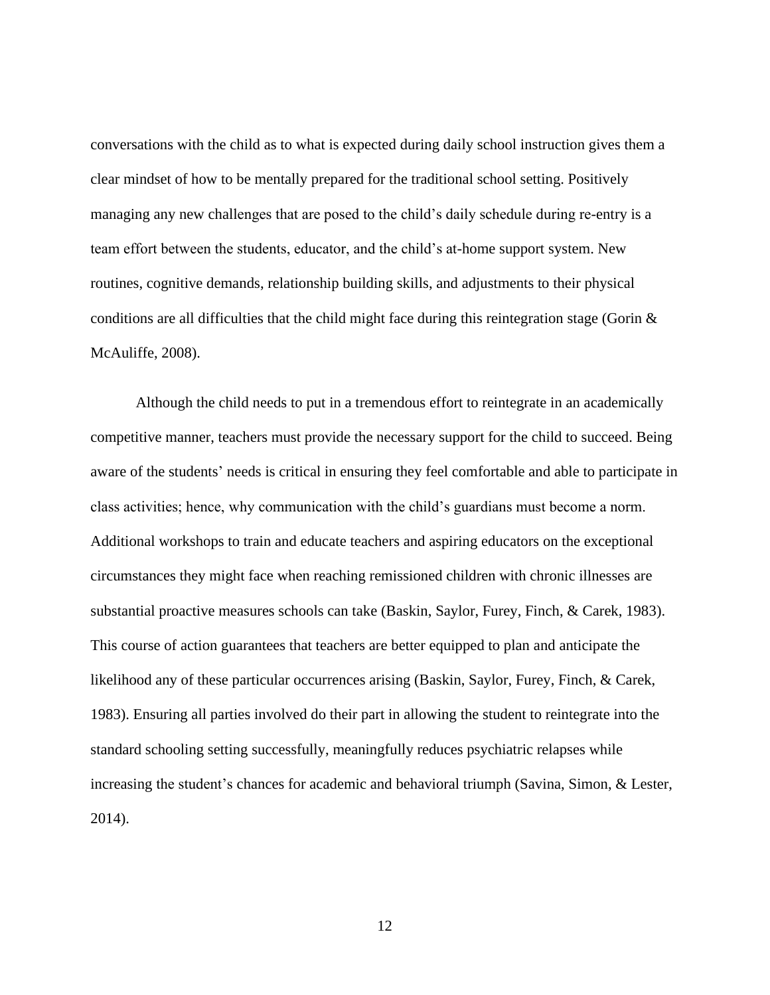conversations with the child as to what is expected during daily school instruction gives them a clear mindset of how to be mentally prepared for the traditional school setting. Positively managing any new challenges that are posed to the child's daily schedule during re-entry is a team effort between the students, educator, and the child's at-home support system. New routines, cognitive demands, relationship building skills, and adjustments to their physical conditions are all difficulties that the child might face during this reintegration stage (Gorin  $\&$ McAuliffe, 2008).

Although the child needs to put in a tremendous effort to reintegrate in an academically competitive manner, teachers must provide the necessary support for the child to succeed. Being aware of the students' needs is critical in ensuring they feel comfortable and able to participate in class activities; hence, why communication with the child's guardians must become a norm. Additional workshops to train and educate teachers and aspiring educators on the exceptional circumstances they might face when reaching remissioned children with chronic illnesses are substantial proactive measures schools can take (Baskin, Saylor, Furey, Finch, & Carek, 1983). This course of action guarantees that teachers are better equipped to plan and anticipate the likelihood any of these particular occurrences arising (Baskin, Saylor, Furey, Finch, & Carek, 1983). Ensuring all parties involved do their part in allowing the student to reintegrate into the standard schooling setting successfully, meaningfully reduces psychiatric relapses while increasing the student's chances for academic and behavioral triumph (Savina, Simon, & Lester, 2014).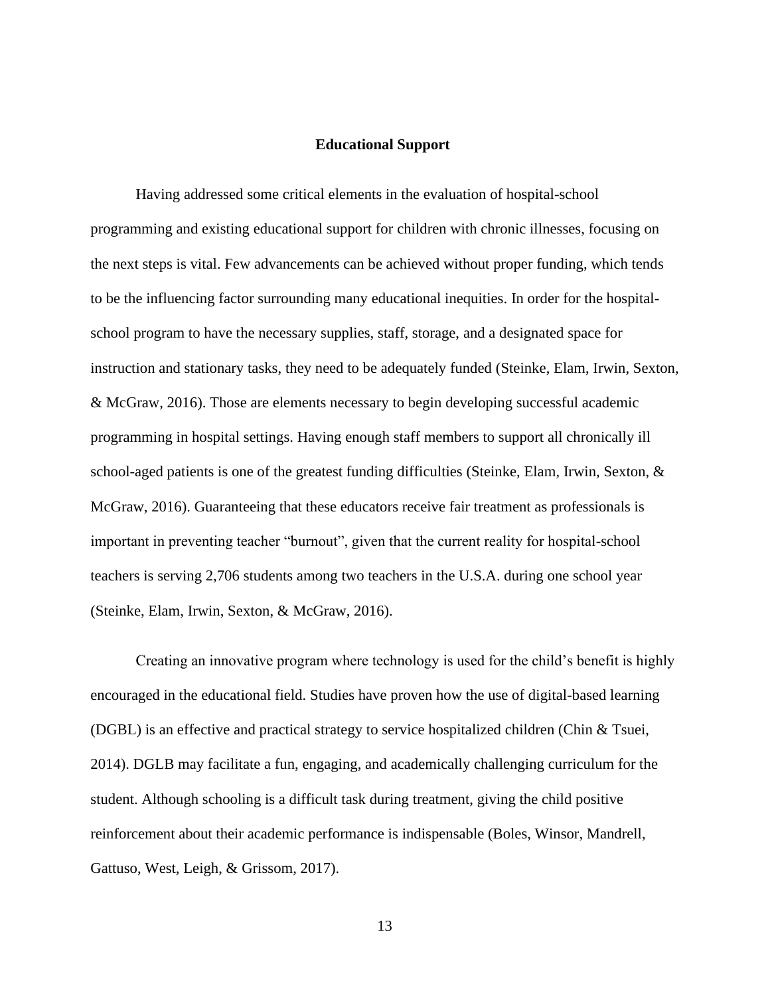#### **Educational Support**

Having addressed some critical elements in the evaluation of hospital-school programming and existing educational support for children with chronic illnesses, focusing on the next steps is vital. Few advancements can be achieved without proper funding, which tends to be the influencing factor surrounding many educational inequities. In order for the hospitalschool program to have the necessary supplies, staff, storage, and a designated space for instruction and stationary tasks, they need to be adequately funded (Steinke, Elam, Irwin, Sexton, & McGraw, 2016). Those are elements necessary to begin developing successful academic programming in hospital settings. Having enough staff members to support all chronically ill school-aged patients is one of the greatest funding difficulties (Steinke, Elam, Irwin, Sexton, & McGraw, 2016). Guaranteeing that these educators receive fair treatment as professionals is important in preventing teacher "burnout", given that the current reality for hospital-school teachers is serving 2,706 students among two teachers in the U.S.A. during one school year (Steinke, Elam, Irwin, Sexton, & McGraw, 2016).

Creating an innovative program where technology is used for the child's benefit is highly encouraged in the educational field. Studies have proven how the use of digital-based learning (DGBL) is an effective and practical strategy to service hospitalized children (Chin & Tsuei, 2014). DGLB may facilitate a fun, engaging, and academically challenging curriculum for the student. Although schooling is a difficult task during treatment, giving the child positive reinforcement about their academic performance is indispensable (Boles, Winsor, Mandrell, Gattuso, West, Leigh, & Grissom, 2017).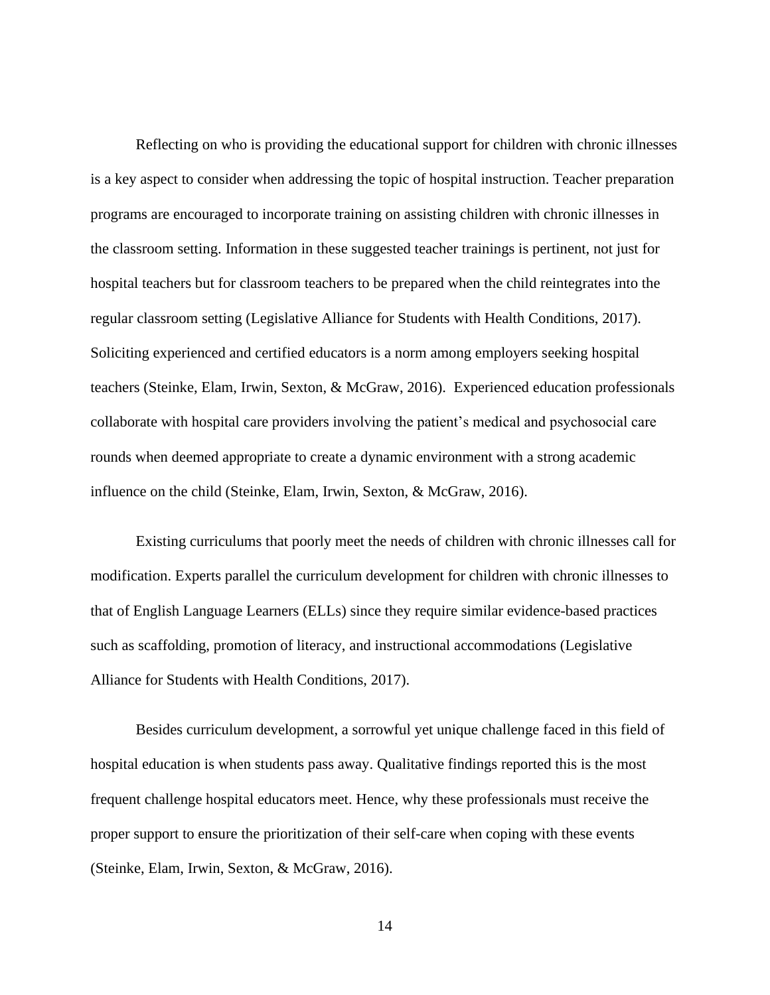Reflecting on who is providing the educational support for children with chronic illnesses is a key aspect to consider when addressing the topic of hospital instruction. Teacher preparation programs are encouraged to incorporate training on assisting children with chronic illnesses in the classroom setting. Information in these suggested teacher trainings is pertinent, not just for hospital teachers but for classroom teachers to be prepared when the child reintegrates into the regular classroom setting (Legislative Alliance for Students with Health Conditions, 2017). Soliciting experienced and certified educators is a norm among employers seeking hospital teachers (Steinke, Elam, Irwin, Sexton, & McGraw, 2016). Experienced education professionals collaborate with hospital care providers involving the patient's medical and psychosocial care rounds when deemed appropriate to create a dynamic environment with a strong academic influence on the child (Steinke, Elam, Irwin, Sexton, & McGraw, 2016).

Existing curriculums that poorly meet the needs of children with chronic illnesses call for modification. Experts parallel the curriculum development for children with chronic illnesses to that of English Language Learners (ELLs) since they require similar evidence-based practices such as scaffolding, promotion of literacy, and instructional accommodations (Legislative Alliance for Students with Health Conditions, 2017).

Besides curriculum development, a sorrowful yet unique challenge faced in this field of hospital education is when students pass away. Qualitative findings reported this is the most frequent challenge hospital educators meet. Hence, why these professionals must receive the proper support to ensure the prioritization of their self-care when coping with these events (Steinke, Elam, Irwin, Sexton, & McGraw, 2016).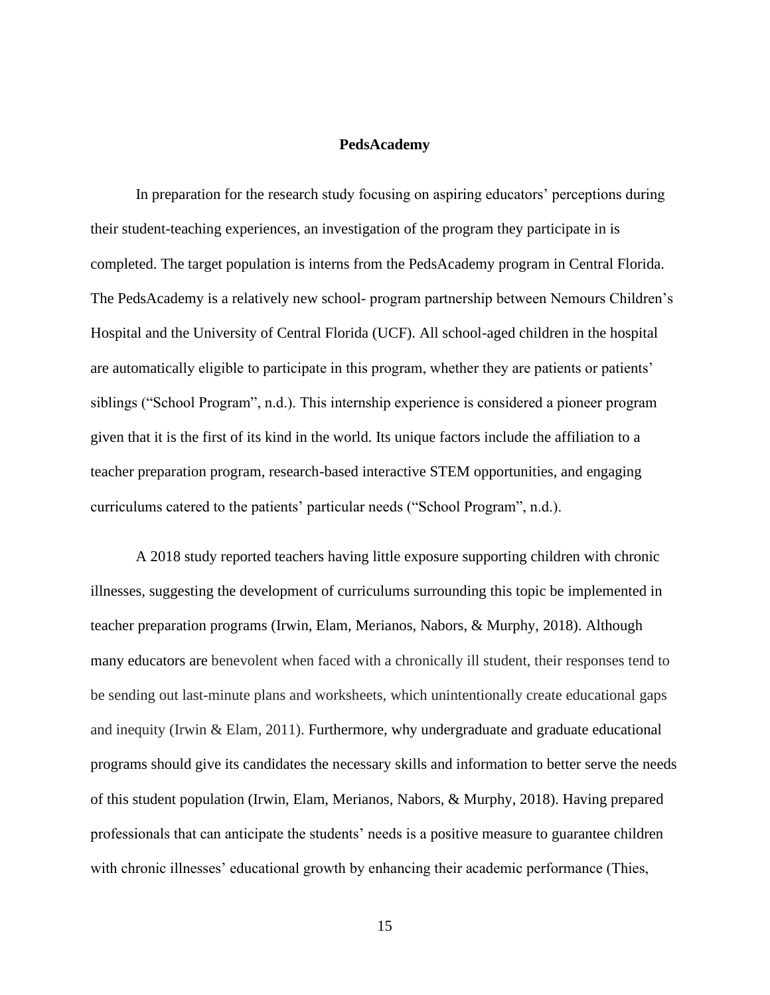#### **PedsAcademy**

In preparation for the research study focusing on aspiring educators' perceptions during their student-teaching experiences, an investigation of the program they participate in is completed. The target population is interns from the PedsAcademy program in Central Florida. The PedsAcademy is a relatively new school- program partnership between Nemours Children's Hospital and the University of Central Florida (UCF). All school-aged children in the hospital are automatically eligible to participate in this program, whether they are patients or patients' siblings ("School Program", n.d.). This internship experience is considered a pioneer program given that it is the first of its kind in the world. Its unique factors include the affiliation to a teacher preparation program, research-based interactive STEM opportunities, and engaging curriculums catered to the patients' particular needs ("School Program", n.d.).

A 2018 study reported teachers having little exposure supporting children with chronic illnesses, suggesting the development of curriculums surrounding this topic be implemented in teacher preparation programs (Irwin, Elam, Merianos, Nabors, & Murphy, 2018). Although many educators are benevolent when faced with a chronically ill student, their responses tend to be sending out last-minute plans and worksheets, which unintentionally create educational gaps and inequity (Irwin & Elam, 2011). Furthermore, why undergraduate and graduate educational programs should give its candidates the necessary skills and information to better serve the needs of this student population (Irwin, Elam, Merianos, Nabors, & Murphy, 2018). Having prepared professionals that can anticipate the students' needs is a positive measure to guarantee children with chronic illnesses' educational growth by enhancing their academic performance (Thies,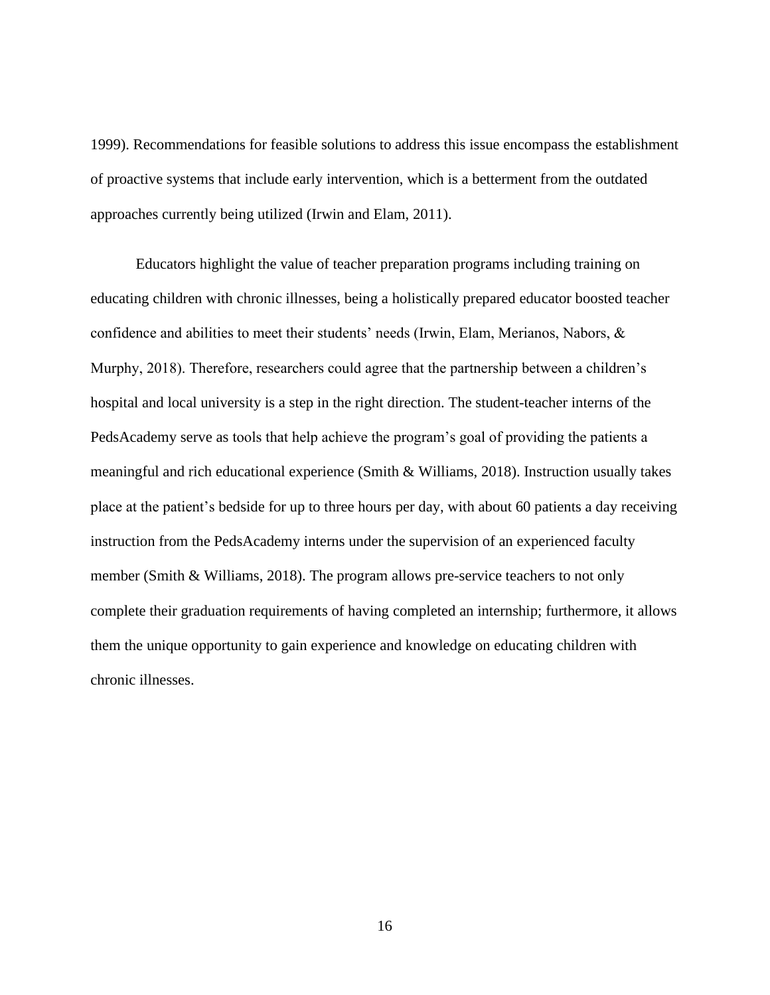1999). Recommendations for feasible solutions to address this issue encompass the establishment of proactive systems that include early intervention, which is a betterment from the outdated approaches currently being utilized (Irwin and Elam, 2011).

Educators highlight the value of teacher preparation programs including training on educating children with chronic illnesses, being a holistically prepared educator boosted teacher confidence and abilities to meet their students' needs (Irwin, Elam, Merianos, Nabors, & Murphy, 2018). Therefore, researchers could agree that the partnership between a children's hospital and local university is a step in the right direction. The student-teacher interns of the PedsAcademy serve as tools that help achieve the program's goal of providing the patients a meaningful and rich educational experience (Smith & Williams, 2018). Instruction usually takes place at the patient's bedside for up to three hours per day, with about 60 patients a day receiving instruction from the PedsAcademy interns under the supervision of an experienced faculty member (Smith & Williams, 2018). The program allows pre-service teachers to not only complete their graduation requirements of having completed an internship; furthermore, it allows them the unique opportunity to gain experience and knowledge on educating children with chronic illnesses.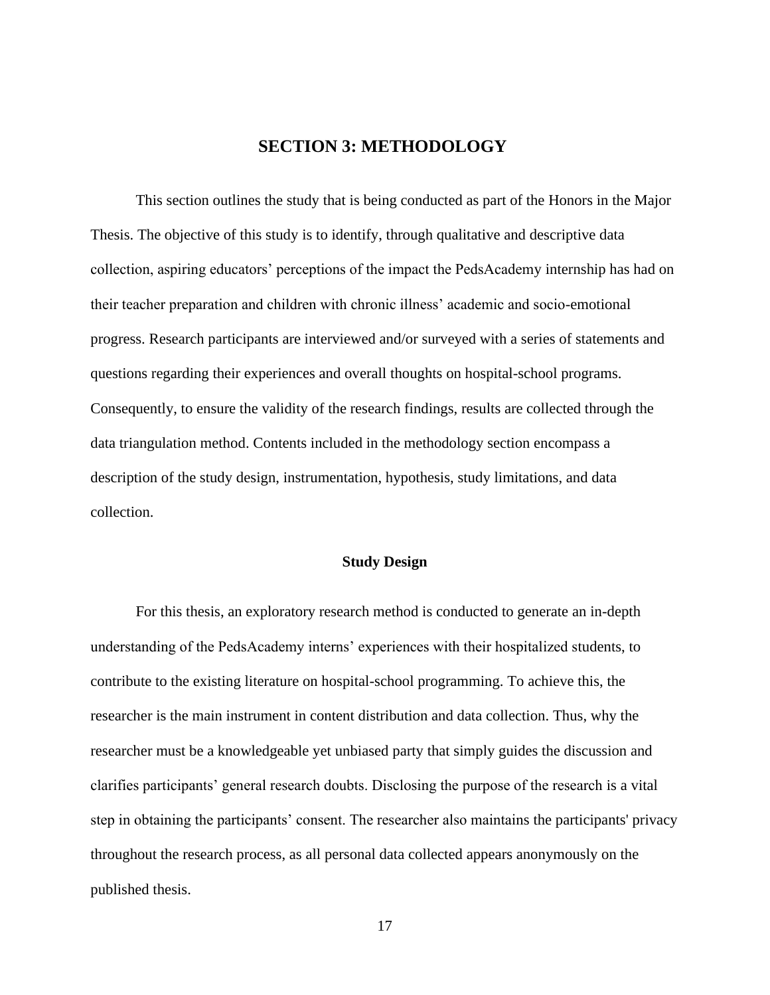# **SECTION 3: METHODOLOGY**

This section outlines the study that is being conducted as part of the Honors in the Major Thesis. The objective of this study is to identify, through qualitative and descriptive data collection, aspiring educators' perceptions of the impact the PedsAcademy internship has had on their teacher preparation and children with chronic illness' academic and socio-emotional progress. Research participants are interviewed and/or surveyed with a series of statements and questions regarding their experiences and overall thoughts on hospital-school programs. Consequently, to ensure the validity of the research findings, results are collected through the data triangulation method. Contents included in the methodology section encompass a description of the study design, instrumentation, hypothesis, study limitations, and data collection.

#### **Study Design**

For this thesis, an exploratory research method is conducted to generate an in-depth understanding of the PedsAcademy interns' experiences with their hospitalized students, to contribute to the existing literature on hospital-school programming. To achieve this, the researcher is the main instrument in content distribution and data collection. Thus, why the researcher must be a knowledgeable yet unbiased party that simply guides the discussion and clarifies participants' general research doubts. Disclosing the purpose of the research is a vital step in obtaining the participants' consent. The researcher also maintains the participants' privacy throughout the research process, as all personal data collected appears anonymously on the published thesis.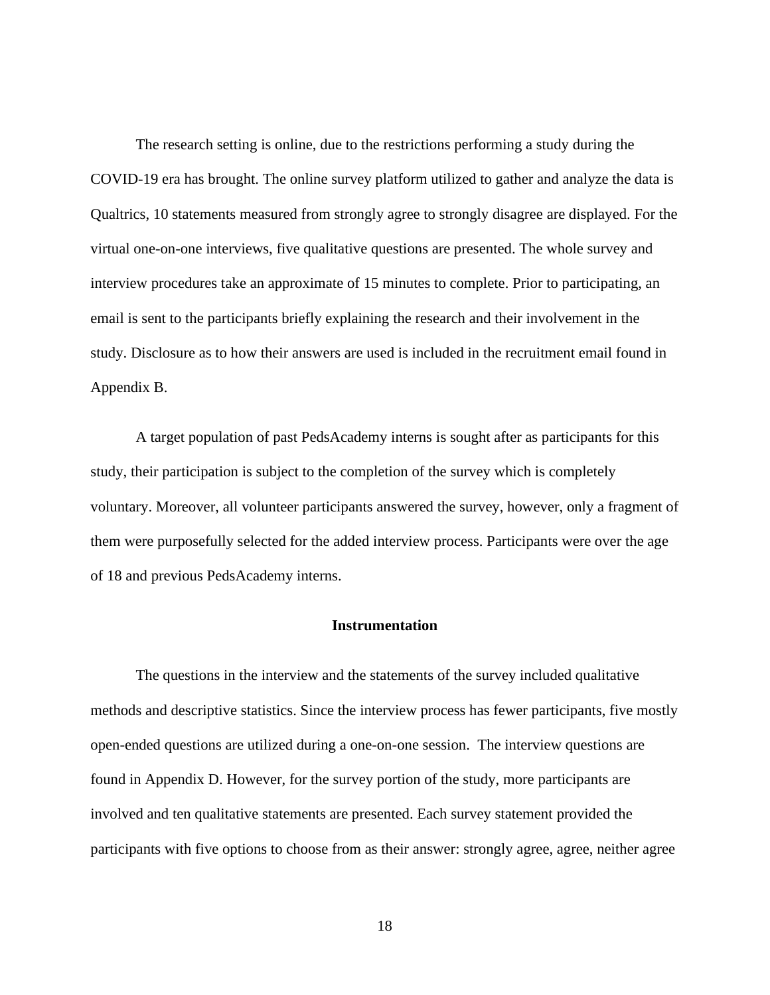The research setting is online, due to the restrictions performing a study during the COVID-19 era has brought. The online survey platform utilized to gather and analyze the data is Qualtrics, 10 statements measured from strongly agree to strongly disagree are displayed. For the virtual one-on-one interviews, five qualitative questions are presented. The whole survey and interview procedures take an approximate of 15 minutes to complete. Prior to participating, an email is sent to the participants briefly explaining the research and their involvement in the study. Disclosure as to how their answers are used is included in the recruitment email found in Appendix B.

 A target population of past PedsAcademy interns is sought after as participants for this study, their participation is subject to the completion of the survey which is completely voluntary. Moreover, all volunteer participants answered the survey, however, only a fragment of them were purposefully selected for the added interview process. Participants were over the age of 18 and previous PedsAcademy interns.

#### **Instrumentation**

 The questions in the interview and the statements of the survey included qualitative methods and descriptive statistics. Since the interview process has fewer participants, five mostly open-ended questions are utilized during a one-on-one session. The interview questions are found in Appendix D. However, for the survey portion of the study, more participants are involved and ten qualitative statements are presented. Each survey statement provided the participants with five options to choose from as their answer: strongly agree, agree, neither agree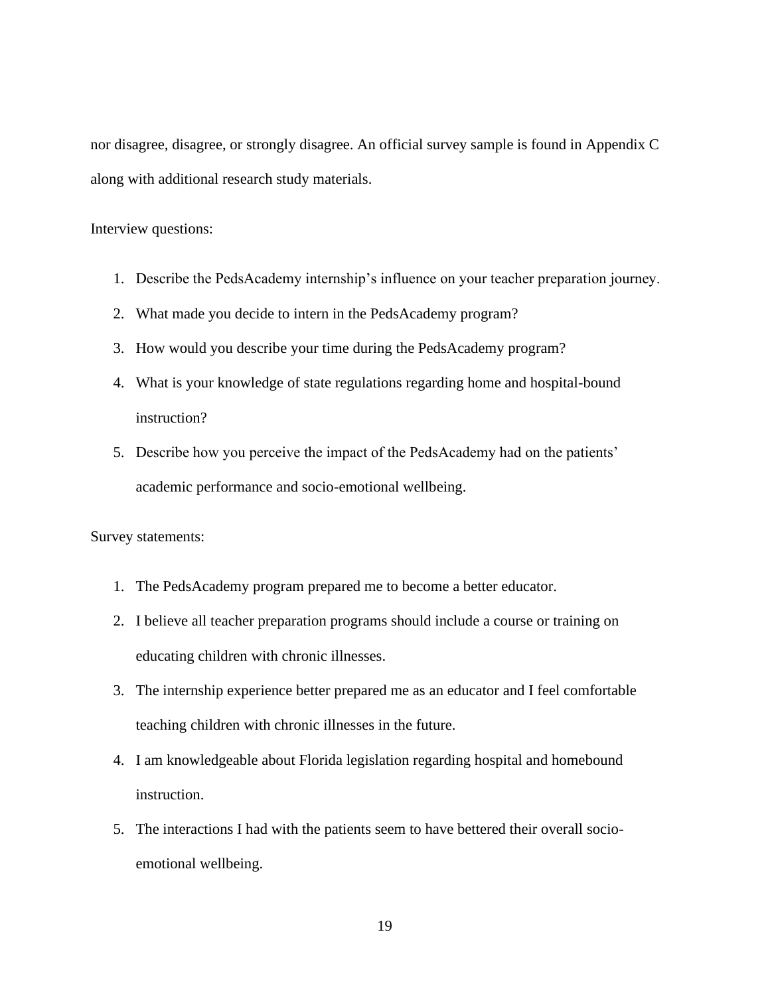nor disagree, disagree, or strongly disagree. An official survey sample is found in Appendix C along with additional research study materials.

Interview questions:

- 1. Describe the PedsAcademy internship's influence on your teacher preparation journey.
- 2. What made you decide to intern in the PedsAcademy program?
- 3. How would you describe your time during the PedsAcademy program?
- 4. What is your knowledge of state regulations regarding home and hospital-bound instruction?
- 5. Describe how you perceive the impact of the PedsAcademy had on the patients' academic performance and socio-emotional wellbeing.

Survey statements:

- 1. The PedsAcademy program prepared me to become a better educator.
- 2. I believe all teacher preparation programs should include a course or training on educating children with chronic illnesses.
- 3. The internship experience better prepared me as an educator and I feel comfortable teaching children with chronic illnesses in the future.
- 4. I am knowledgeable about Florida legislation regarding hospital and homebound instruction.
- 5. The interactions I had with the patients seem to have bettered their overall socioemotional wellbeing.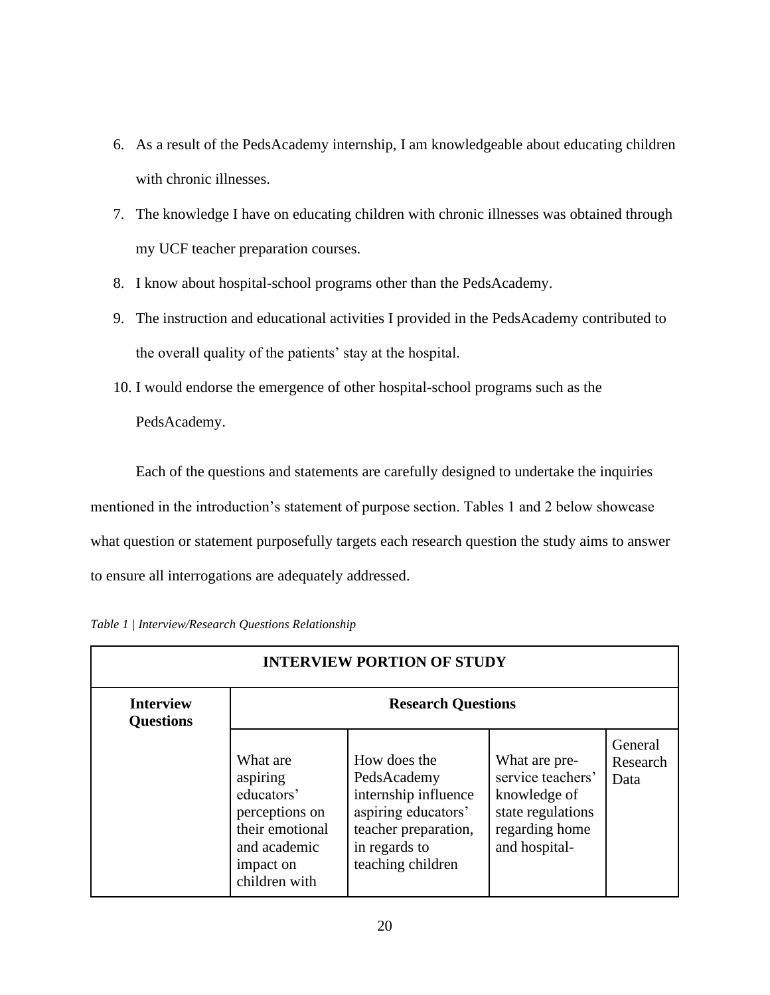- 6. As a result of the PedsAcademy internship, I am knowledgeable about educating children with chronic illnesses.
- 7. The knowledge I have on educating children with chronic illnesses was obtained through my UCF teacher preparation courses.
- 8. I know about hospital-school programs other than the PedsAcademy.
- 9. The instruction and educational activities I provided in the PedsAcademy contributed to the overall quality of the patients' stay at the hospital.
- 10. I would endorse the emergence of other hospital-school programs such as the PedsAcademy.

Each of the questions and statements are carefully designed to undertake the inquiries mentioned in the introduction's statement of purpose section. Tables 1 and 2 below showcase what question or statement purposefully targets each research question the study aims to answer to ensure all interrogations are adequately addressed.

| <b>INTERVIEW PORTION OF STUDY</b>    |                                                                                                                       |                                                                                                                                          |                                                                                                            |                             |  |
|--------------------------------------|-----------------------------------------------------------------------------------------------------------------------|------------------------------------------------------------------------------------------------------------------------------------------|------------------------------------------------------------------------------------------------------------|-----------------------------|--|
| <b>Interview</b><br><b>Questions</b> | <b>Research Questions</b>                                                                                             |                                                                                                                                          |                                                                                                            |                             |  |
|                                      | What are<br>aspiring<br>educators'<br>perceptions on<br>their emotional<br>and academic<br>impact on<br>children with | How does the<br>PedsAcademy<br>internship influence<br>aspiring educators'<br>teacher preparation,<br>in regards to<br>teaching children | What are pre-<br>service teachers'<br>knowledge of<br>state regulations<br>regarding home<br>and hospital- | General<br>Research<br>Data |  |

|  | Table 1   Interview/Research Questions Relationship |  |  |
|--|-----------------------------------------------------|--|--|
|--|-----------------------------------------------------|--|--|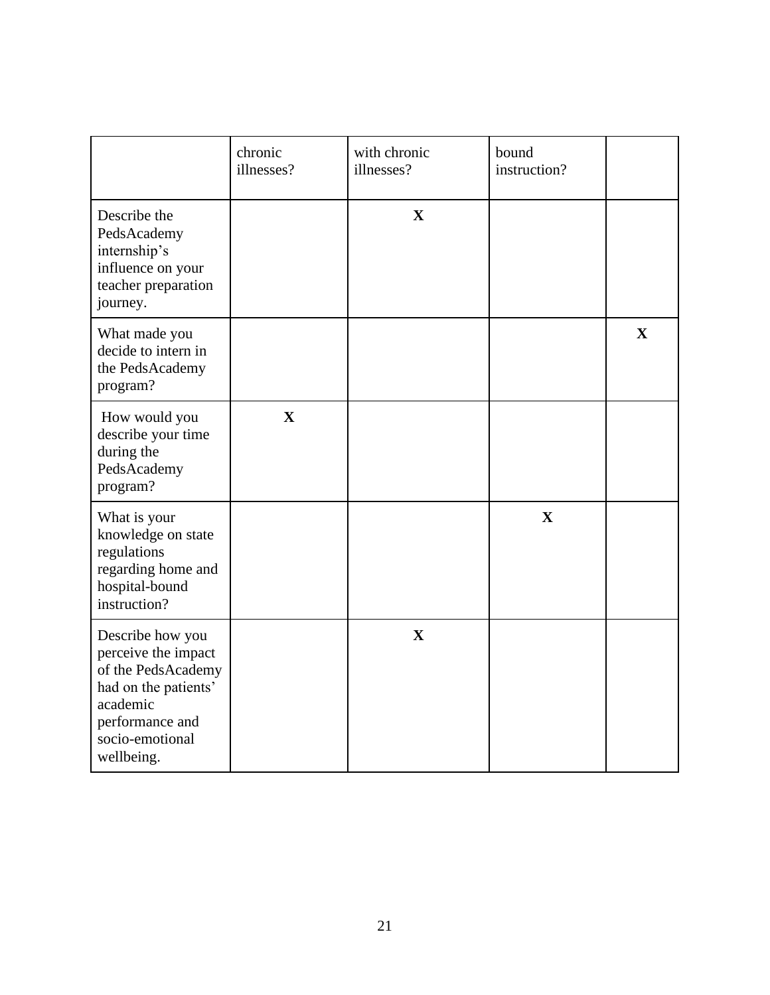|                                                                                                                                                       | chronic<br>illnesses? | with chronic<br>illnesses? | bound<br>instruction? |              |
|-------------------------------------------------------------------------------------------------------------------------------------------------------|-----------------------|----------------------------|-----------------------|--------------|
| Describe the<br>PedsAcademy<br>internship's<br>influence on your<br>teacher preparation<br>journey.                                                   |                       | $\mathbf X$                |                       |              |
| What made you<br>decide to intern in<br>the PedsAcademy<br>program?                                                                                   |                       |                            |                       | $\mathbf{X}$ |
| How would you<br>describe your time<br>during the<br>PedsAcademy<br>program?                                                                          | $\mathbf{X}$          |                            |                       |              |
| What is your<br>knowledge on state<br>regulations<br>regarding home and<br>hospital-bound<br>instruction?                                             |                       |                            | $\mathbf X$           |              |
| Describe how you<br>perceive the impact<br>of the PedsAcademy<br>had on the patients'<br>academic<br>performance and<br>socio-emotional<br>wellbeing. |                       | X                          |                       |              |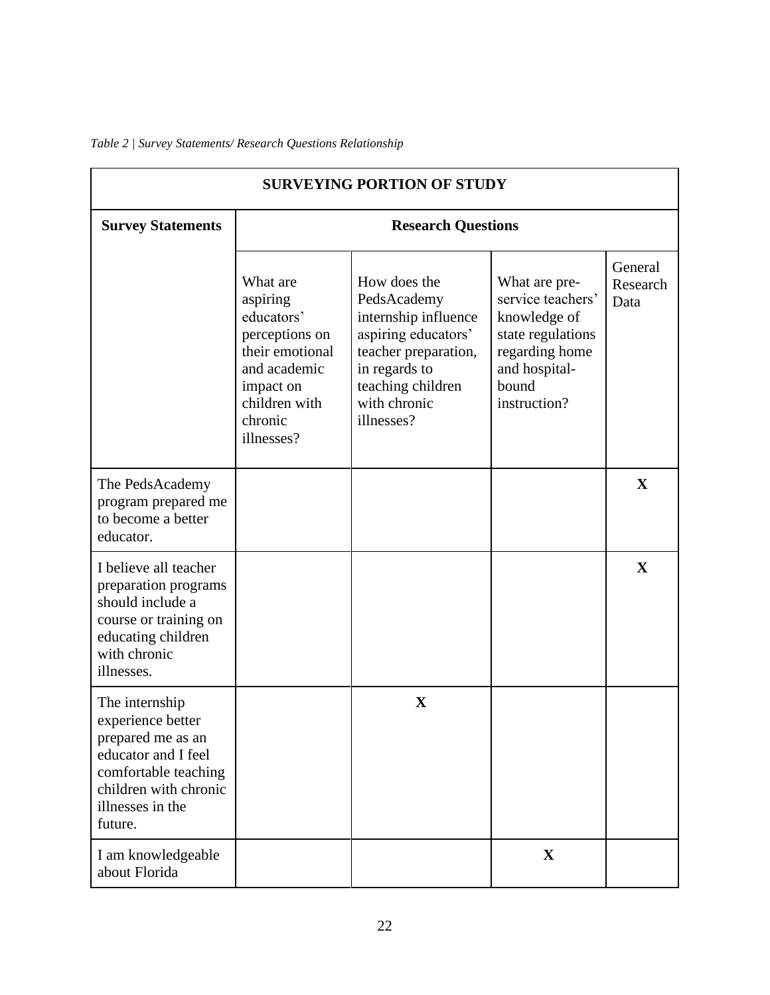| <b>SURVEYING PORTION OF STUDY</b>                                                                                                                               |                                                                                                                                                |                                                                                                                                                                        |                                                                                                                                     |                             |
|-----------------------------------------------------------------------------------------------------------------------------------------------------------------|------------------------------------------------------------------------------------------------------------------------------------------------|------------------------------------------------------------------------------------------------------------------------------------------------------------------------|-------------------------------------------------------------------------------------------------------------------------------------|-----------------------------|
| <b>Survey Statements</b>                                                                                                                                        | <b>Research Questions</b>                                                                                                                      |                                                                                                                                                                        |                                                                                                                                     |                             |
|                                                                                                                                                                 | What are<br>aspiring<br>educators'<br>perceptions on<br>their emotional<br>and academic<br>impact on<br>children with<br>chronic<br>illnesses? | How does the<br>PedsAcademy<br>internship influence<br>aspiring educators'<br>teacher preparation,<br>in regards to<br>teaching children<br>with chronic<br>illnesses? | What are pre-<br>service teachers'<br>knowledge of<br>state regulations<br>regarding home<br>and hospital-<br>bound<br>instruction? | General<br>Research<br>Data |
| The PedsAcademy<br>program prepared me<br>to become a better<br>educator.                                                                                       |                                                                                                                                                |                                                                                                                                                                        |                                                                                                                                     | X                           |
| I believe all teacher<br>preparation programs<br>should include a<br>course or training on<br>educating children<br>with chronic<br>illnesses.                  |                                                                                                                                                |                                                                                                                                                                        |                                                                                                                                     | $\mathbf X$                 |
| The internship<br>experience better<br>prepared me as an<br>educator and I feel<br>comfortable teaching<br>children with chronic<br>illnesses in the<br>future. |                                                                                                                                                | $\mathbf X$                                                                                                                                                            |                                                                                                                                     |                             |
| I am knowledgeable<br>about Florida                                                                                                                             |                                                                                                                                                |                                                                                                                                                                        | $\mathbf X$                                                                                                                         |                             |

### *Table 2 | Survey Statements/ Research Questions Relationship*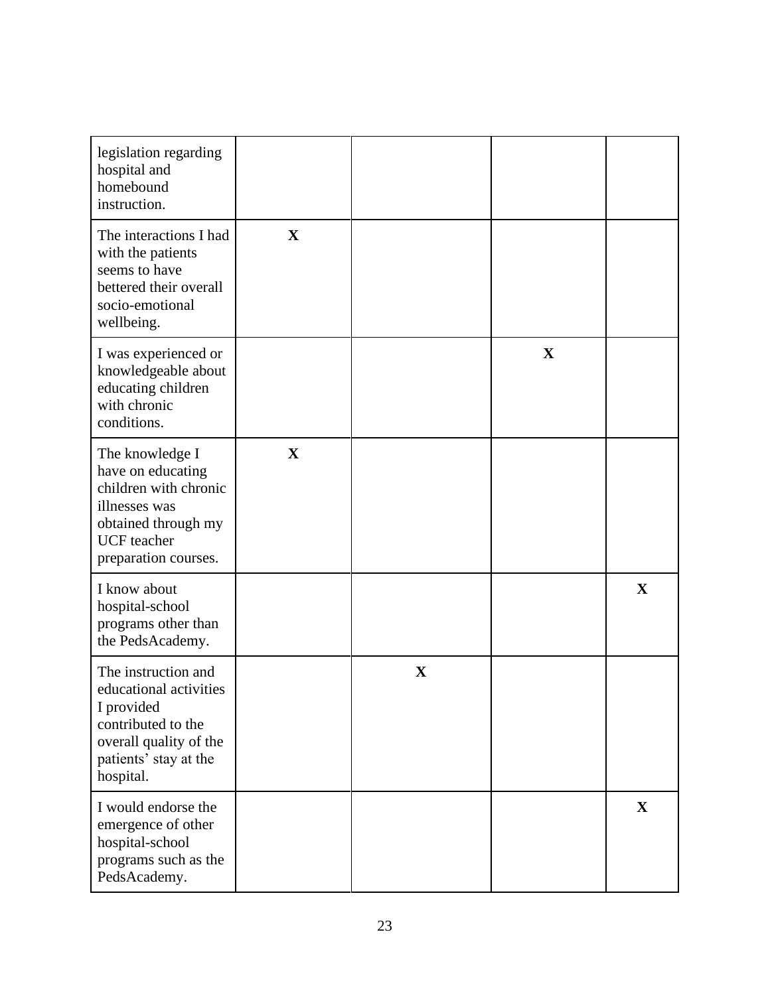| legislation regarding<br>hospital and<br>homebound<br>instruction.                                                                                  |             |             |             |             |
|-----------------------------------------------------------------------------------------------------------------------------------------------------|-------------|-------------|-------------|-------------|
| The interactions I had<br>with the patients<br>seems to have<br>bettered their overall<br>socio-emotional<br>wellbeing.                             | $\mathbf X$ |             |             |             |
| I was experienced or<br>knowledgeable about<br>educating children<br>with chronic<br>conditions.                                                    |             |             | $\mathbf X$ |             |
| The knowledge I<br>have on educating<br>children with chronic<br>illnesses was<br>obtained through my<br><b>UCF</b> teacher<br>preparation courses. | $\mathbf X$ |             |             |             |
| I know about<br>hospital-school<br>programs other than<br>the PedsAcademy.                                                                          |             |             |             | $\mathbf X$ |
| The instruction and<br>educational activities<br>I provided<br>contributed to the<br>overall quality of the<br>patients' stay at the<br>hospital.   |             | $\mathbf X$ |             |             |
| I would endorse the<br>emergence of other<br>hospital-school<br>programs such as the<br>PedsAcademy.                                                |             |             |             | $\mathbf X$ |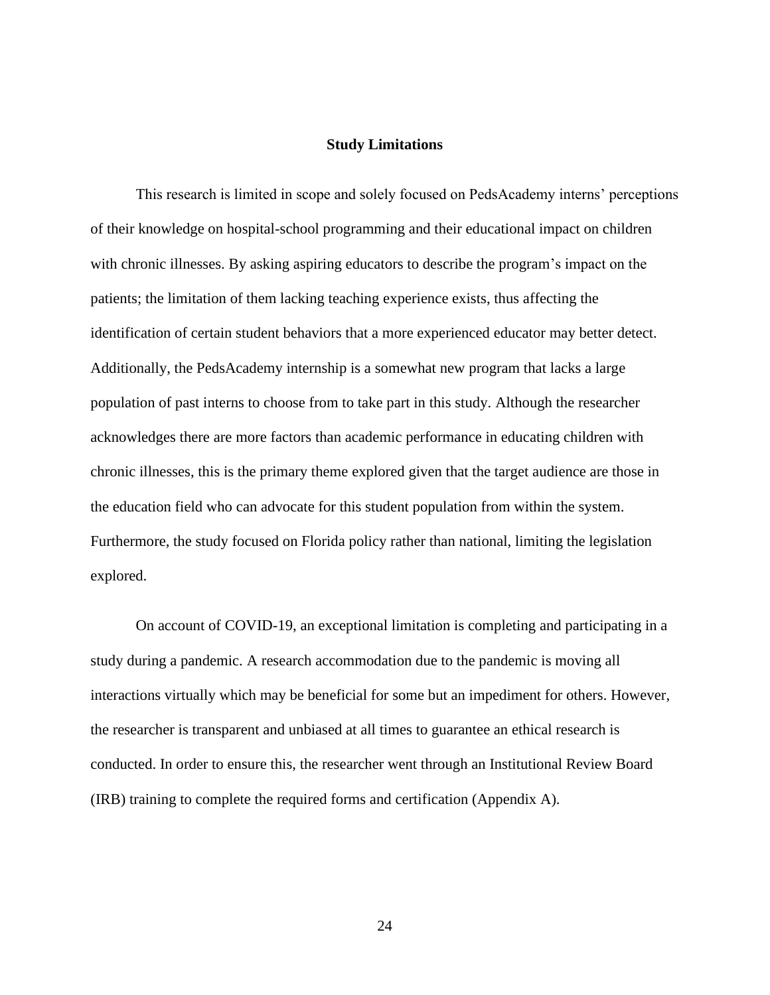#### **Study Limitations**

 This research is limited in scope and solely focused on PedsAcademy interns' perceptions of their knowledge on hospital-school programming and their educational impact on children with chronic illnesses. By asking aspiring educators to describe the program's impact on the patients; the limitation of them lacking teaching experience exists, thus affecting the identification of certain student behaviors that a more experienced educator may better detect. Additionally, the PedsAcademy internship is a somewhat new program that lacks a large population of past interns to choose from to take part in this study. Although the researcher acknowledges there are more factors than academic performance in educating children with chronic illnesses, this is the primary theme explored given that the target audience are those in the education field who can advocate for this student population from within the system. Furthermore, the study focused on Florida policy rather than national, limiting the legislation explored.

 On account of COVID-19, an exceptional limitation is completing and participating in a study during a pandemic. A research accommodation due to the pandemic is moving all interactions virtually which may be beneficial for some but an impediment for others. However, the researcher is transparent and unbiased at all times to guarantee an ethical research is conducted. In order to ensure this, the researcher went through an Institutional Review Board (IRB) training to complete the required forms and certification (Appendix A).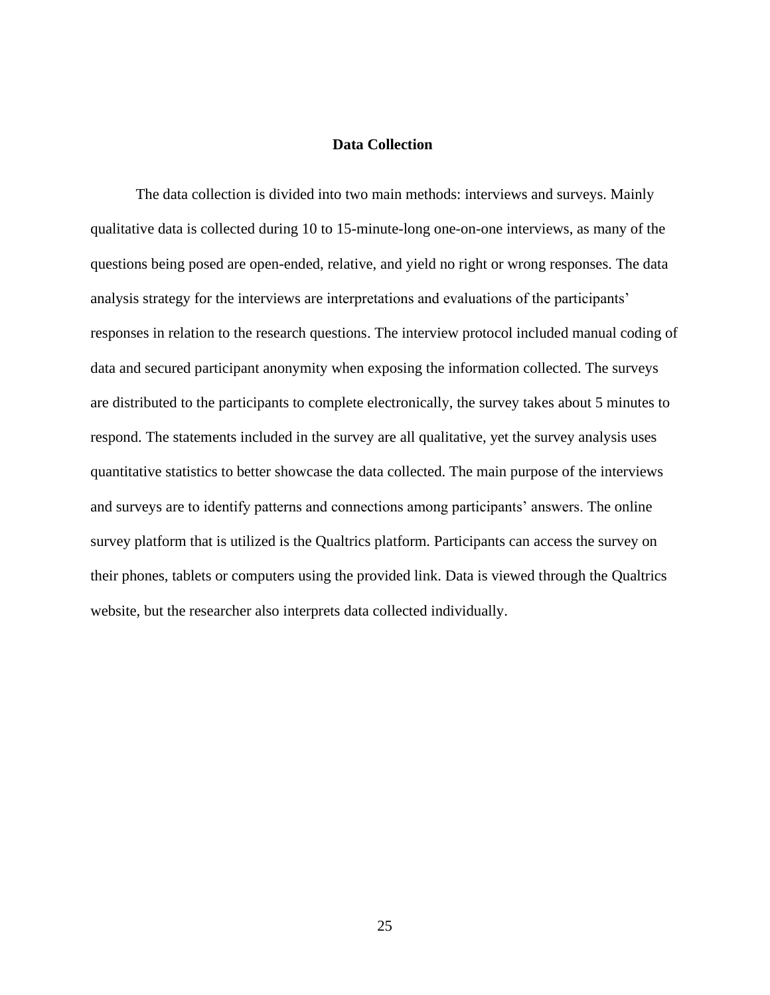#### **Data Collection**

The data collection is divided into two main methods: interviews and surveys. Mainly qualitative data is collected during 10 to 15-minute-long one-on-one interviews, as many of the questions being posed are open-ended, relative, and yield no right or wrong responses. The data analysis strategy for the interviews are interpretations and evaluations of the participants' responses in relation to the research questions. The interview protocol included manual coding of data and secured participant anonymity when exposing the information collected. The surveys are distributed to the participants to complete electronically, the survey takes about 5 minutes to respond. The statements included in the survey are all qualitative, yet the survey analysis uses quantitative statistics to better showcase the data collected. The main purpose of the interviews and surveys are to identify patterns and connections among participants' answers. The online survey platform that is utilized is the Qualtrics platform. Participants can access the survey on their phones, tablets or computers using the provided link. Data is viewed through the Qualtrics website, but the researcher also interprets data collected individually.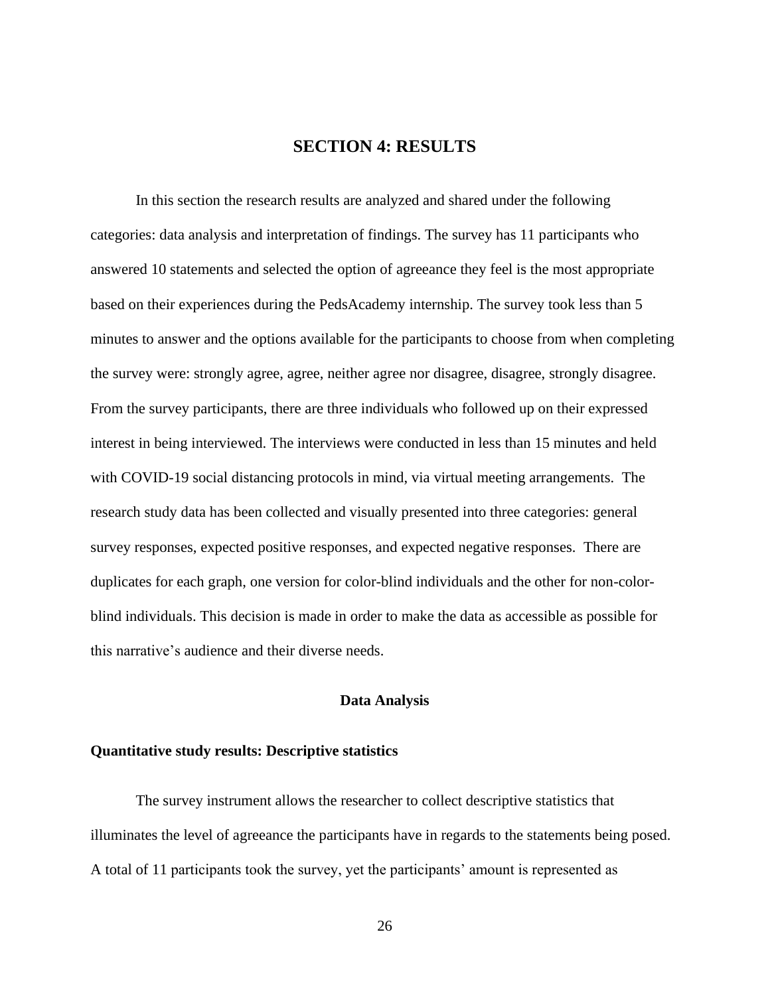# **SECTION 4: RESULTS**

In this section the research results are analyzed and shared under the following categories: data analysis and interpretation of findings. The survey has 11 participants who answered 10 statements and selected the option of agreeance they feel is the most appropriate based on their experiences during the PedsAcademy internship. The survey took less than 5 minutes to answer and the options available for the participants to choose from when completing the survey were: strongly agree, agree, neither agree nor disagree, disagree, strongly disagree. From the survey participants, there are three individuals who followed up on their expressed interest in being interviewed. The interviews were conducted in less than 15 minutes and held with COVID-19 social distancing protocols in mind, via virtual meeting arrangements. The research study data has been collected and visually presented into three categories: general survey responses, expected positive responses, and expected negative responses. There are duplicates for each graph, one version for color-blind individuals and the other for non-colorblind individuals. This decision is made in order to make the data as accessible as possible for this narrative's audience and their diverse needs.

#### **Data Analysis**

#### **Quantitative study results: Descriptive statistics**

The survey instrument allows the researcher to collect descriptive statistics that illuminates the level of agreeance the participants have in regards to the statements being posed. A total of 11 participants took the survey, yet the participants' amount is represented as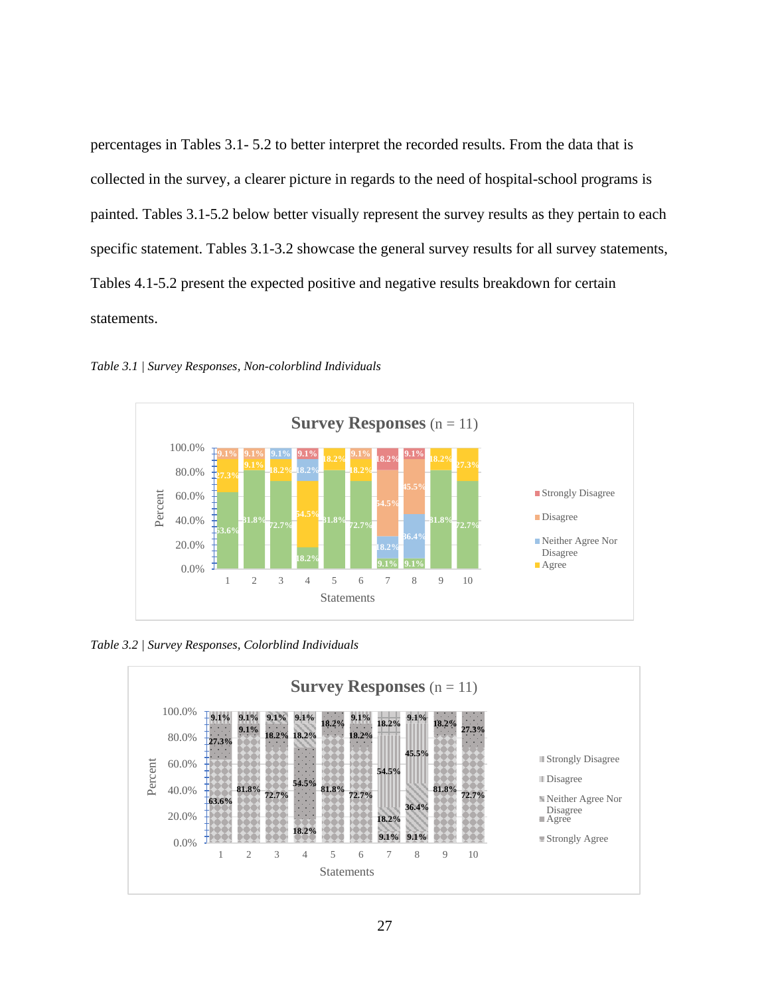percentages in Tables 3.1- 5.2 to better interpret the recorded results. From the data that is collected in the survey, a clearer picture in regards to the need of hospital-school programs is painted. Tables 3.1-5.2 below better visually represent the survey results as they pertain to each specific statement. Tables 3.1-3.2 showcase the general survey results for all survey statements, Tables 4.1-5.2 present the expected positive and negative results breakdown for certain statements.



*Table 3.1 | Survey Responses, Non-colorblind Individuals*

*Table 3.2 | Survey Responses, Colorblind Individuals*

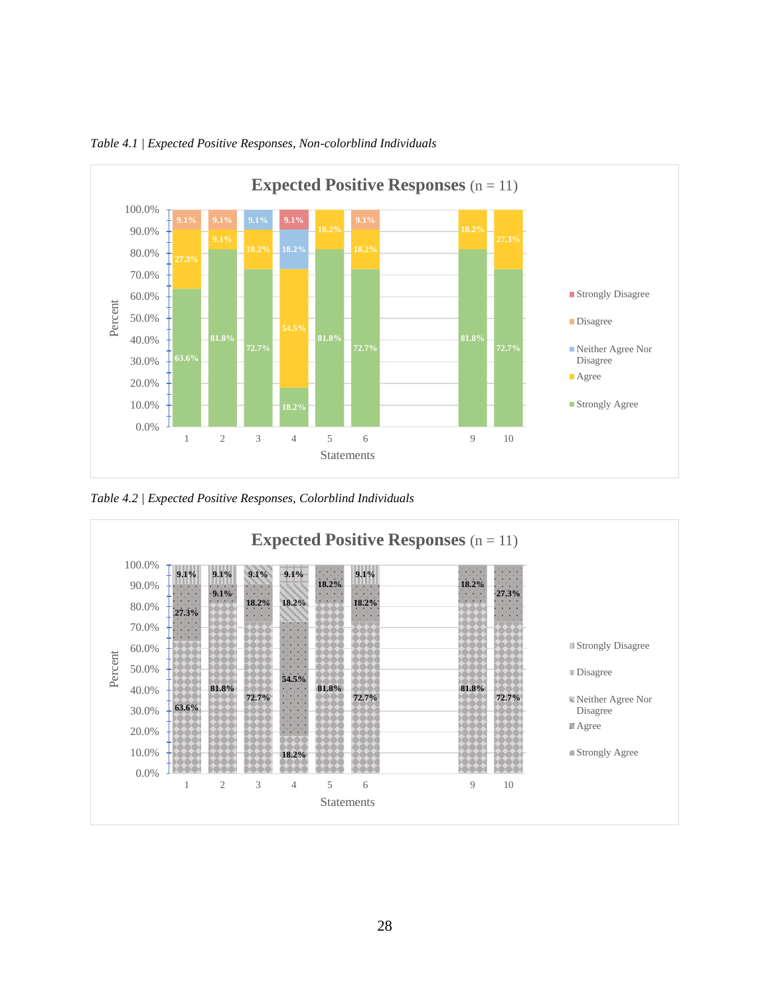

*Table 4.1 | Expected Positive Responses, Non-colorblind Individuals*

*Table 4.2 | Expected Positive Responses, Colorblind Individuals*

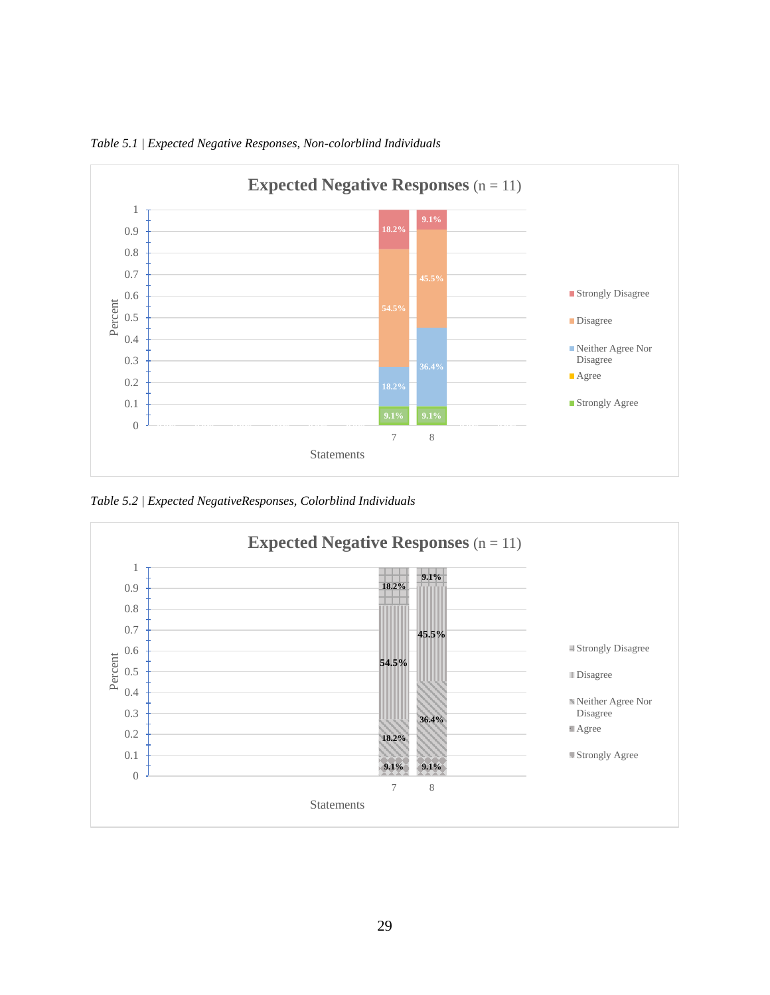

*Table 5.1 | Expected Negative Responses, Non-colorblind Individuals*

*Table 5.2 | Expected NegativeResponses, Colorblind Individuals*

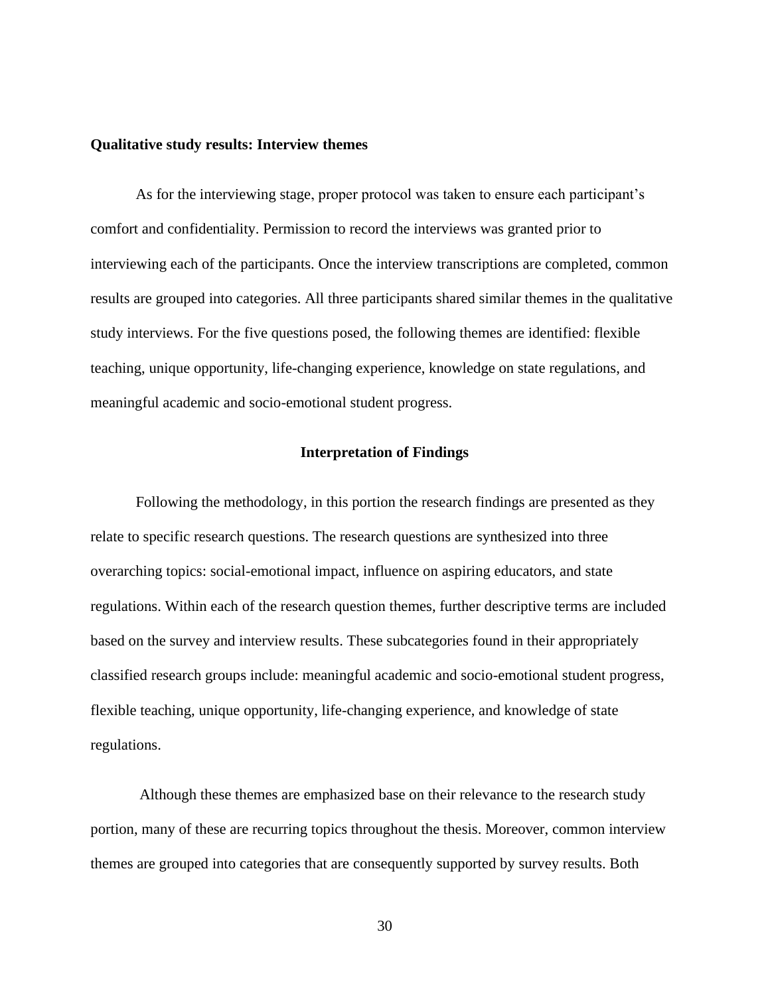### **Qualitative study results: Interview themes**

As for the interviewing stage, proper protocol was taken to ensure each participant's comfort and confidentiality. Permission to record the interviews was granted prior to interviewing each of the participants. Once the interview transcriptions are completed, common results are grouped into categories. All three participants shared similar themes in the qualitative study interviews. For the five questions posed, the following themes are identified: flexible teaching, unique opportunity, life-changing experience, knowledge on state regulations, and meaningful academic and socio-emotional student progress.

### **Interpretation of Findings**

Following the methodology, in this portion the research findings are presented as they relate to specific research questions. The research questions are synthesized into three overarching topics: social-emotional impact, influence on aspiring educators, and state regulations. Within each of the research question themes, further descriptive terms are included based on the survey and interview results. These subcategories found in their appropriately classified research groups include: meaningful academic and socio-emotional student progress, flexible teaching, unique opportunity, life-changing experience, and knowledge of state regulations.

Although these themes are emphasized base on their relevance to the research study portion, many of these are recurring topics throughout the thesis. Moreover, common interview themes are grouped into categories that are consequently supported by survey results. Both

30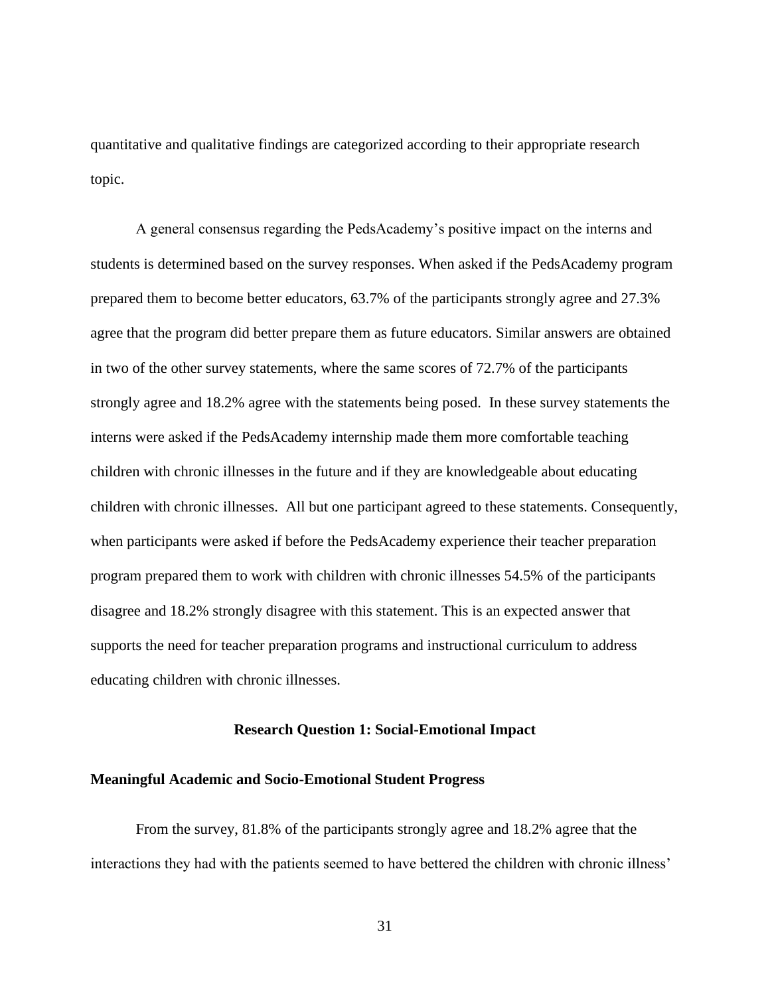quantitative and qualitative findings are categorized according to their appropriate research topic.

A general consensus regarding the PedsAcademy's positive impact on the interns and students is determined based on the survey responses. When asked if the PedsAcademy program prepared them to become better educators, 63.7% of the participants strongly agree and 27.3% agree that the program did better prepare them as future educators. Similar answers are obtained in two of the other survey statements, where the same scores of 72.7% of the participants strongly agree and 18.2% agree with the statements being posed. In these survey statements the interns were asked if the PedsAcademy internship made them more comfortable teaching children with chronic illnesses in the future and if they are knowledgeable about educating children with chronic illnesses. All but one participant agreed to these statements. Consequently, when participants were asked if before the PedsAcademy experience their teacher preparation program prepared them to work with children with chronic illnesses 54.5% of the participants disagree and 18.2% strongly disagree with this statement. This is an expected answer that supports the need for teacher preparation programs and instructional curriculum to address educating children with chronic illnesses.

#### **Research Question 1: Social-Emotional Impact**

### **Meaningful Academic and Socio-Emotional Student Progress**

From the survey, 81.8% of the participants strongly agree and 18.2% agree that the interactions they had with the patients seemed to have bettered the children with chronic illness'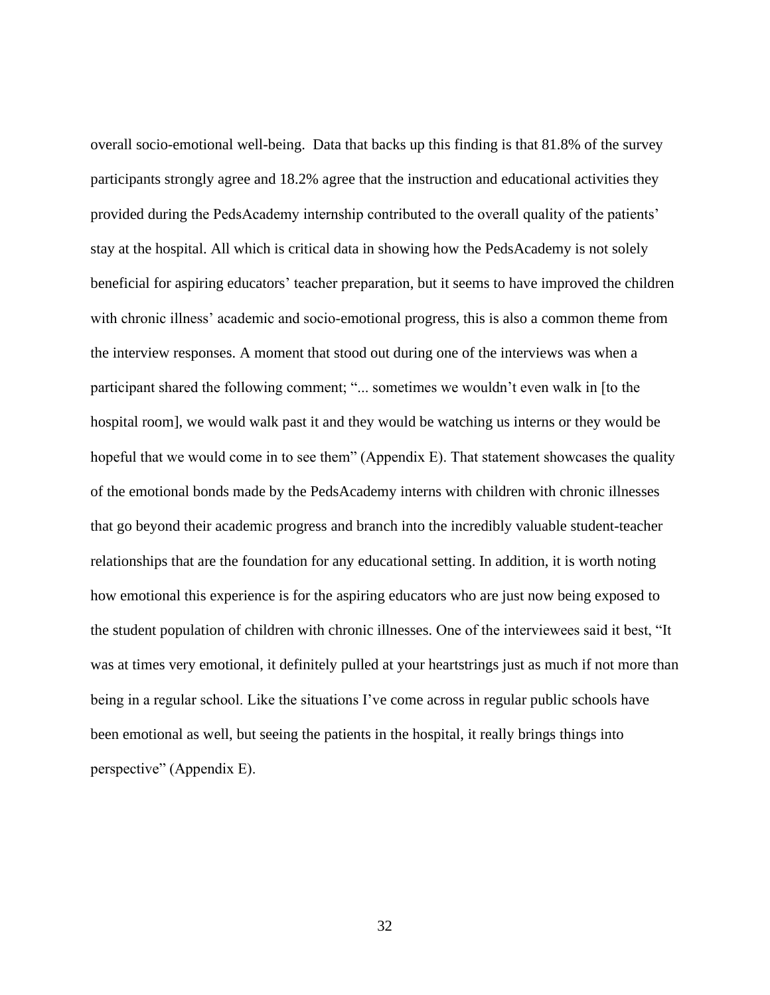overall socio-emotional well-being. Data that backs up this finding is that 81.8% of the survey participants strongly agree and 18.2% agree that the instruction and educational activities they provided during the PedsAcademy internship contributed to the overall quality of the patients' stay at the hospital. All which is critical data in showing how the PedsAcademy is not solely beneficial for aspiring educators' teacher preparation, but it seems to have improved the children with chronic illness' academic and socio-emotional progress, this is also a common theme from the interview responses. A moment that stood out during one of the interviews was when a participant shared the following comment; "... sometimes we wouldn't even walk in [to the hospital room], we would walk past it and they would be watching us interns or they would be hopeful that we would come in to see them" (Appendix E). That statement showcases the quality of the emotional bonds made by the PedsAcademy interns with children with chronic illnesses that go beyond their academic progress and branch into the incredibly valuable student-teacher relationships that are the foundation for any educational setting. In addition, it is worth noting how emotional this experience is for the aspiring educators who are just now being exposed to the student population of children with chronic illnesses. One of the interviewees said it best, "It was at times very emotional, it definitely pulled at your heartstrings just as much if not more than being in a regular school. Like the situations I've come across in regular public schools have been emotional as well, but seeing the patients in the hospital, it really brings things into perspective" (Appendix E).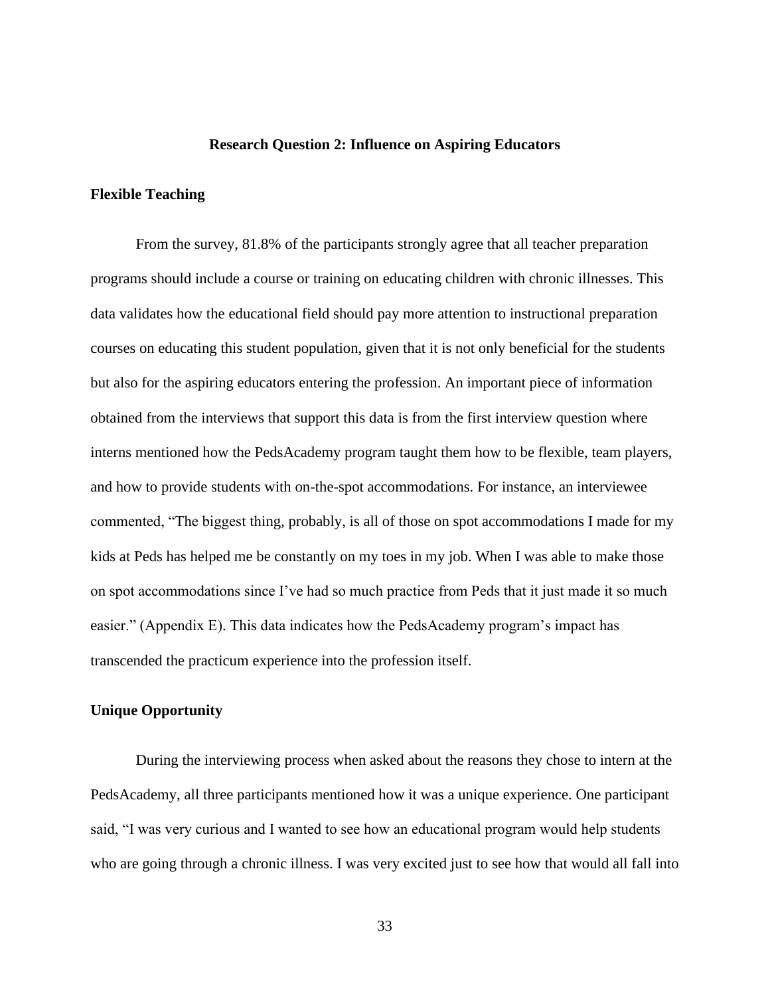### **Research Question 2: Influence on Aspiring Educators**

# **Flexible Teaching**

From the survey, 81.8% of the participants strongly agree that all teacher preparation programs should include a course or training on educating children with chronic illnesses. This data validates how the educational field should pay more attention to instructional preparation courses on educating this student population, given that it is not only beneficial for the students but also for the aspiring educators entering the profession. An important piece of information obtained from the interviews that support this data is from the first interview question where interns mentioned how the PedsAcademy program taught them how to be flexible, team players, and how to provide students with on-the-spot accommodations. For instance, an interviewee commented, "The biggest thing, probably, is all of those on spot accommodations I made for my kids at Peds has helped me be constantly on my toes in my job. When I was able to make those on spot accommodations since I've had so much practice from Peds that it just made it so much easier." (Appendix E). This data indicates how the PedsAcademy program's impact has transcended the practicum experience into the profession itself.

### **Unique Opportunity**

During the interviewing process when asked about the reasons they chose to intern at the PedsAcademy, all three participants mentioned how it was a unique experience. One participant said, "I was very curious and I wanted to see how an educational program would help students who are going through a chronic illness. I was very excited just to see how that would all fall into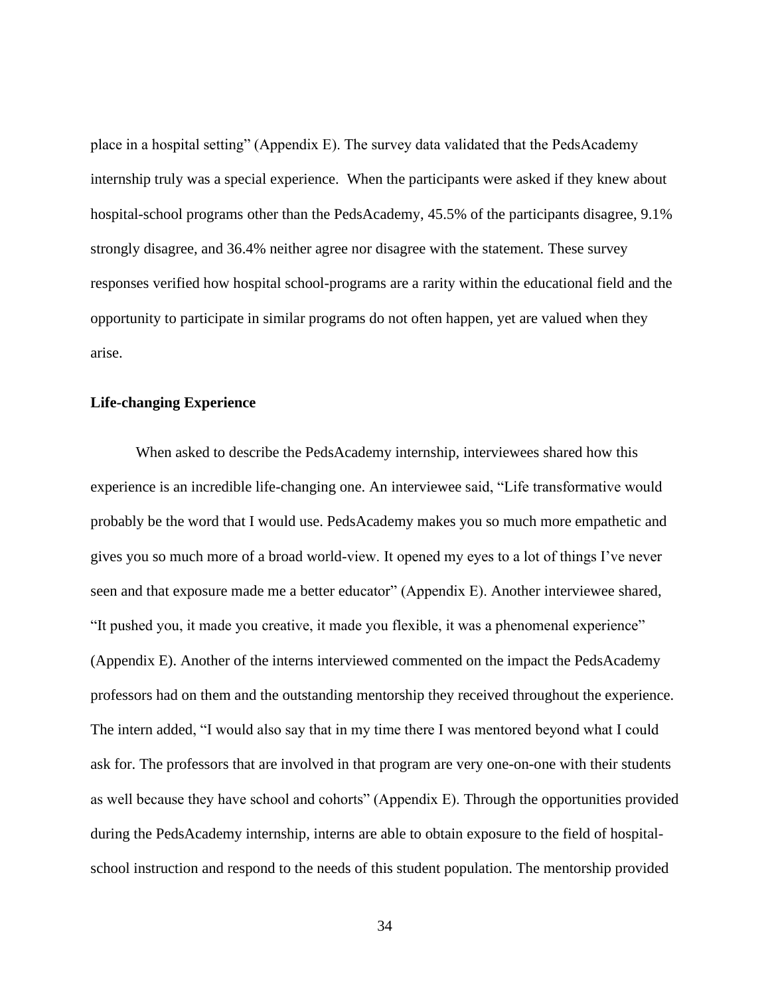place in a hospital setting" (Appendix E). The survey data validated that the PedsAcademy internship truly was a special experience. When the participants were asked if they knew about hospital-school programs other than the PedsAcademy, 45.5% of the participants disagree, 9.1% strongly disagree, and 36.4% neither agree nor disagree with the statement. These survey responses verified how hospital school-programs are a rarity within the educational field and the opportunity to participate in similar programs do not often happen, yet are valued when they arise.

### **Life-changing Experience**

When asked to describe the PedsAcademy internship, interviewees shared how this experience is an incredible life-changing one. An interviewee said, "Life transformative would probably be the word that I would use. PedsAcademy makes you so much more empathetic and gives you so much more of a broad world-view. It opened my eyes to a lot of things I've never seen and that exposure made me a better educator" (Appendix E). Another interviewee shared, "It pushed you, it made you creative, it made you flexible, it was a phenomenal experience" (Appendix E). Another of the interns interviewed commented on the impact the PedsAcademy professors had on them and the outstanding mentorship they received throughout the experience. The intern added, "I would also say that in my time there I was mentored beyond what I could ask for. The professors that are involved in that program are very one-on-one with their students as well because they have school and cohorts" (Appendix E). Through the opportunities provided during the PedsAcademy internship, interns are able to obtain exposure to the field of hospitalschool instruction and respond to the needs of this student population. The mentorship provided

34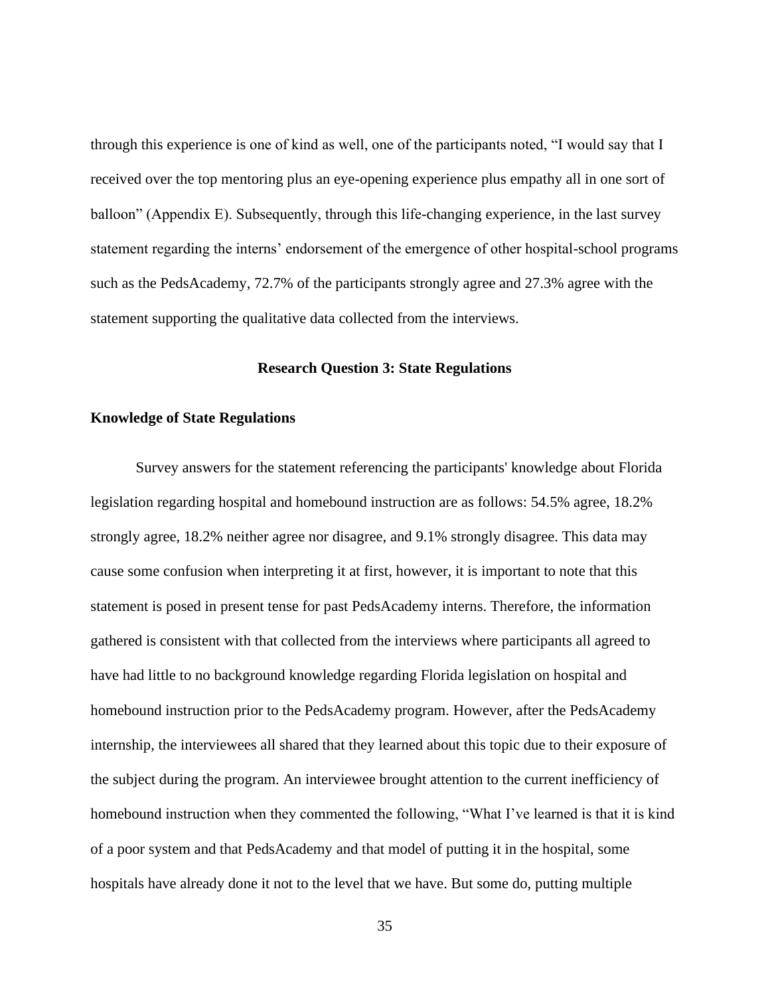through this experience is one of kind as well, one of the participants noted, "I would say that I received over the top mentoring plus an eye-opening experience plus empathy all in one sort of balloon" (Appendix E). Subsequently, through this life-changing experience, in the last survey statement regarding the interns' endorsement of the emergence of other hospital-school programs such as the PedsAcademy, 72.7% of the participants strongly agree and 27.3% agree with the statement supporting the qualitative data collected from the interviews.

### **Research Question 3: State Regulations**

### **Knowledge of State Regulations**

 Survey answers for the statement referencing the participants' knowledge about Florida legislation regarding hospital and homebound instruction are as follows: 54.5% agree, 18.2% strongly agree, 18.2% neither agree nor disagree, and 9.1% strongly disagree. This data may cause some confusion when interpreting it at first, however, it is important to note that this statement is posed in present tense for past PedsAcademy interns. Therefore, the information gathered is consistent with that collected from the interviews where participants all agreed to have had little to no background knowledge regarding Florida legislation on hospital and homebound instruction prior to the PedsAcademy program. However, after the PedsAcademy internship, the interviewees all shared that they learned about this topic due to their exposure of the subject during the program. An interviewee brought attention to the current inefficiency of homebound instruction when they commented the following, "What I've learned is that it is kind of a poor system and that PedsAcademy and that model of putting it in the hospital, some hospitals have already done it not to the level that we have. But some do, putting multiple

35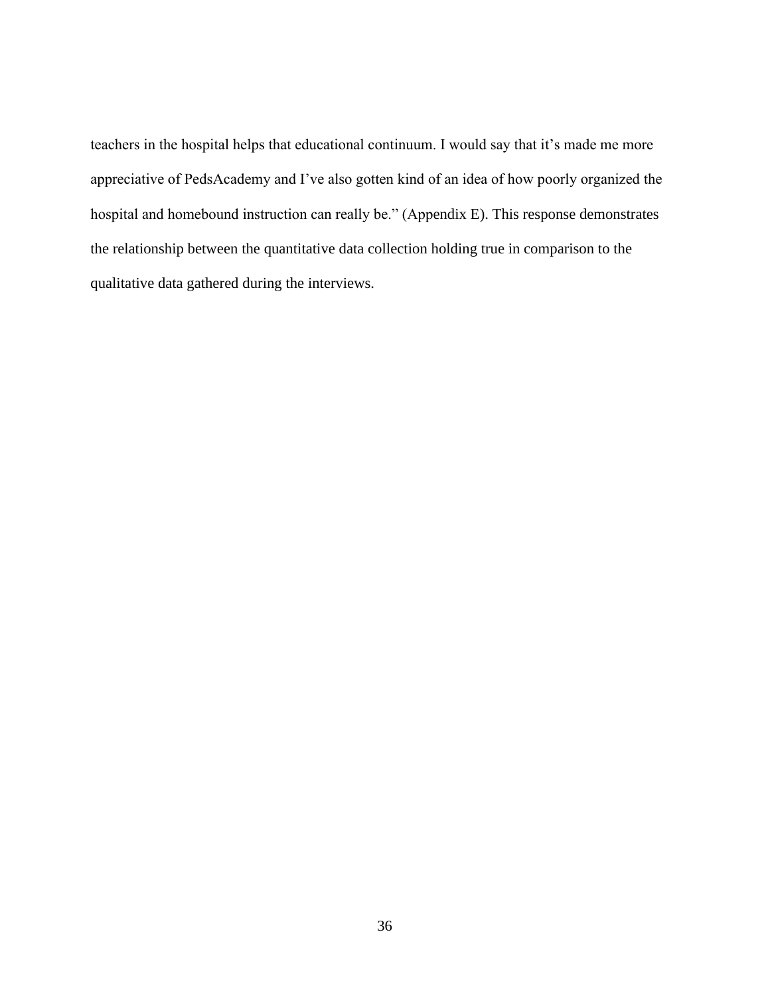teachers in the hospital helps that educational continuum. I would say that it's made me more appreciative of PedsAcademy and I've also gotten kind of an idea of how poorly organized the hospital and homebound instruction can really be." (Appendix E). This response demonstrates the relationship between the quantitative data collection holding true in comparison to the qualitative data gathered during the interviews.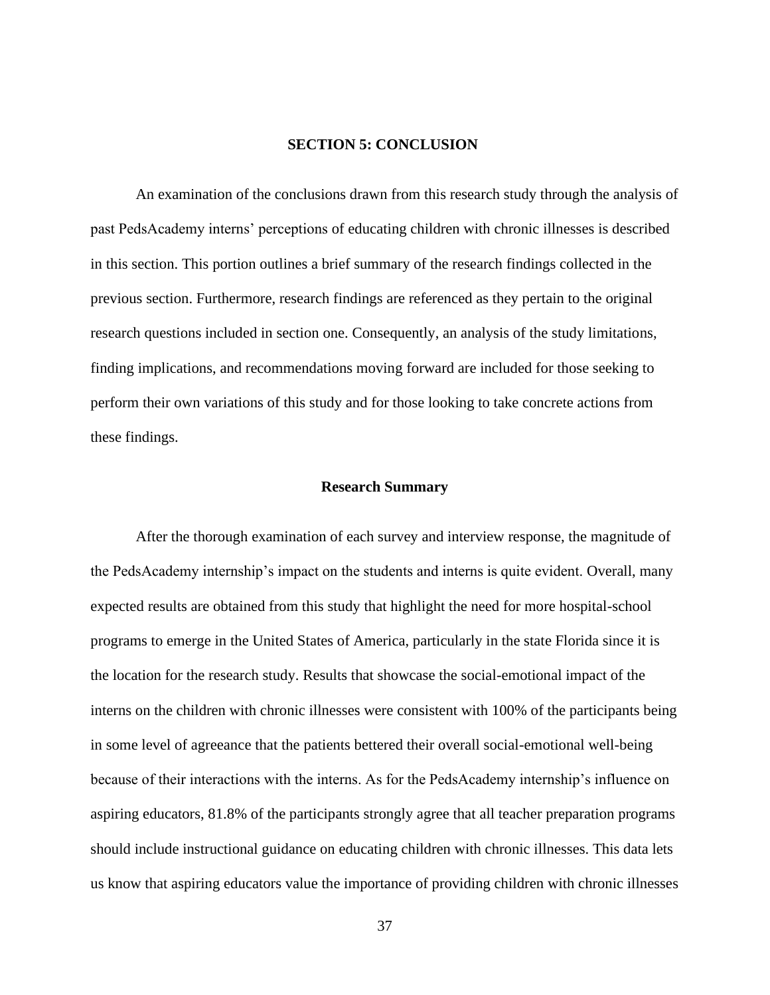### **SECTION 5: CONCLUSION**

An examination of the conclusions drawn from this research study through the analysis of past PedsAcademy interns' perceptions of educating children with chronic illnesses is described in this section. This portion outlines a brief summary of the research findings collected in the previous section. Furthermore, research findings are referenced as they pertain to the original research questions included in section one. Consequently, an analysis of the study limitations, finding implications, and recommendations moving forward are included for those seeking to perform their own variations of this study and for those looking to take concrete actions from these findings.

### **Research Summary**

After the thorough examination of each survey and interview response, the magnitude of the PedsAcademy internship's impact on the students and interns is quite evident. Overall, many expected results are obtained from this study that highlight the need for more hospital-school programs to emerge in the United States of America, particularly in the state Florida since it is the location for the research study. Results that showcase the social-emotional impact of the interns on the children with chronic illnesses were consistent with 100% of the participants being in some level of agreeance that the patients bettered their overall social-emotional well-being because of their interactions with the interns. As for the PedsAcademy internship's influence on aspiring educators, 81.8% of the participants strongly agree that all teacher preparation programs should include instructional guidance on educating children with chronic illnesses. This data lets us know that aspiring educators value the importance of providing children with chronic illnesses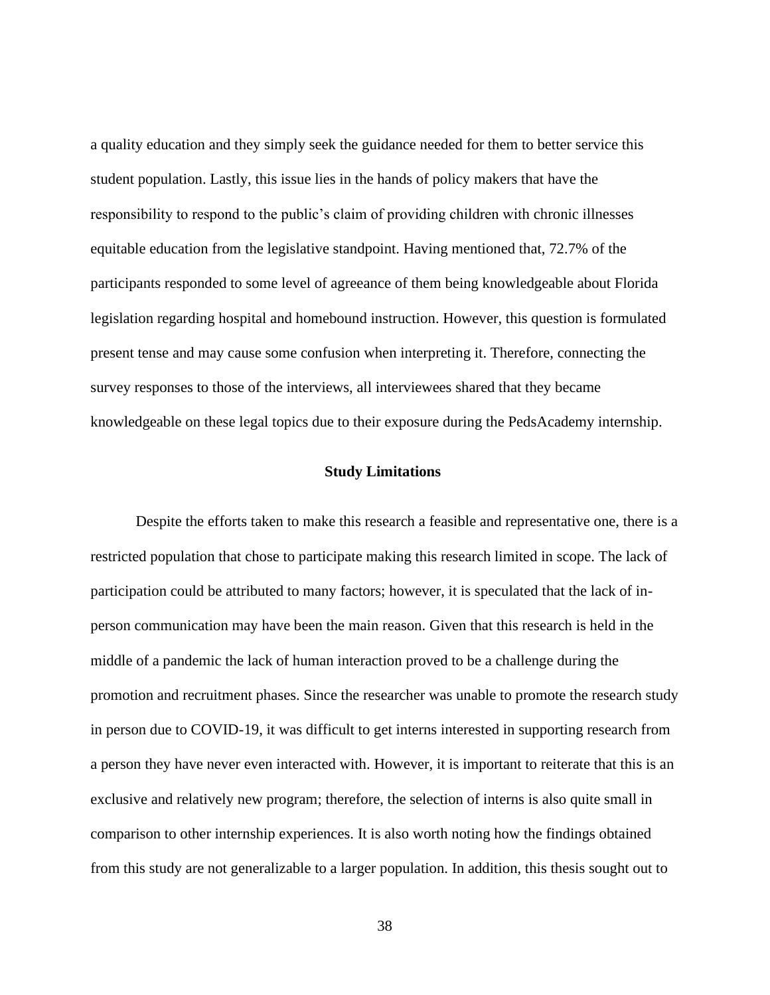a quality education and they simply seek the guidance needed for them to better service this student population. Lastly, this issue lies in the hands of policy makers that have the responsibility to respond to the public's claim of providing children with chronic illnesses equitable education from the legislative standpoint. Having mentioned that, 72.7% of the participants responded to some level of agreeance of them being knowledgeable about Florida legislation regarding hospital and homebound instruction. However, this question is formulated present tense and may cause some confusion when interpreting it. Therefore, connecting the survey responses to those of the interviews, all interviewees shared that they became knowledgeable on these legal topics due to their exposure during the PedsAcademy internship.

### **Study Limitations**

Despite the efforts taken to make this research a feasible and representative one, there is a restricted population that chose to participate making this research limited in scope. The lack of participation could be attributed to many factors; however, it is speculated that the lack of inperson communication may have been the main reason. Given that this research is held in the middle of a pandemic the lack of human interaction proved to be a challenge during the promotion and recruitment phases. Since the researcher was unable to promote the research study in person due to COVID-19, it was difficult to get interns interested in supporting research from a person they have never even interacted with. However, it is important to reiterate that this is an exclusive and relatively new program; therefore, the selection of interns is also quite small in comparison to other internship experiences. It is also worth noting how the findings obtained from this study are not generalizable to a larger population. In addition, this thesis sought out to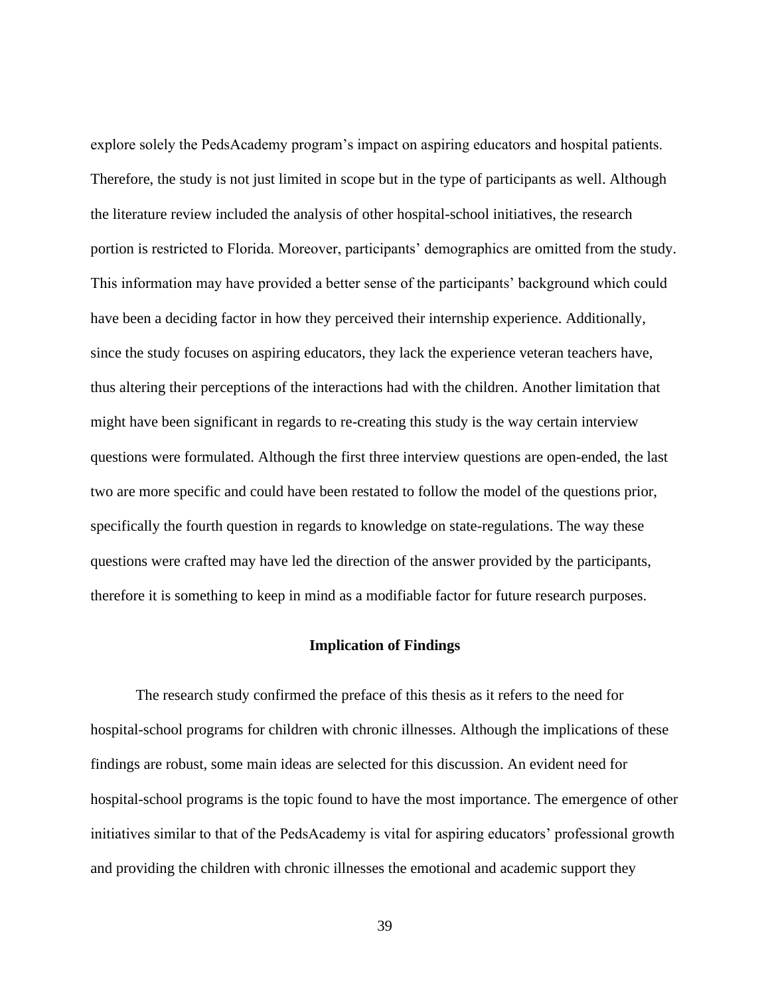explore solely the PedsAcademy program's impact on aspiring educators and hospital patients. Therefore, the study is not just limited in scope but in the type of participants as well. Although the literature review included the analysis of other hospital-school initiatives, the research portion is restricted to Florida. Moreover, participants' demographics are omitted from the study. This information may have provided a better sense of the participants' background which could have been a deciding factor in how they perceived their internship experience. Additionally, since the study focuses on aspiring educators, they lack the experience veteran teachers have, thus altering their perceptions of the interactions had with the children. Another limitation that might have been significant in regards to re-creating this study is the way certain interview questions were formulated. Although the first three interview questions are open-ended, the last two are more specific and could have been restated to follow the model of the questions prior, specifically the fourth question in regards to knowledge on state-regulations. The way these questions were crafted may have led the direction of the answer provided by the participants, therefore it is something to keep in mind as a modifiable factor for future research purposes.

# **Implication of Findings**

The research study confirmed the preface of this thesis as it refers to the need for hospital-school programs for children with chronic illnesses. Although the implications of these findings are robust, some main ideas are selected for this discussion. An evident need for hospital-school programs is the topic found to have the most importance. The emergence of other initiatives similar to that of the PedsAcademy is vital for aspiring educators' professional growth and providing the children with chronic illnesses the emotional and academic support they

39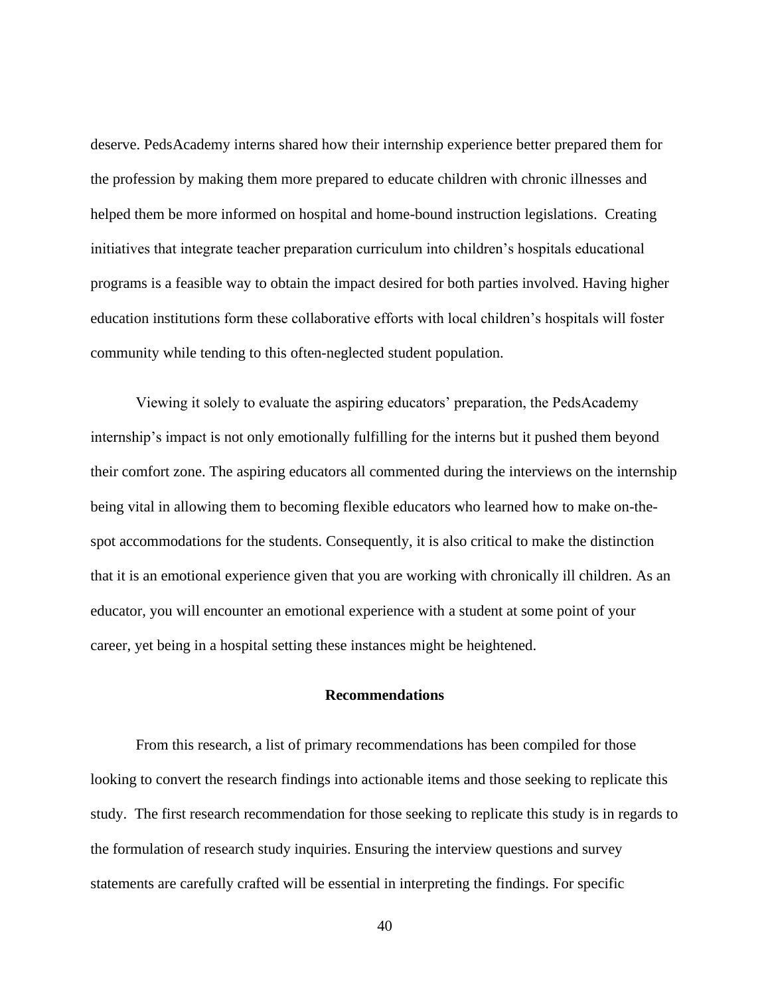deserve. PedsAcademy interns shared how their internship experience better prepared them for the profession by making them more prepared to educate children with chronic illnesses and helped them be more informed on hospital and home-bound instruction legislations. Creating initiatives that integrate teacher preparation curriculum into children's hospitals educational programs is a feasible way to obtain the impact desired for both parties involved. Having higher education institutions form these collaborative efforts with local children's hospitals will foster community while tending to this often-neglected student population.

Viewing it solely to evaluate the aspiring educators' preparation, the PedsAcademy internship's impact is not only emotionally fulfilling for the interns but it pushed them beyond their comfort zone. The aspiring educators all commented during the interviews on the internship being vital in allowing them to becoming flexible educators who learned how to make on-thespot accommodations for the students. Consequently, it is also critical to make the distinction that it is an emotional experience given that you are working with chronically ill children. As an educator, you will encounter an emotional experience with a student at some point of your career, yet being in a hospital setting these instances might be heightened.

# **Recommendations**

From this research, a list of primary recommendations has been compiled for those looking to convert the research findings into actionable items and those seeking to replicate this study. The first research recommendation for those seeking to replicate this study is in regards to the formulation of research study inquiries. Ensuring the interview questions and survey statements are carefully crafted will be essential in interpreting the findings. For specific

40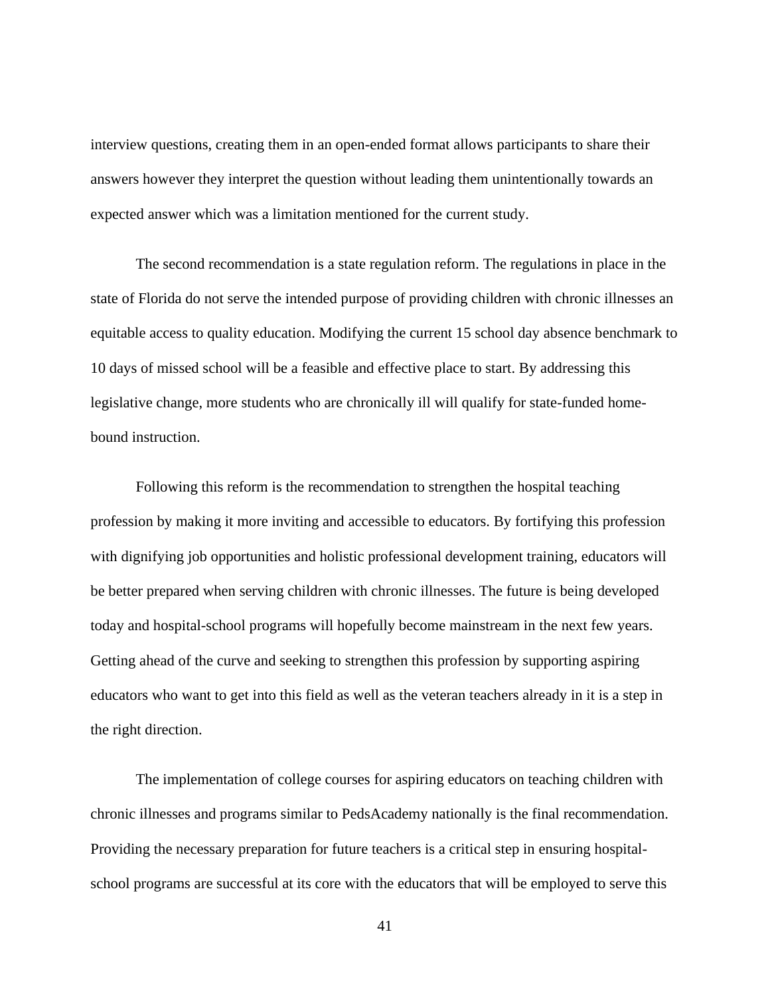interview questions, creating them in an open-ended format allows participants to share their answers however they interpret the question without leading them unintentionally towards an expected answer which was a limitation mentioned for the current study.

The second recommendation is a state regulation reform. The regulations in place in the state of Florida do not serve the intended purpose of providing children with chronic illnesses an equitable access to quality education. Modifying the current 15 school day absence benchmark to 10 days of missed school will be a feasible and effective place to start. By addressing this legislative change, more students who are chronically ill will qualify for state-funded homebound instruction.

Following this reform is the recommendation to strengthen the hospital teaching profession by making it more inviting and accessible to educators. By fortifying this profession with dignifying job opportunities and holistic professional development training, educators will be better prepared when serving children with chronic illnesses. The future is being developed today and hospital-school programs will hopefully become mainstream in the next few years. Getting ahead of the curve and seeking to strengthen this profession by supporting aspiring educators who want to get into this field as well as the veteran teachers already in it is a step in the right direction.

The implementation of college courses for aspiring educators on teaching children with chronic illnesses and programs similar to PedsAcademy nationally is the final recommendation. Providing the necessary preparation for future teachers is a critical step in ensuring hospitalschool programs are successful at its core with the educators that will be employed to serve this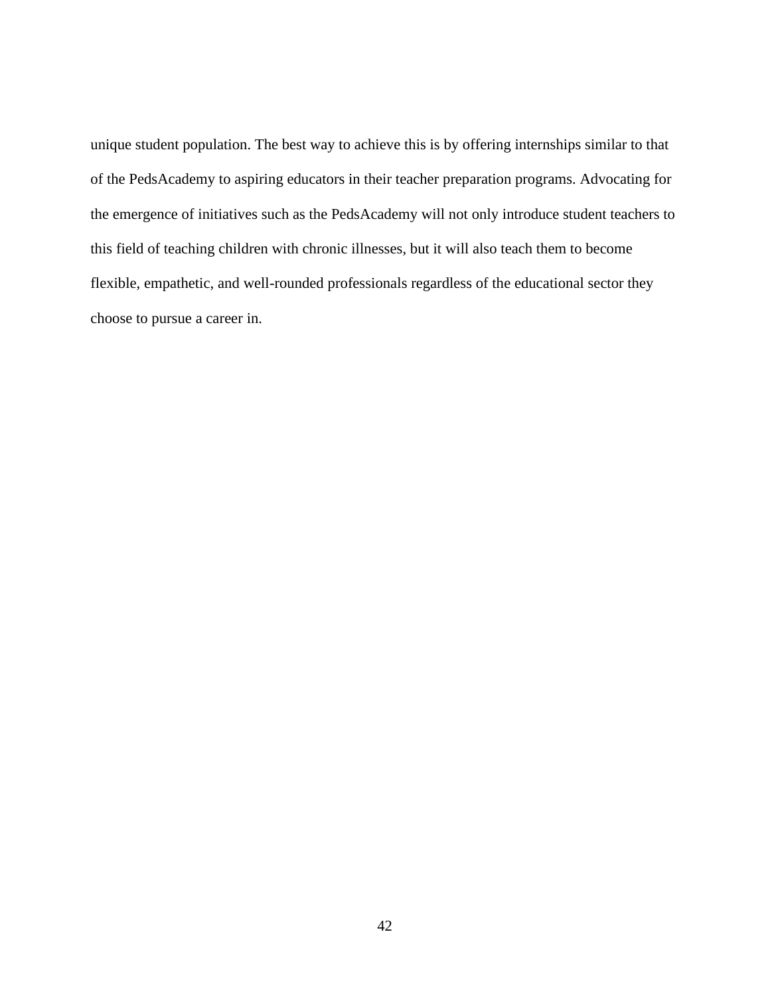unique student population. The best way to achieve this is by offering internships similar to that of the PedsAcademy to aspiring educators in their teacher preparation programs. Advocating for the emergence of initiatives such as the PedsAcademy will not only introduce student teachers to this field of teaching children with chronic illnesses, but it will also teach them to become flexible, empathetic, and well-rounded professionals regardless of the educational sector they choose to pursue a career in.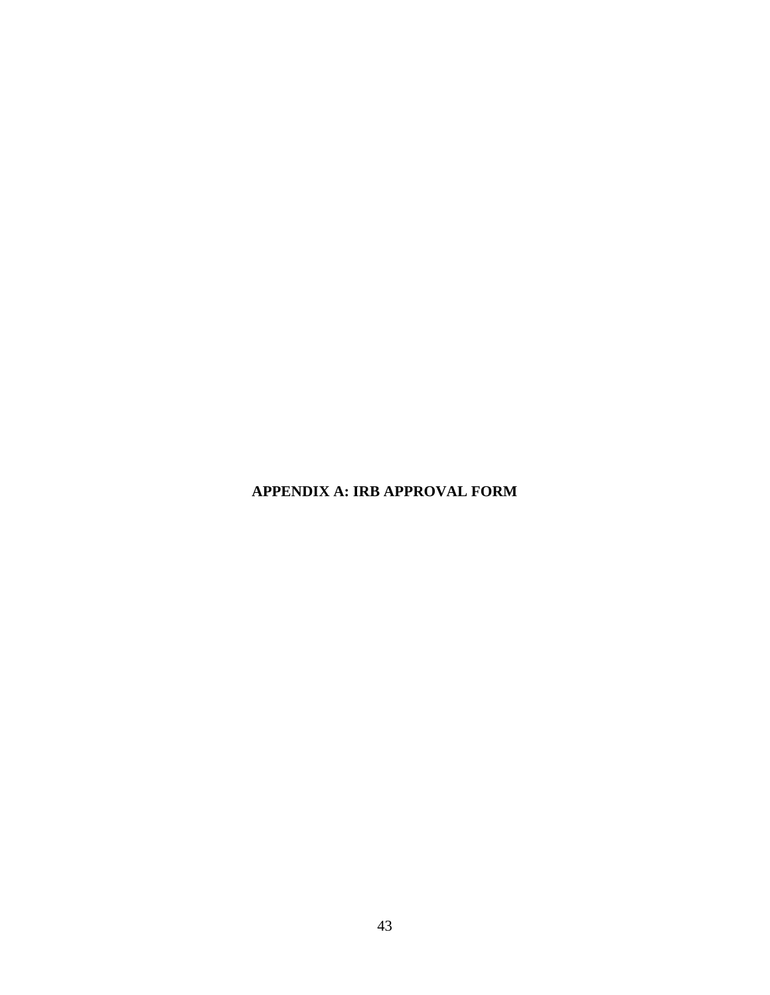**APPENDIX A: IRB APPROVAL FORM**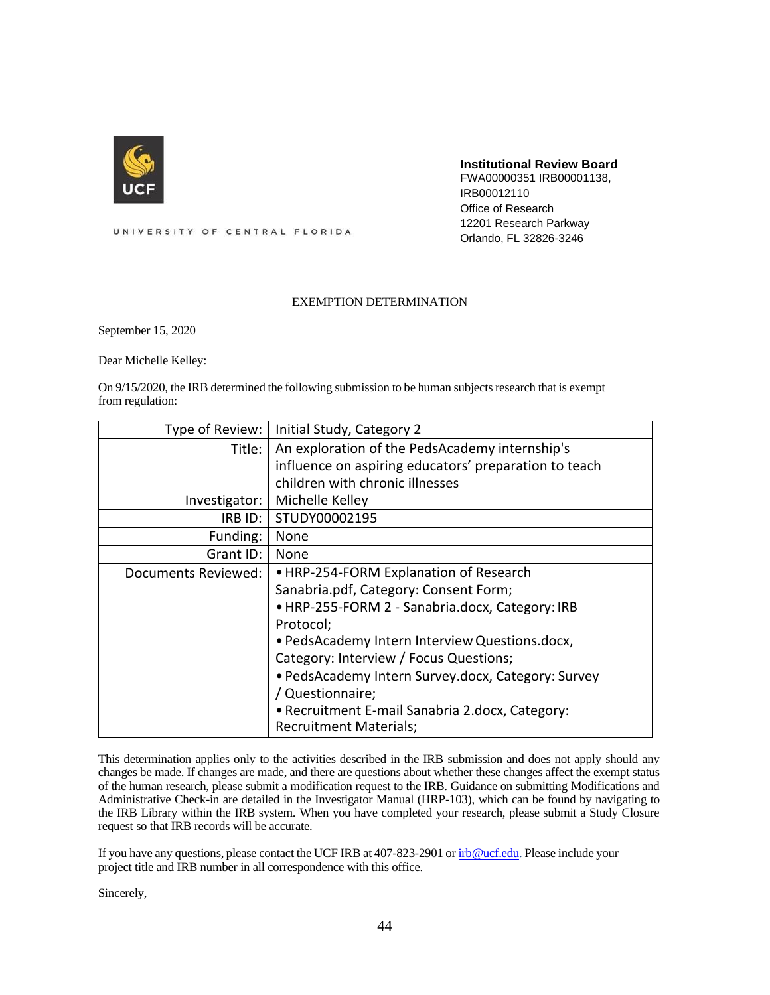

#### **Institutional Review Board**

FWA00000351 IRB00001138, IRB00012110 Office of Research 12201 Research Parkway Orlando, FL 32826-3246

UNIVERSITY OF CENTRAL FLORIDA

#### EXEMPTION DETERMINATION

September 15, 2020

Dear Michelle Kelley:

On 9/15/2020, the IRB determined the following submission to be human subjects research that is exempt from regulation:

| Type of Review:     | Initial Study, Category 2                             |
|---------------------|-------------------------------------------------------|
| Title:              | An exploration of the PedsAcademy internship's        |
|                     | influence on aspiring educators' preparation to teach |
|                     | children with chronic illnesses                       |
| Investigator:       | Michelle Kelley                                       |
| IRBID:              | STUDY00002195                                         |
| Funding:            | None                                                  |
| Grant ID:           | None                                                  |
| Documents Reviewed: | • HRP-254-FORM Explanation of Research                |
|                     | Sanabria.pdf, Category: Consent Form;                 |
|                     | . HRP-255-FORM 2 - Sanabria.docx, Category: IRB       |
|                     | Protocol;                                             |
|                     | · PedsAcademy Intern Interview Questions.docx,        |
|                     | Category: Interview / Focus Questions;                |
|                     | • PedsAcademy Intern Survey.docx, Category: Survey    |
|                     | / Questionnaire;                                      |
|                     | • Recruitment E-mail Sanabria 2.docx, Category:       |
|                     | <b>Recruitment Materials;</b>                         |

This determination applies only to the activities described in the IRB submission and does not apply should any changes be made. If changes are made, and there are questions about whether these changes affect the exempt status of the human research, please submit a modification request to the IRB. Guidance on submitting Modifications and Administrative Check-in are detailed in the Investigator Manual (HRP-103), which can be found by navigating to the IRB Library within the IRB system. When you have completed your research, please submit a Study Closure request so that IRB records will be accurate.

If you have any questions, please contact the UCF IRB at 407-823-2901 o[r irb@ucf.edu.](mailto:irb@ucf.edu) Please include your project title and IRB number in all correspondence with this office.

Sincerely,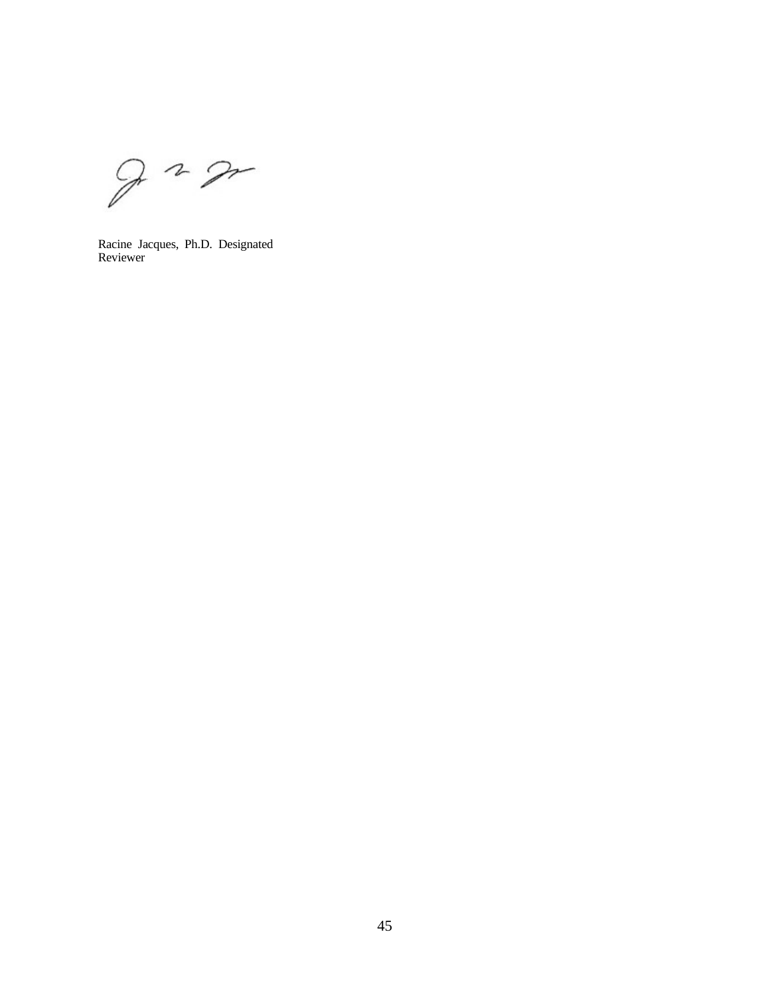$22$ 

Racine Jacques, Ph.D. Designated Reviewer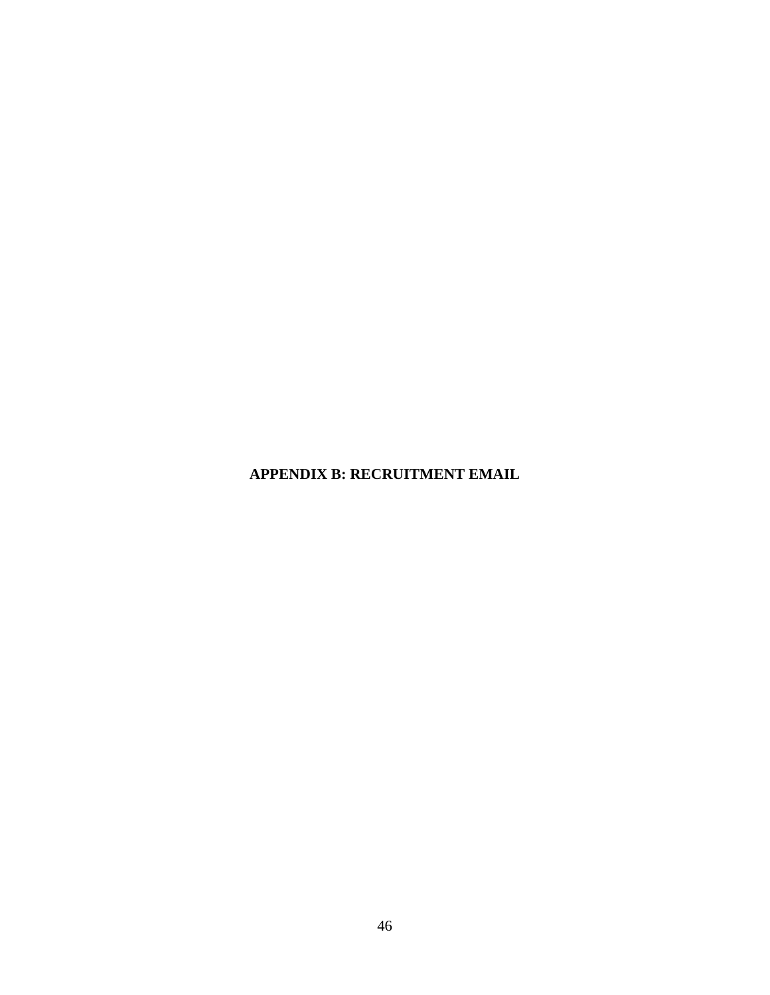**APPENDIX B: RECRUITMENT EMAIL**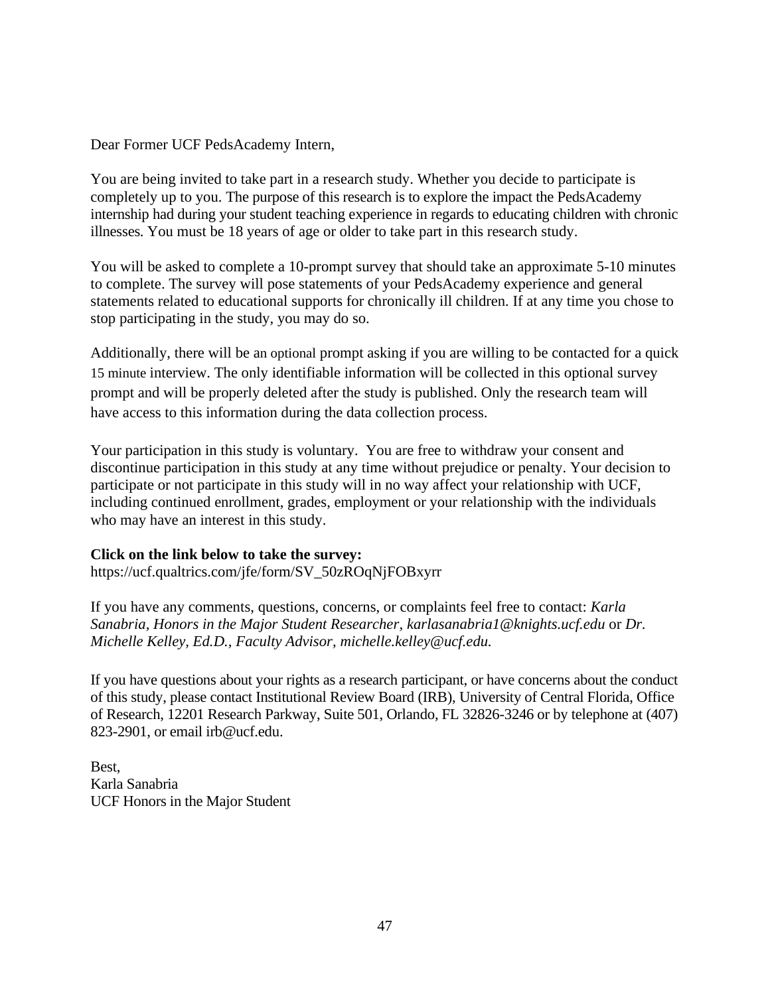Dear Former UCF PedsAcademy Intern,

You are being invited to take part in a research study. Whether you decide to participate is completely up to you. The purpose of this research is to explore the impact the PedsAcademy internship had during your student teaching experience in regards to educating children with chronic illnesses. You must be 18 years of age or older to take part in this research study.

You will be asked to complete a 10-prompt survey that should take an approximate 5-10 minutes to complete. The survey will pose statements of your PedsAcademy experience and general statements related to educational supports for chronically ill children. If at any time you chose to stop participating in the study, you may do so.

Additionally, there will be an optional prompt asking if you are willing to be contacted for a quick 15 minute interview. The only identifiable information will be collected in this optional survey prompt and will be properly deleted after the study is published. Only the research team will have access to this information during the data collection process.

Your participation in this study is voluntary. You are free to withdraw your consent and discontinue participation in this study at any time without prejudice or penalty. Your decision to participate or not participate in this study will in no way affect your relationship with UCF, including continued enrollment, grades, employment or your relationship with the individuals who may have an interest in this study.

# **Click on the link below to take the survey:**

[https://ucf.qualtrics.com/jfe/form/SV\\_50zROqNjFOBxyrr](https://ucf.qualtrics.com/jfe/form/SV_50zROqNjFOBxyrr)

If you have any comments, questions, concerns, or complaints feel free to contact: *Karla Sanabria, Honors in the Major Student Researcher, [karlasanabria1@knights.ucf.edu](mailto:karlasanabria1@knights.ucf.edu.f)* or *Dr. Michelle Kelley, Ed.D., Faculty Advisor, [michelle.kelley@ucf.edu.](mailto:michelle.kelley@ucf.edu)* 

If you have questions about your rights as a research participant, or have concerns about the conduct of this study, please contact Institutional Review Board (IRB), University of Central Florida, Office of Research, 12201 Research Parkway, Suite 501, Orlando, FL 32826-3246 or by telephone at (407) 823-2901, or email [irb@ucf.edu.](mailto:irb@ucf.edu)

Best, Karla Sanabria UCF Honors in the Major Student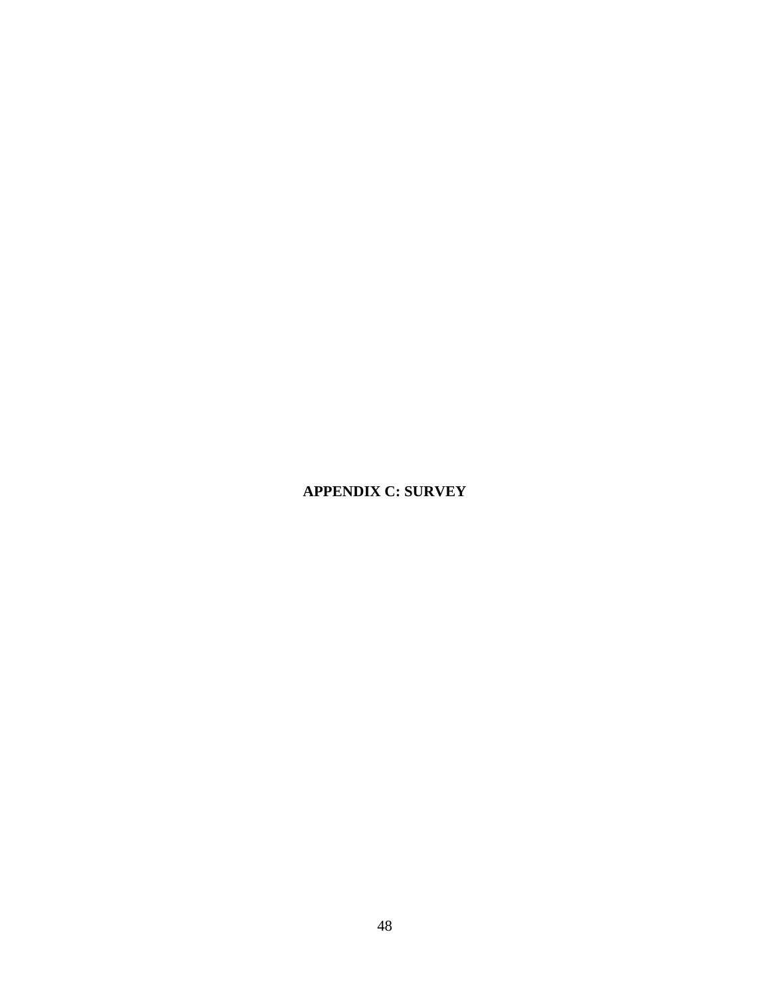# **APPENDIX C: SURVEY**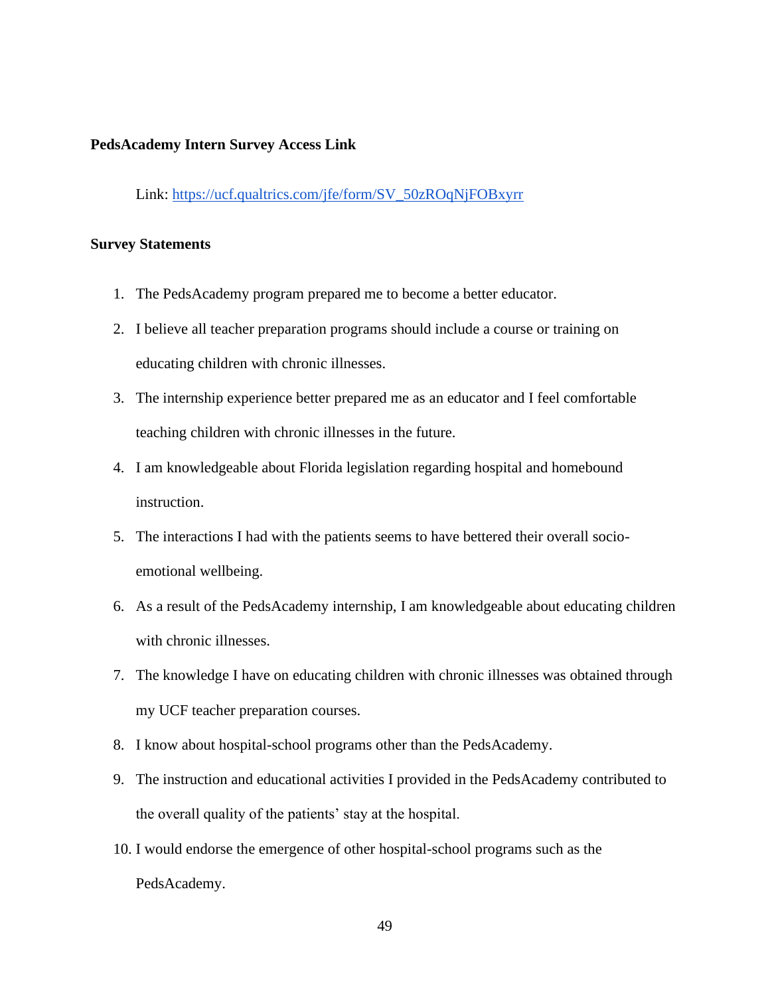### **PedsAcademy Intern Survey Access Link**

Link: [https://ucf.qualtrics.com/jfe/form/SV\\_50zROqNjFOBxyrr](https://ucf.qualtrics.com/jfe/form/SV_50zROqNjFOBxyrr)

### **Survey Statements**

- 1. The PedsAcademy program prepared me to become a better educator.
- 2. I believe all teacher preparation programs should include a course or training on educating children with chronic illnesses.
- 3. The internship experience better prepared me as an educator and I feel comfortable teaching children with chronic illnesses in the future.
- 4. I am knowledgeable about Florida legislation regarding hospital and homebound instruction.
- 5. The interactions I had with the patients seems to have bettered their overall socioemotional wellbeing.
- 6. As a result of the PedsAcademy internship, I am knowledgeable about educating children with chronic illnesses.
- 7. The knowledge I have on educating children with chronic illnesses was obtained through my UCF teacher preparation courses.
- 8. I know about hospital-school programs other than the PedsAcademy.
- 9. The instruction and educational activities I provided in the PedsAcademy contributed to the overall quality of the patients' stay at the hospital.
- 10. I would endorse the emergence of other hospital-school programs such as the PedsAcademy.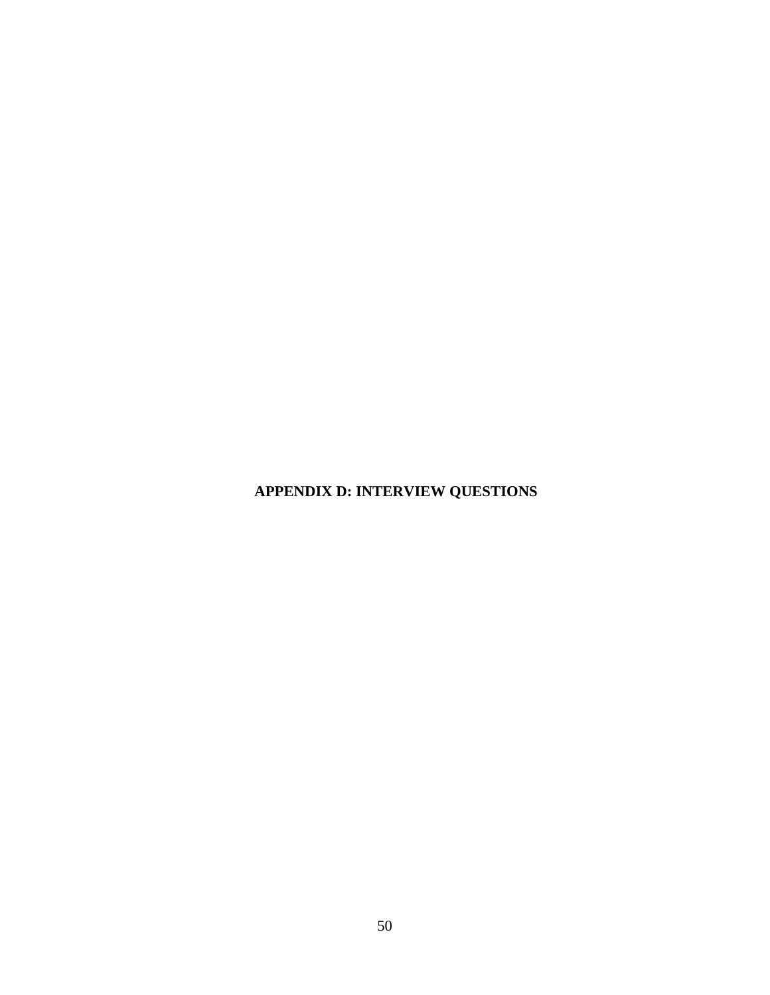**APPENDIX D: INTERVIEW QUESTIONS**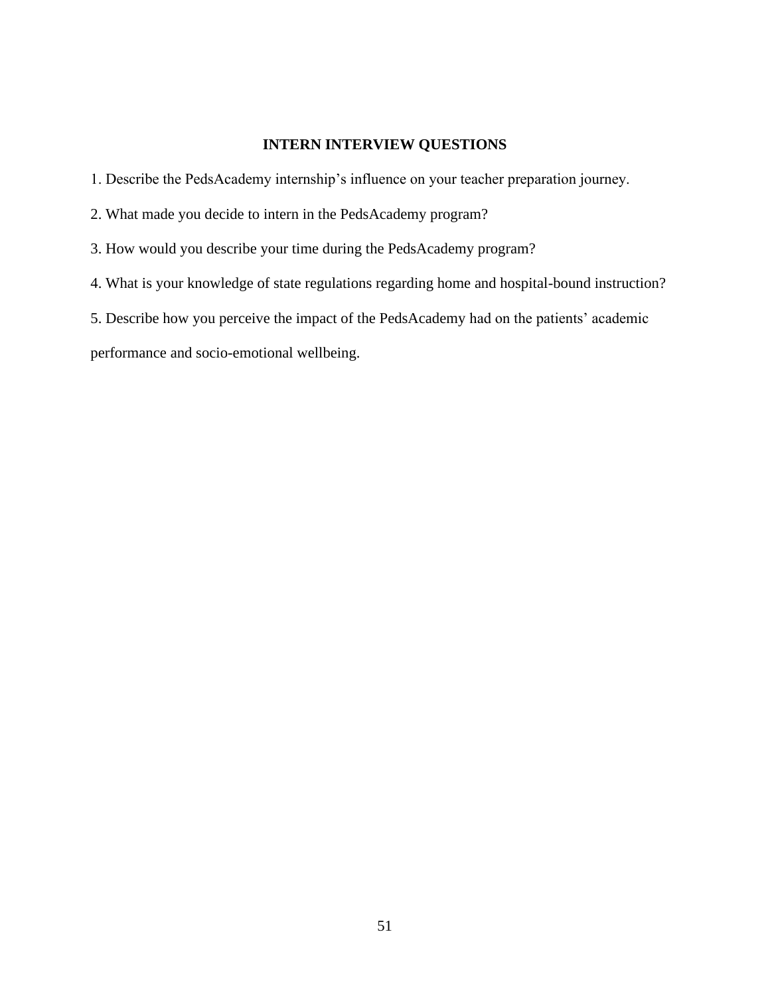# **INTERN INTERVIEW QUESTIONS**

1. Describe the PedsAcademy internship's influence on your teacher preparation journey.

2. What made you decide to intern in the PedsAcademy program?

3. How would you describe your time during the PedsAcademy program?

4. What is your knowledge of state regulations regarding home and hospital-bound instruction?

5. Describe how you perceive the impact of the PedsAcademy had on the patients' academic

performance and socio-emotional wellbeing.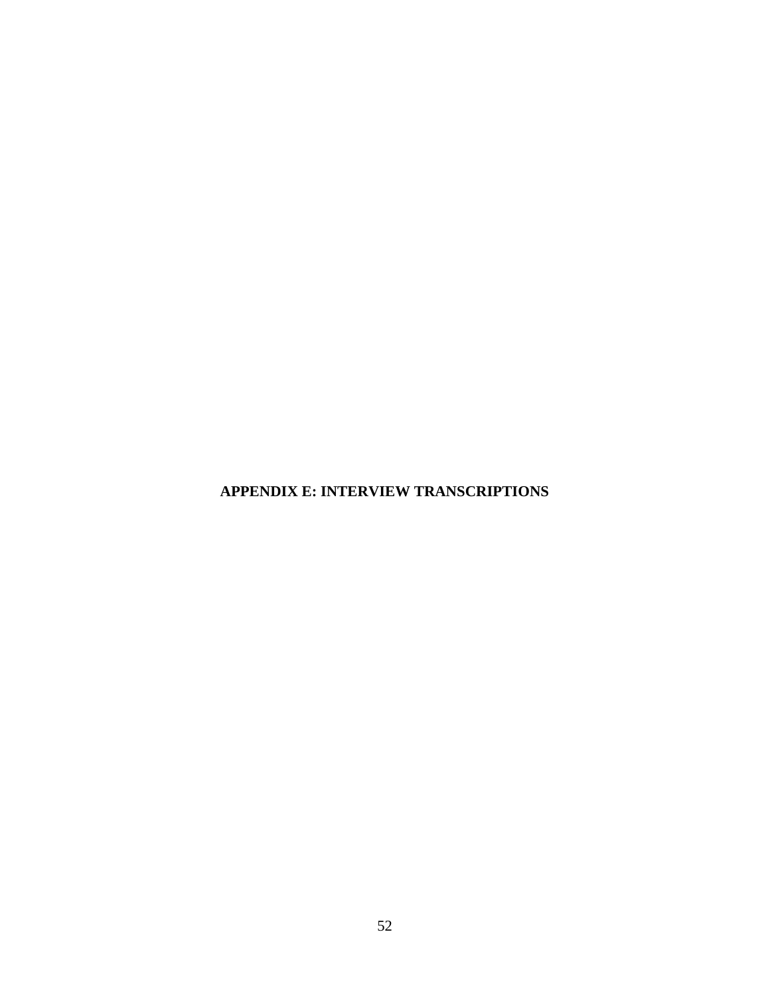**APPENDIX E: INTERVIEW TRANSCRIPTIONS**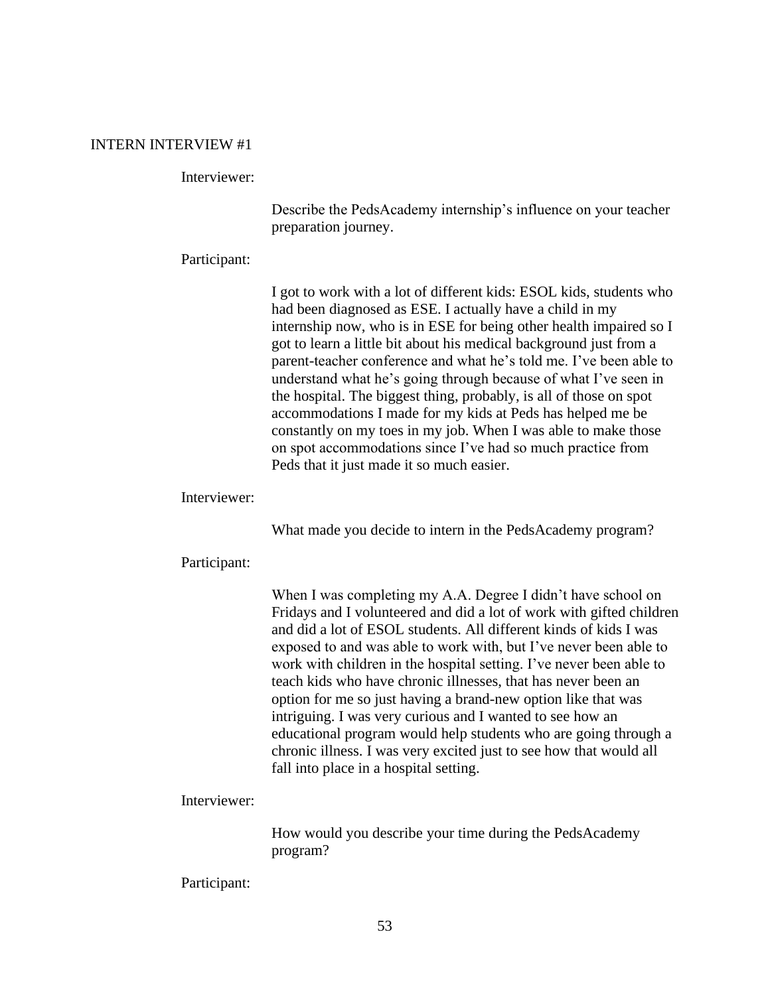### INTERN INTERVIEW #1

### Interviewer:

Describe the PedsAcademy internship's influence on your teacher preparation journey.

#### Participant:

I got to work with a lot of different kids: ESOL kids, students who had been diagnosed as ESE. I actually have a child in my internship now, who is in ESE for being other health impaired so I got to learn a little bit about his medical background just from a parent-teacher conference and what he's told me. I've been able to understand what he's going through because of what I've seen in the hospital. The biggest thing, probably, is all of those on spot accommodations I made for my kids at Peds has helped me be constantly on my toes in my job. When I was able to make those on spot accommodations since I've had so much practice from Peds that it just made it so much easier.

### Interviewer:

What made you decide to intern in the PedsAcademy program?

#### Participant:

When I was completing my A.A. Degree I didn't have school on Fridays and I volunteered and did a lot of work with gifted children and did a lot of ESOL students. All different kinds of kids I was exposed to and was able to work with, but I've never been able to work with children in the hospital setting. I've never been able to teach kids who have chronic illnesses, that has never been an option for me so just having a brand-new option like that was intriguing. I was very curious and I wanted to see how an educational program would help students who are going through a chronic illness. I was very excited just to see how that would all fall into place in a hospital setting.

#### Interviewer:

How would you describe your time during the PedsAcademy program?

#### Participant: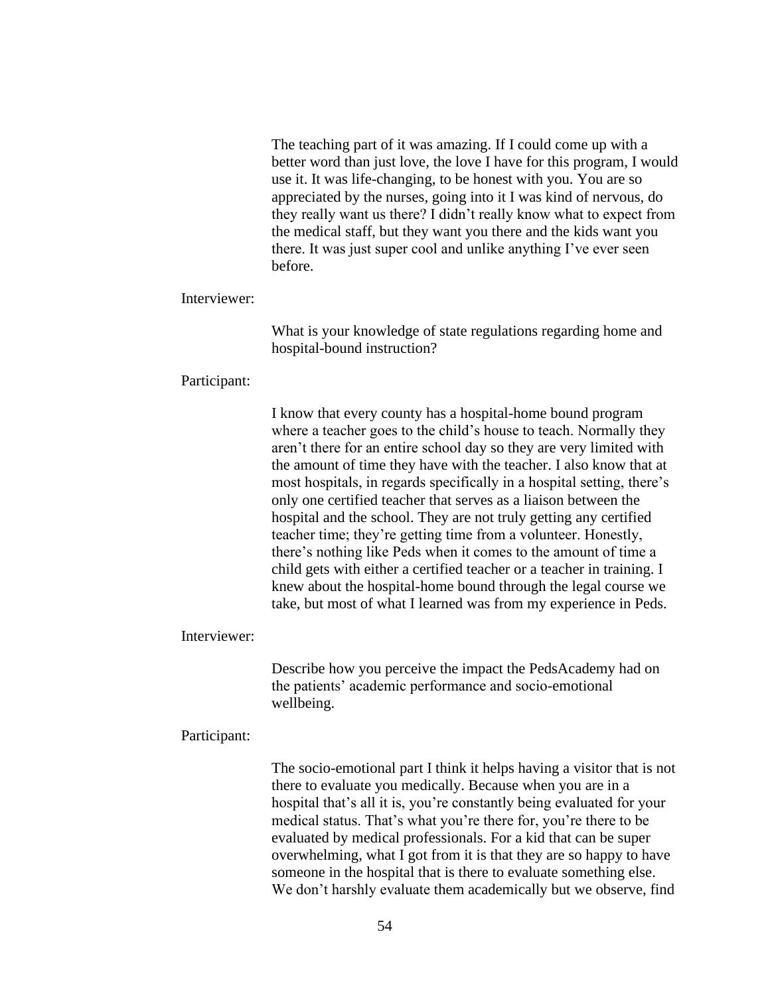The teaching part of it was amazing. If I could come up with a better word than just love, the love I have for this program, I would use it. It was life-changing, to be honest with you. You are so appreciated by the nurses, going into it I was kind of nervous, do they really want us there? I didn't really know what to expect from the medical staff, but they want you there and the kids want you there. It was just super cool and unlike anything I've ever seen before.

### Interviewer:

What is your knowledge of state regulations regarding home and hospital-bound instruction?

#### Participant:

I know that every county has a hospital-home bound program where a teacher goes to the child's house to teach. Normally they aren't there for an entire school day so they are very limited with the amount of time they have with the teacher. I also know that at most hospitals, in regards specifically in a hospital setting, there's only one certified teacher that serves as a liaison between the hospital and the school. They are not truly getting any certified teacher time; they're getting time from a volunteer. Honestly, there's nothing like Peds when it comes to the amount of time a child gets with either a certified teacher or a teacher in training. I knew about the hospital-home bound through the legal course we take, but most of what I learned was from my experience in Peds.

### Interviewer:

Describe how you perceive the impact the PedsAcademy had on the patients' academic performance and socio-emotional wellbeing.

#### Participant:

The socio-emotional part I think it helps having a visitor that is not there to evaluate you medically. Because when you are in a hospital that's all it is, you're constantly being evaluated for your medical status. That's what you're there for, you're there to be evaluated by medical professionals. For a kid that can be super overwhelming, what I got from it is that they are so happy to have someone in the hospital that is there to evaluate something else. We don't harshly evaluate them academically but we observe, find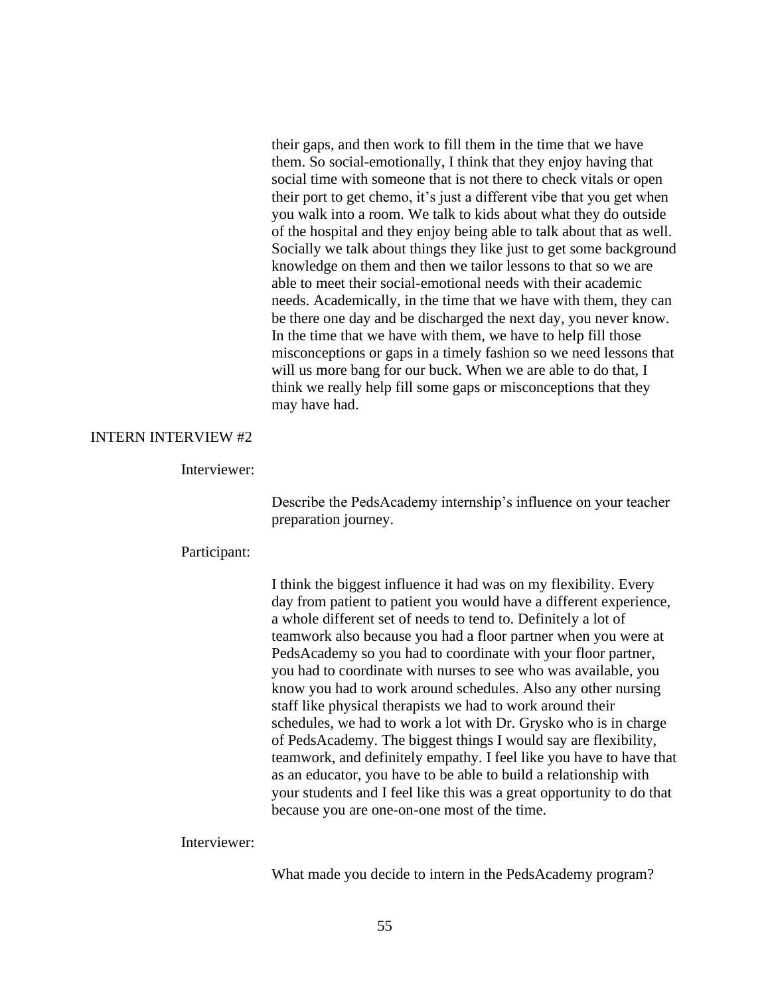their gaps, and then work to fill them in the time that we have them. So social-emotionally, I think that they enjoy having that social time with someone that is not there to check vitals or open their port to get chemo, it's just a different vibe that you get when you walk into a room. We talk to kids about what they do outside of the hospital and they enjoy being able to talk about that as well. Socially we talk about things they like just to get some background knowledge on them and then we tailor lessons to that so we are able to meet their social-emotional needs with their academic needs. Academically, in the time that we have with them, they can be there one day and be discharged the next day, you never know. In the time that we have with them, we have to help fill those misconceptions or gaps in a timely fashion so we need lessons that will us more bang for our buck. When we are able to do that, I think we really help fill some gaps or misconceptions that they may have had.

# INTERN INTERVIEW #2

### Interviewer:

Describe the PedsAcademy internship's influence on your teacher preparation journey.

### Participant:

I think the biggest influence it had was on my flexibility. Every day from patient to patient you would have a different experience, a whole different set of needs to tend to. Definitely a lot of teamwork also because you had a floor partner when you were at PedsAcademy so you had to coordinate with your floor partner, you had to coordinate with nurses to see who was available, you know you had to work around schedules. Also any other nursing staff like physical therapists we had to work around their schedules, we had to work a lot with Dr. Grysko who is in charge of PedsAcademy. The biggest things I would say are flexibility, teamwork, and definitely empathy. I feel like you have to have that as an educator, you have to be able to build a relationship with your students and I feel like this was a great opportunity to do that because you are one-on-one most of the time.

Interviewer:

What made you decide to intern in the PedsAcademy program?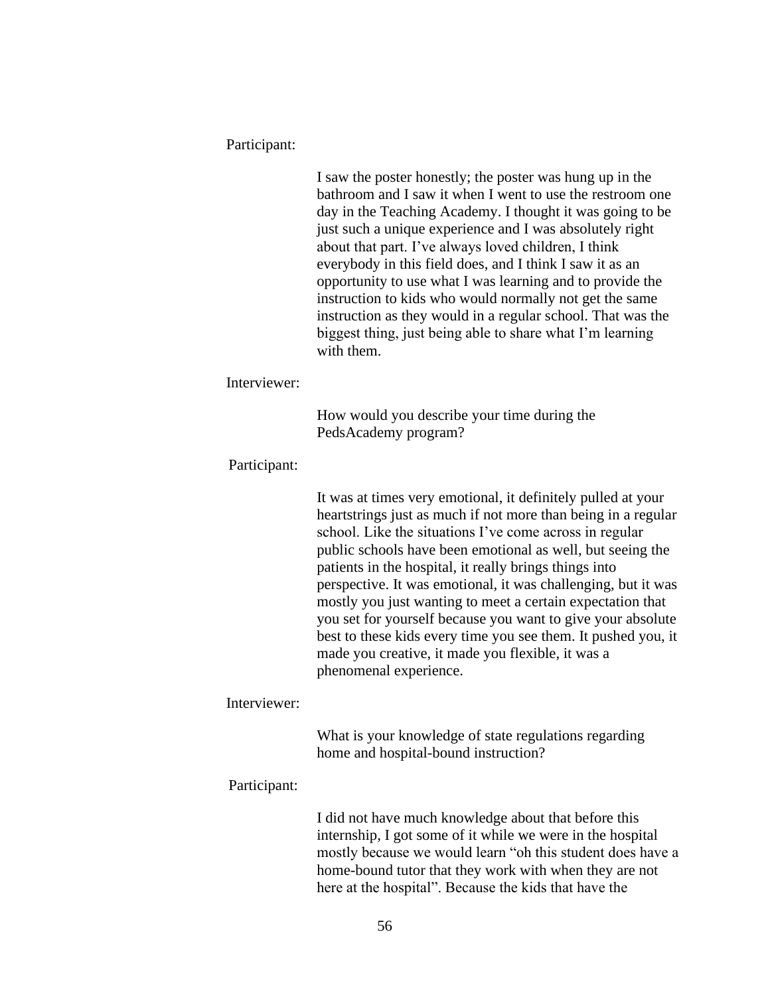#### Participant:

I saw the poster honestly; the poster was hung up in the bathroom and I saw it when I went to use the restroom one day in the Teaching Academy. I thought it was going to be just such a unique experience and I was absolutely right about that part. I've always loved children, I think everybody in this field does, and I think I saw it as an opportunity to use what I was learning and to provide the instruction to kids who would normally not get the same instruction as they would in a regular school. That was the biggest thing, just being able to share what I'm learning with them.

### Interviewer:

How would you describe your time during the PedsAcademy program?

### Participant:

It was at times very emotional, it definitely pulled at your heartstrings just as much if not more than being in a regular school. Like the situations I've come across in regular public schools have been emotional as well, but seeing the patients in the hospital, it really brings things into perspective. It was emotional, it was challenging, but it was mostly you just wanting to meet a certain expectation that you set for yourself because you want to give your absolute best to these kids every time you see them. It pushed you, it made you creative, it made you flexible, it was a phenomenal experience.

### Interviewer:

What is your knowledge of state regulations regarding home and hospital-bound instruction?

#### Participant:

I did not have much knowledge about that before this internship, I got some of it while we were in the hospital mostly because we would learn "oh this student does have a home-bound tutor that they work with when they are not here at the hospital". Because the kids that have the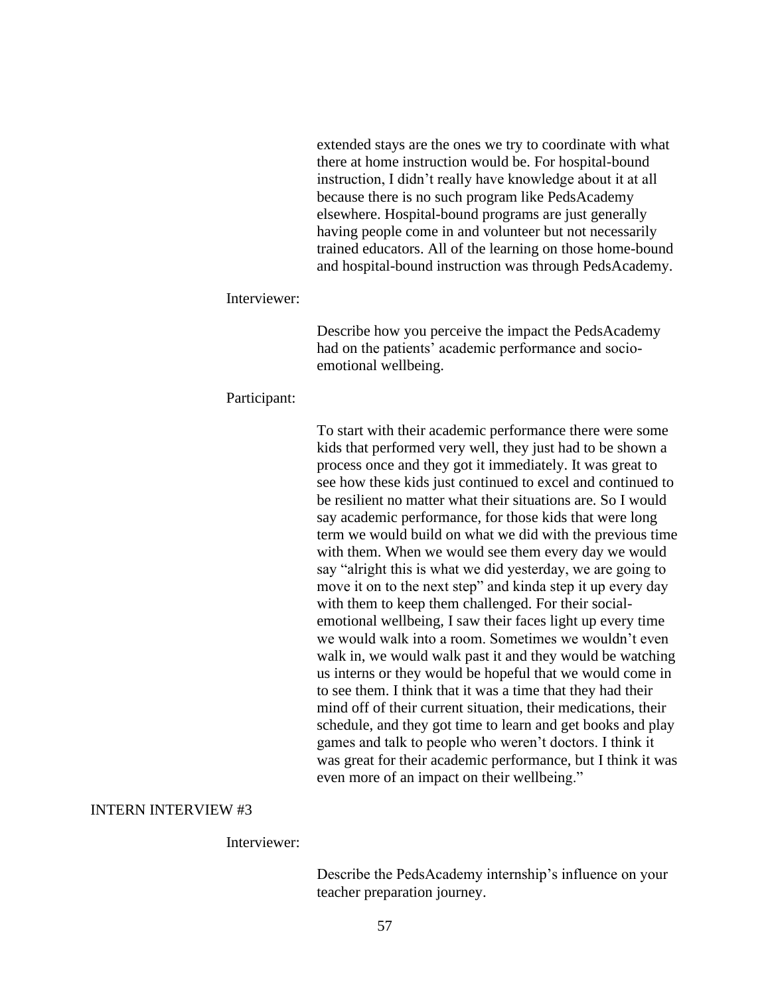extended stays are the ones we try to coordinate with what there at home instruction would be. For hospital-bound instruction, I didn't really have knowledge about it at all because there is no such program like PedsAcademy elsewhere. Hospital-bound programs are just generally having people come in and volunteer but not necessarily trained educators. All of the learning on those home-bound and hospital-bound instruction was through PedsAcademy.

### Interviewer:

Describe how you perceive the impact the PedsAcademy had on the patients' academic performance and socioemotional wellbeing.

#### Participant:

To start with their academic performance there were some kids that performed very well, they just had to be shown a process once and they got it immediately. It was great to see how these kids just continued to excel and continued to be resilient no matter what their situations are. So I would say academic performance, for those kids that were long term we would build on what we did with the previous time with them. When we would see them every day we would say "alright this is what we did yesterday, we are going to move it on to the next step" and kinda step it up every day with them to keep them challenged. For their socialemotional wellbeing, I saw their faces light up every time we would walk into a room. Sometimes we wouldn't even walk in, we would walk past it and they would be watching us interns or they would be hopeful that we would come in to see them. I think that it was a time that they had their mind off of their current situation, their medications, their schedule, and they got time to learn and get books and play games and talk to people who weren't doctors. I think it was great for their academic performance, but I think it was even more of an impact on their wellbeing."

### INTERN INTERVIEW #3

### Interviewer:

Describe the PedsAcademy internship's influence on your teacher preparation journey.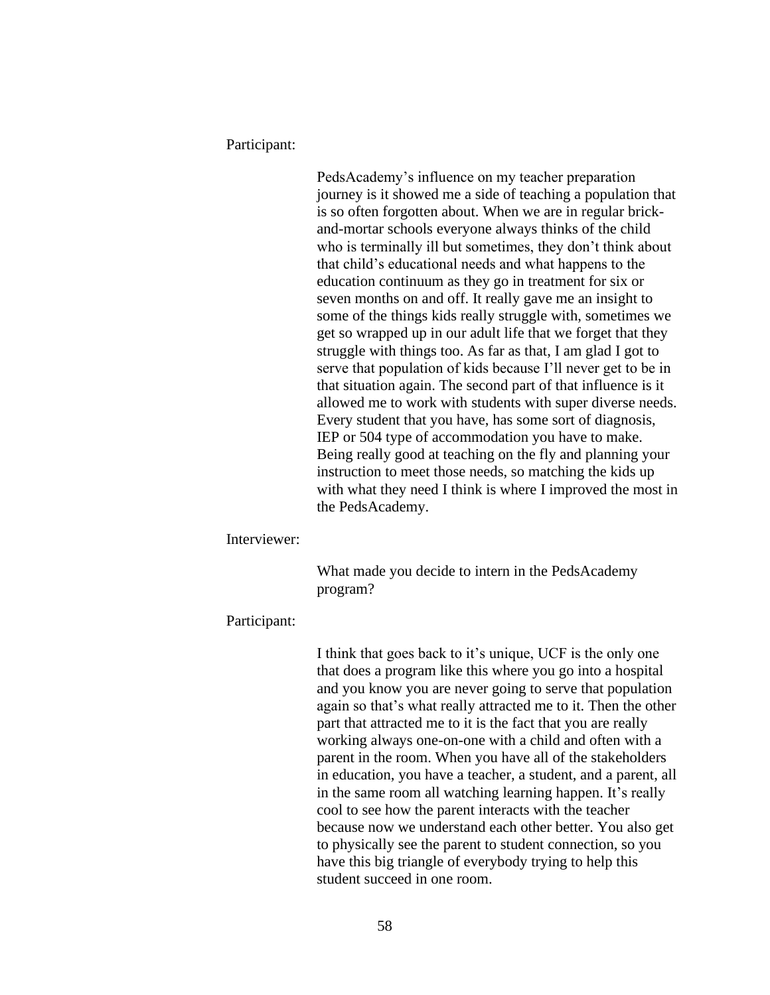Participant:

PedsAcademy's influence on my teacher preparation journey is it showed me a side of teaching a population that is so often forgotten about. When we are in regular brickand-mortar schools everyone always thinks of the child who is terminally ill but sometimes, they don't think about that child's educational needs and what happens to the education continuum as they go in treatment for six or seven months on and off. It really gave me an insight to some of the things kids really struggle with, sometimes we get so wrapped up in our adult life that we forget that they struggle with things too. As far as that, I am glad I got to serve that population of kids because I'll never get to be in that situation again. The second part of that influence is it allowed me to work with students with super diverse needs. Every student that you have, has some sort of diagnosis, IEP or 504 type of accommodation you have to make. Being really good at teaching on the fly and planning your instruction to meet those needs, so matching the kids up with what they need I think is where I improved the most in the PedsAcademy.

Interviewer:

What made you decide to intern in the PedsAcademy program?

### Participant:

I think that goes back to it's unique, UCF is the only one that does a program like this where you go into a hospital and you know you are never going to serve that population again so that's what really attracted me to it. Then the other part that attracted me to it is the fact that you are really working always one-on-one with a child and often with a parent in the room. When you have all of the stakeholders in education, you have a teacher, a student, and a parent, all in the same room all watching learning happen. It's really cool to see how the parent interacts with the teacher because now we understand each other better. You also get to physically see the parent to student connection, so you have this big triangle of everybody trying to help this student succeed in one room.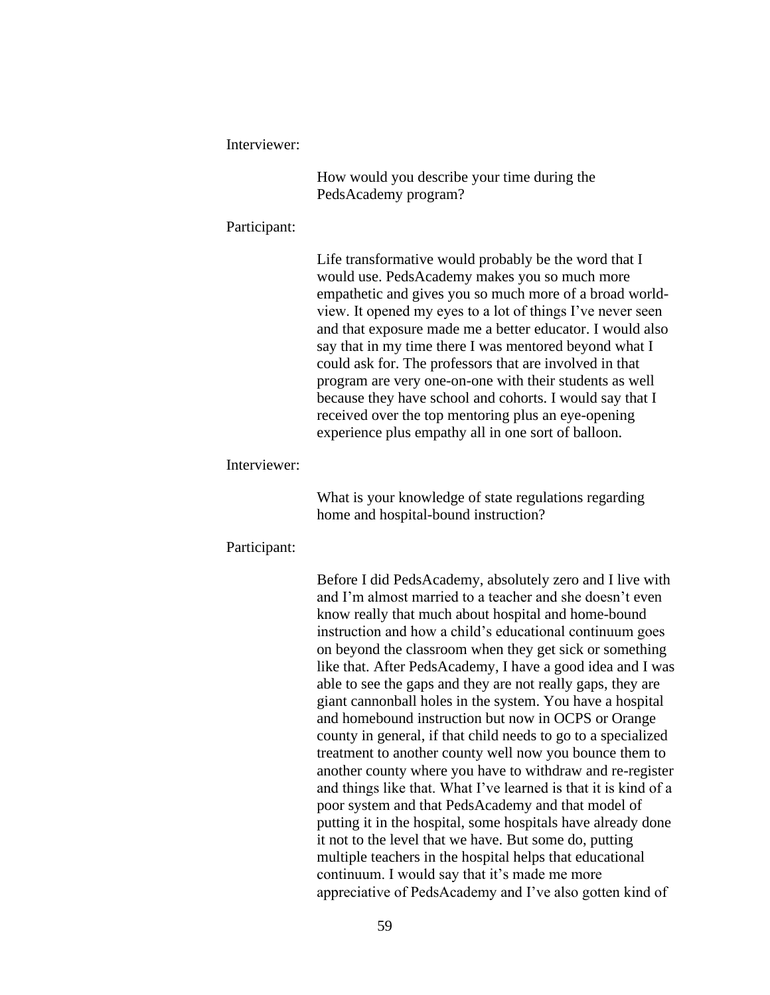Interviewer:

How would you describe your time during the PedsAcademy program?

### Participant:

Life transformative would probably be the word that I would use. PedsAcademy makes you so much more empathetic and gives you so much more of a broad worldview. It opened my eyes to a lot of things I've never seen and that exposure made me a better educator. I would also say that in my time there I was mentored beyond what I could ask for. The professors that are involved in that program are very one-on-one with their students as well because they have school and cohorts. I would say that I received over the top mentoring plus an eye-opening experience plus empathy all in one sort of balloon.

### Interviewer:

What is your knowledge of state regulations regarding home and hospital-bound instruction?

### Participant:

Before I did PedsAcademy, absolutely zero and I live with and I'm almost married to a teacher and she doesn't even know really that much about hospital and home-bound instruction and how a child's educational continuum goes on beyond the classroom when they get sick or something like that. After PedsAcademy, I have a good idea and I was able to see the gaps and they are not really gaps, they are giant cannonball holes in the system. You have a hospital and homebound instruction but now in OCPS or Orange county in general, if that child needs to go to a specialized treatment to another county well now you bounce them to another county where you have to withdraw and re-register and things like that. What I've learned is that it is kind of a poor system and that PedsAcademy and that model of putting it in the hospital, some hospitals have already done it not to the level that we have. But some do, putting multiple teachers in the hospital helps that educational continuum. I would say that it's made me more appreciative of PedsAcademy and I've also gotten kind of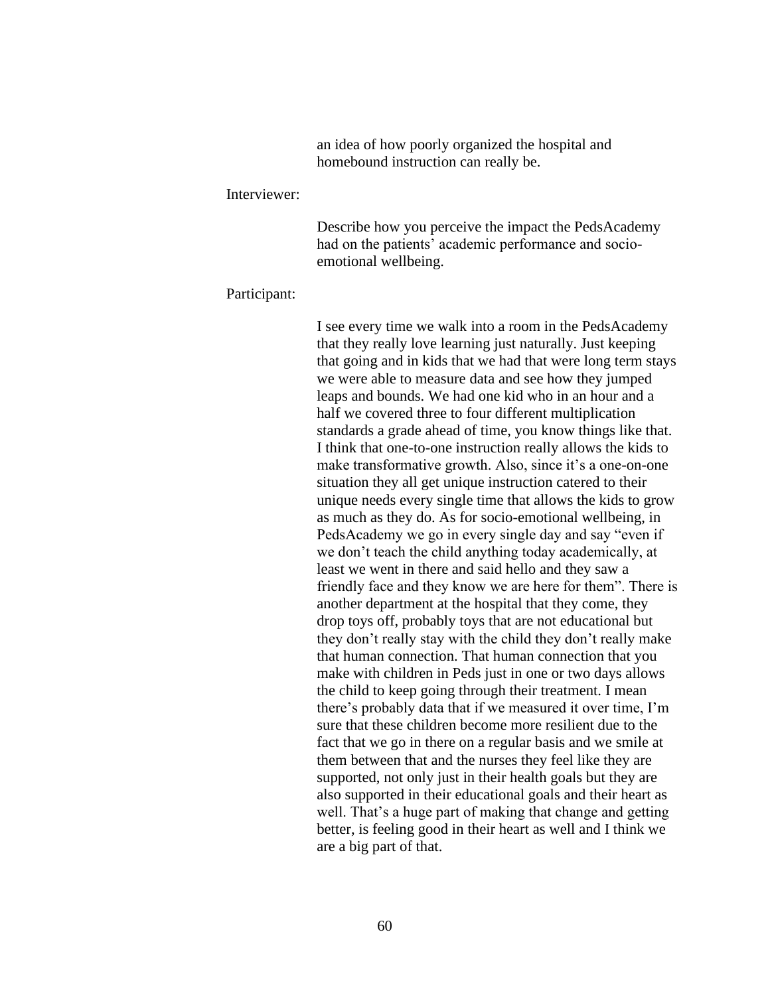an idea of how poorly organized the hospital and homebound instruction can really be.

#### Interviewer:

Describe how you perceive the impact the PedsAcademy had on the patients' academic performance and socioemotional wellbeing.

#### Participant:

I see every time we walk into a room in the PedsAcademy that they really love learning just naturally. Just keeping that going and in kids that we had that were long term stays we were able to measure data and see how they jumped leaps and bounds. We had one kid who in an hour and a half we covered three to four different multiplication standards a grade ahead of time, you know things like that. I think that one-to-one instruction really allows the kids to make transformative growth. Also, since it's a one-on-one situation they all get unique instruction catered to their unique needs every single time that allows the kids to grow as much as they do. As for socio-emotional wellbeing, in PedsAcademy we go in every single day and say "even if we don't teach the child anything today academically, at least we went in there and said hello and they saw a friendly face and they know we are here for them". There is another department at the hospital that they come, they drop toys off, probably toys that are not educational but they don't really stay with the child they don't really make that human connection. That human connection that you make with children in Peds just in one or two days allows the child to keep going through their treatment. I mean there's probably data that if we measured it over time, I'm sure that these children become more resilient due to the fact that we go in there on a regular basis and we smile at them between that and the nurses they feel like they are supported, not only just in their health goals but they are also supported in their educational goals and their heart as well. That's a huge part of making that change and getting better, is feeling good in their heart as well and I think we are a big part of that.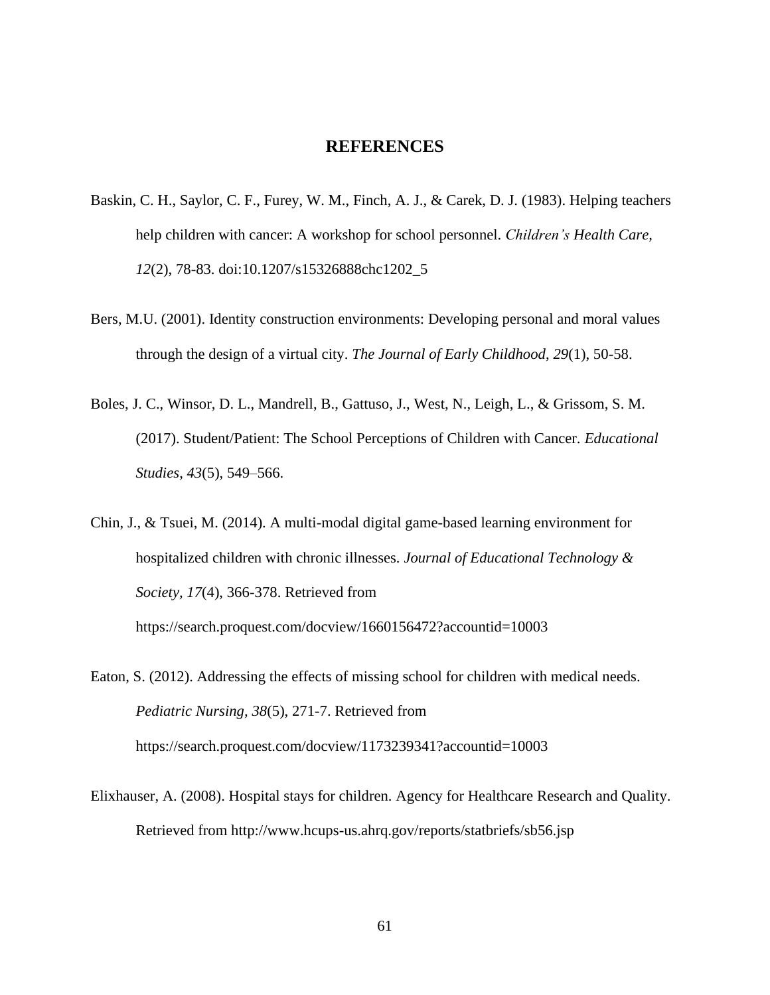# **REFERENCES**

- Baskin, C. H., Saylor, C. F., Furey, W. M., Finch, A. J., & Carek, D. J. (1983). Helping teachers help children with cancer: A workshop for school personnel. *Children's Health Care, 12*(2), 78-83. doi:10.1207/s15326888chc1202\_5
- Bers, M.U. (2001). Identity construction environments: Developing personal and moral values through the design of a virtual city. *The Journal of Early Childhood*, *29*(1), 50-58.
- Boles, J. C., Winsor, D. L., Mandrell, B., Gattuso, J., West, N., Leigh, L., & Grissom, S. M. (2017). Student/Patient: The School Perceptions of Children with Cancer. *Educational Studies*, *43*(5), 549–566.

Chin, J., & Tsuei, M. (2014). A multi-modal digital game-based learning environment for hospitalized children with chronic illnesses. *Journal of Educational Technology & Society, 17*(4), 366-378. Retrieved from <https://search.proquest.com/docview/1660156472?accountid=10003>

Eaton, S. (2012). Addressing the effects of missing school for children with medical needs. *Pediatric Nursing, 38*(5), 271-7. Retrieved from https://search.proquest.com/docview/1173239341?accountid=10003

Elixhauser, A. (2008). Hospital stays for children. Agency for Healthcare Research and Quality. Retrieved from <http://www.hcups-us.ahrq.gov/reports/statbriefs/sb56.jsp>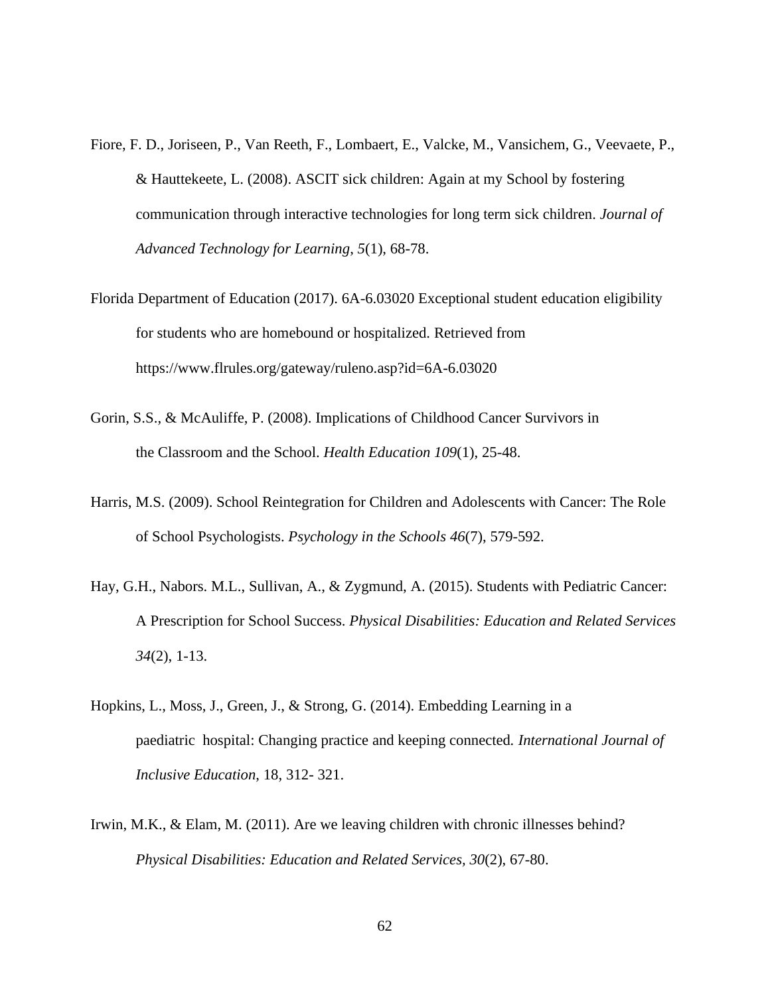- Fiore, F. D., Joriseen, P., Van Reeth, F., Lombaert, E., Valcke, M., Vansichem, G., Veevaete, P., & Hauttekeete, L. (2008). ASCIT sick children: Again at my School by fostering communication through interactive technologies for long term sick children. *Journal of Advanced Technology for Learning*, *5*(1), 68-78.
- Florida Department of Education (2017). 6A-6.03020 Exceptional student education eligibility for students who are homebound or hospitalized. Retrieved from https://www.flrules.org/gateway/ruleno.asp?id=6A-6.03020
- Gorin, S.S., & McAuliffe, P. (2008). Implications of Childhood Cancer Survivors in the Classroom and the School. *Health Education 109*(1), 25-48.
- Harris, M.S. (2009). School Reintegration for Children and Adolescents with Cancer: The Role of School Psychologists. *Psychology in the Schools 46*(7), 579-592.
- Hay, G.H., Nabors. M.L., Sullivan, A., & Zygmund, A. (2015). Students with Pediatric Cancer: A Prescription for School Success. *Physical Disabilities: Education and Related Services 34*(2), 1-13.
- Hopkins, L., Moss, J., Green, J., & Strong, G. (2014). Embedding Learning in a paediatric hospital: Changing practice and keeping connected*. International Journal of Inclusive Education*, 18, 312- 321.
- Irwin, M.K., & Elam, M. (2011). Are we leaving children with chronic illnesses behind? *Physical Disabilities: Education and Related Services, 30*(2), 67-80.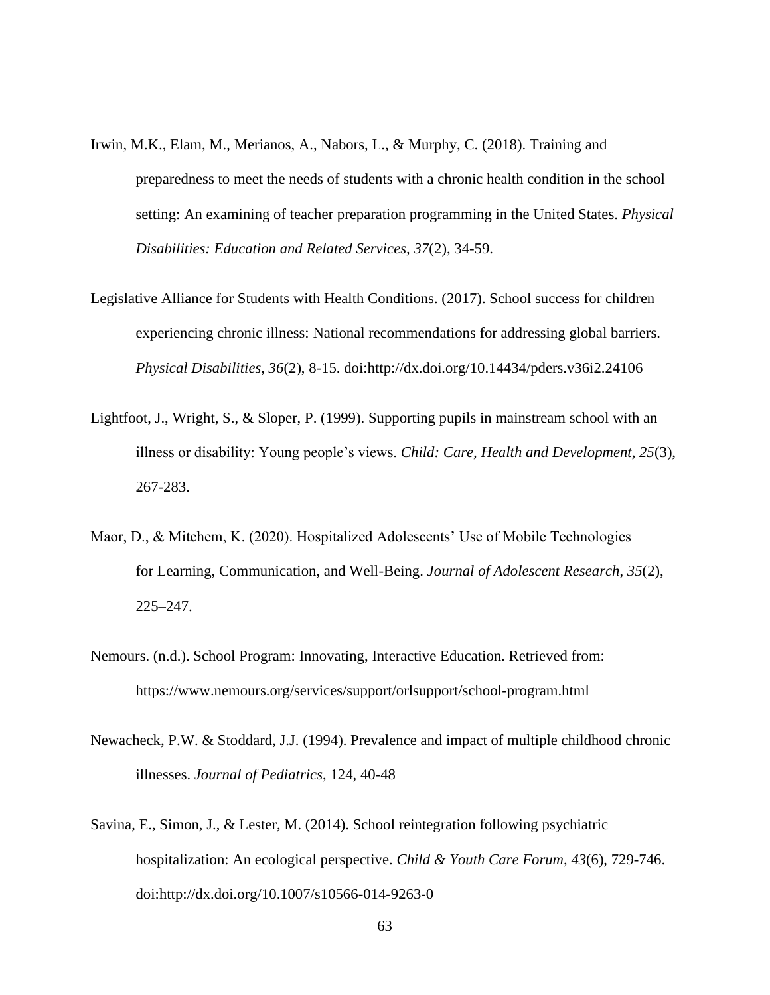- Irwin, M.K., Elam, M., Merianos, A., Nabors, L., & Murphy, C. (2018). Training and preparedness to meet the needs of students with a chronic health condition in the school setting: An examining of teacher preparation programming in the United States. *Physical Disabilities: Education and Related Services, 37*(2), 34-59.
- Legislative Alliance for Students with Health Conditions. (2017). School success for children experiencing chronic illness: National recommendations for addressing global barriers. *Physical Disabilities, 36*(2), 8-15. doi:http://dx.doi.org/10.14434/pders.v36i2.24106
- Lightfoot, J., Wright, S., & Sloper, P. (1999). Supporting pupils in mainstream school with an illness or disability: Young people's views. *Child: Care, Health and Development, 25*(3), 267-283.
- Maor, D., & Mitchem, K. (2020). Hospitalized Adolescents' Use of Mobile Technologies for Learning, Communication, and Well-Being. *Journal of Adolescent Research*, *35*(2), 225–247.
- Nemours. (n.d.). School Program: Innovating, Interactive Education. Retrieved from: <https://www.nemours.org/services/support/orlsupport/school-program.html>
- Newacheck, P.W. & Stoddard, J.J. (1994). Prevalence and impact of multiple childhood chronic illnesses. *Journal of Pediatrics*, 124, 40-48
- Savina, E., Simon, J., & Lester, M. (2014). School reintegration following psychiatric hospitalization: An ecological perspective. *Child & Youth Care Forum, 43*(6), 729-746. doi:http://dx.doi.org/10.1007/s10566-014-9263-0